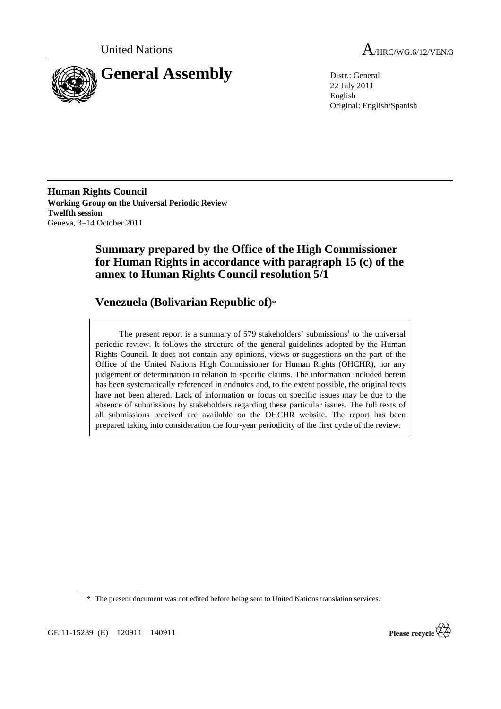



22 July 2011 English Original: English/Spanish

**Human Rights Council Working Group on the Universal Periodic Review Twelfth session**  Geneva, 3–14 October 2011

# **Summary prepared by the Office of the High Commissioner for Human Rights in accordance with paragraph 15 (c) of the annex to Human Rights Council resolution 5/1**

# **Venezuela (Bolivarian Republic of)**\*

The present report is a summary of  $579$  stakeholders' submissions<sup>1</sup> to the universal periodic review. It follows the structure of the general guidelines adopted by the Human Rights Council. It does not contain any opinions, views or suggestions on the part of the Office of the United Nations High Commissioner for Human Rights (OHCHR), nor any judgement or determination in relation to specific claims. The information included herein has been systematically referenced in endnotes and, to the extent possible, the original texts have not been altered. Lack of information or focus on specific issues may be due to the absence of submissions by stakeholders regarding these particular issues. The full texts of all submissions received are available on the OHCHR website. The report has been prepared taking into consideration the four-year periodicity of the first cycle of the review.

\* The present document was not edited before being sent to United Nations translation services.

GE.11-15239 (E) 120911 140911

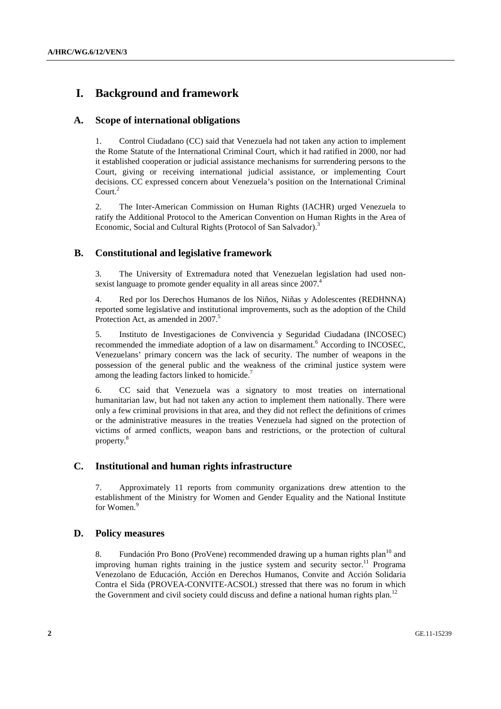# **I. Background and framework**

## **A. Scope of international obligations**

1. Control Ciudadano (CC) said that Venezuela had not taken any action to implement the Rome Statute of the International Criminal Court, which it had ratified in 2000, nor had it established cooperation or judicial assistance mechanisms for surrendering persons to the Court, giving or receiving international judicial assistance, or implementing Court decisions. CC expressed concern about Venezuela's position on the International Criminal Court. $^{2}$ 

2. The Inter-American Commission on Human Rights (IACHR) urged Venezuela to ratify the Additional Protocol to the American Convention on Human Rights in the Area of Economic, Social and Cultural Rights (Protocol of San Salvador).<sup>3</sup>

## **B. Constitutional and legislative framework**

3. The University of Extremadura noted that Venezuelan legislation had used nonsexist language to promote gender equality in all areas since 2007.<sup>4</sup>

4. Red por los Derechos Humanos de los Niños, Niñas y Adolescentes (REDHNNA) reported some legislative and institutional improvements, such as the adoption of the Child Protection Act, as amended in 2007.<sup>5</sup>

5. Instituto de Investigaciones de Convivencia y Seguridad Ciudadana (INCOSEC) recommended the immediate adoption of a law on disarmament.<sup>6</sup> According to INCOSEC, Venezuelans' primary concern was the lack of security. The number of weapons in the possession of the general public and the weakness of the criminal justice system were among the leading factors linked to homicide.<sup>7</sup>

6. CC said that Venezuela was a signatory to most treaties on international humanitarian law, but had not taken any action to implement them nationally. There were only a few criminal provisions in that area, and they did not reflect the definitions of crimes or the administrative measures in the treaties Venezuela had signed on the protection of victims of armed conflicts, weapon bans and restrictions, or the protection of cultural property.<sup>8</sup>

## **C. Institutional and human rights infrastructure**

7. Approximately 11 reports from community organizations drew attention to the establishment of the Ministry for Women and Gender Equality and the National Institute for Women.<sup>9</sup>

## **D. Policy measures**

8. Fundación Pro Bono (ProVene) recommended drawing up a human rights plan<sup>10</sup> and improving human rights training in the justice system and security sector.<sup>11</sup> Programa Venezolano de Educación, Acción en Derechos Humanos, Convite and Acción Solidaria Contra el Sida (PROVEA-CONVITE-ACSOL) stressed that there was no forum in which the Government and civil society could discuss and define a national human rights plan.<sup>12</sup>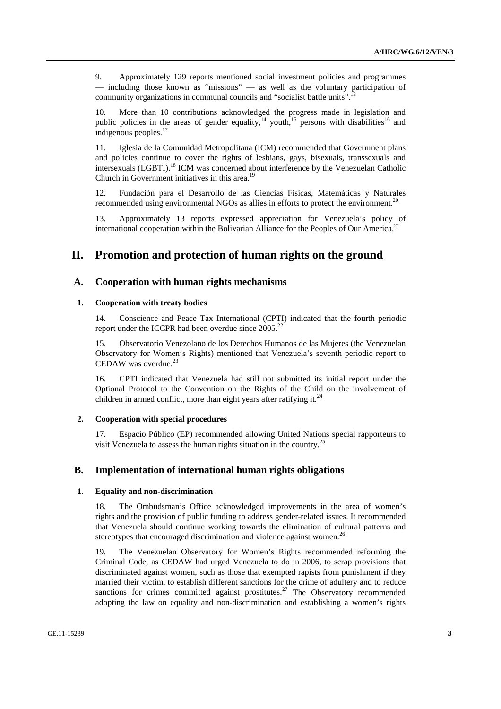9. Approximately 129 reports mentioned social investment policies and programmes — including those known as "missions" — as well as the voluntary participation of community organizations in communal councils and "socialist battle units".

10. More than 10 contributions acknowledged the progress made in legislation and public policies in the areas of gender equality,<sup>14</sup> youth,<sup>15</sup> persons with disabilities<sup>16</sup> and indigenous peoples.<sup>17</sup>

11. Iglesia de la Comunidad Metropolitana (ICM) recommended that Government plans and policies continue to cover the rights of lesbians, gays, bisexuals, transsexuals and intersexuals (LGBTI).18 ICM was concerned about interference by the Venezuelan Catholic Church in Government initiatives in this area. $19$ 

12. Fundación para el Desarrollo de las Ciencias Físicas, Matemáticas y Naturales recommended using environmental NGOs as allies in efforts to protect the environment.<sup>20</sup>

13. Approximately 13 reports expressed appreciation for Venezuela's policy of international cooperation within the Bolivarian Alliance for the Peoples of Our America.<sup>21</sup>

## **II. Promotion and protection of human rights on the ground**

### **A. Cooperation with human rights mechanisms**

#### **1. Cooperation with treaty bodies**

14. Conscience and Peace Tax International (CPTI) indicated that the fourth periodic report under the ICCPR had been overdue since  $2005$ <sup>22</sup>

15. Observatorio Venezolano de los Derechos Humanos de las Mujeres (the Venezuelan Observatory for Women's Rights) mentioned that Venezuela's seventh periodic report to CEDAW was overdue.<sup>23</sup>

16. CPTI indicated that Venezuela had still not submitted its initial report under the Optional Protocol to the Convention on the Rights of the Child on the involvement of children in armed conflict, more than eight years after ratifying it.<sup>24</sup>

#### **2. Cooperation with special procedures**

17. Espacio Público (EP) recommended allowing United Nations special rapporteurs to visit Venezuela to assess the human rights situation in the country.<sup>25</sup>

#### **B. Implementation of international human rights obligations**

#### **1. Equality and non-discrimination**

18. The Ombudsman's Office acknowledged improvements in the area of women's rights and the provision of public funding to address gender-related issues. It recommended that Venezuela should continue working towards the elimination of cultural patterns and stereotypes that encouraged discrimination and violence against women.<sup>26</sup>

19. The Venezuelan Observatory for Women's Rights recommended reforming the Criminal Code, as CEDAW had urged Venezuela to do in 2006, to scrap provisions that discriminated against women, such as those that exempted rapists from punishment if they married their victim, to establish different sanctions for the crime of adultery and to reduce sanctions for crimes committed against prostitutes.<sup>27</sup> The Observatory recommended adopting the law on equality and non-discrimination and establishing a women's rights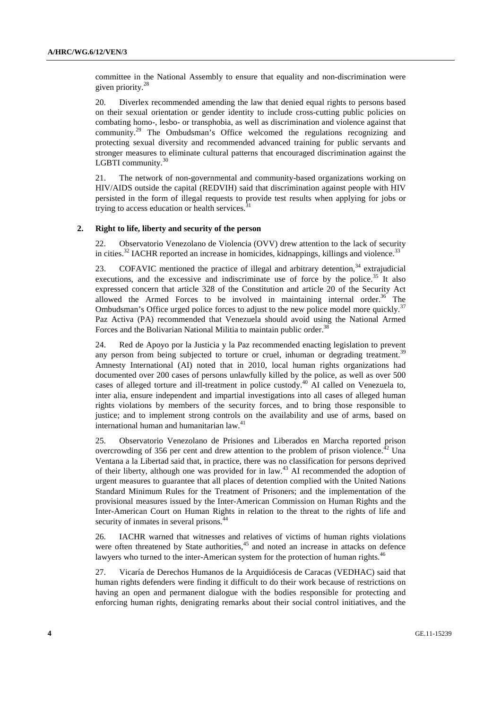committee in the National Assembly to ensure that equality and non-discrimination were given priority.<sup>28</sup>

20. Diverlex recommended amending the law that denied equal rights to persons based on their sexual orientation or gender identity to include cross-cutting public policies on combating homo-, lesbo- or transphobia, as well as discrimination and violence against that community.29 The Ombudsman's Office welcomed the regulations recognizing and protecting sexual diversity and recommended advanced training for public servants and stronger measures to eliminate cultural patterns that encouraged discrimination against the LGBTI community.<sup>30</sup>

21. The network of non-governmental and community-based organizations working on HIV/AIDS outside the capital (REDVIH) said that discrimination against people with HIV persisted in the form of illegal requests to provide test results when applying for jobs or trying to access education or health services.<sup>31</sup>

#### **2. Right to life, liberty and security of the person**

22. Observatorio Venezolano de Violencia (OVV) drew attention to the lack of security in cities.<sup>32</sup> IACHR reported an increase in homicides, kidnappings, killings and violence.<sup>33</sup>

23. COFAVIC mentioned the practice of illegal and arbitrary detention,  $34$  extrajudicial executions, and the excessive and indiscriminate use of force by the police.<sup>35</sup> It also expressed concern that article 328 of the Constitution and article 20 of the Security Act allowed the Armed Forces to be involved in maintaining internal order.<sup>36</sup> The Ombudsman's Office urged police forces to adjust to the new police model more quickly.<sup>37</sup> Paz Activa (PA) recommended that Venezuela should avoid using the National Armed Forces and the Bolivarian National Militia to maintain public order.<sup>3</sup>

24. Red de Apoyo por la Justicia y la Paz recommended enacting legislation to prevent any person from being subjected to torture or cruel, inhuman or degrading treatment.<sup>39</sup> Amnesty International (AI) noted that in 2010, local human rights organizations had documented over 200 cases of persons unlawfully killed by the police, as well as over 500 cases of alleged torture and ill-treatment in police custody.<sup>40</sup> AI called on Venezuela to, inter alia, ensure independent and impartial investigations into all cases of alleged human rights violations by members of the security forces, and to bring those responsible to justice; and to implement strong controls on the availability and use of arms, based on international human and humanitarian law.<sup>41</sup>

25. Observatorio Venezolano de Prisiones and Liberados en Marcha reported prison overcrowding of 356 per cent and drew attention to the problem of prison violence.<sup>42</sup> Una Ventana a la Libertad said that, in practice, there was no classification for persons deprived of their liberty, although one was provided for in law.<sup>43</sup> AI recommended the adoption of urgent measures to guarantee that all places of detention complied with the United Nations Standard Minimum Rules for the Treatment of Prisoners; and the implementation of the provisional measures issued by the Inter-American Commission on Human Rights and the Inter-American Court on Human Rights in relation to the threat to the rights of life and security of inmates in several prisons.<sup>4</sup>

26. IACHR warned that witnesses and relatives of victims of human rights violations were often threatened by State authorities,<sup>45</sup> and noted an increase in attacks on defence lawyers who turned to the inter-American system for the protection of human rights.<sup>4</sup>

27. Vicaría de Derechos Humanos de la Arquidiócesis de Caracas (VEDHAC) said that human rights defenders were finding it difficult to do their work because of restrictions on having an open and permanent dialogue with the bodies responsible for protecting and enforcing human rights, denigrating remarks about their social control initiatives, and the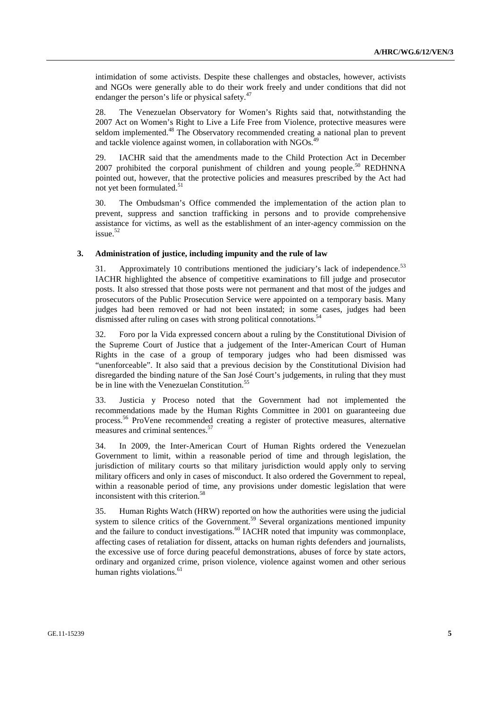intimidation of some activists. Despite these challenges and obstacles, however, activists and NGOs were generally able to do their work freely and under conditions that did not endanger the person's life or physical safety.<sup>47</sup>

28. The Venezuelan Observatory for Women's Rights said that, notwithstanding the 2007 Act on Women's Right to Live a Life Free from Violence, protective measures were seldom implemented.<sup>48</sup> The Observatory recommended creating a national plan to prevent and tackle violence against women, in collaboration with  $NGOs<sub>1</sub>$ <sup>4</sup>

29. IACHR said that the amendments made to the Child Protection Act in December 2007 prohibited the corporal punishment of children and young people.<sup>50</sup> REDHNNA pointed out, however, that the protective policies and measures prescribed by the Act had not yet been formulated.<sup>51</sup>

30. The Ombudsman's Office commended the implementation of the action plan to prevent, suppress and sanction trafficking in persons and to provide comprehensive assistance for victims, as well as the establishment of an inter-agency commission on the issue.<sup>52</sup>

#### **3. Administration of justice, including impunity and the rule of law**

31. Approximately 10 contributions mentioned the judiciary's lack of independence.<sup>53</sup> IACHR highlighted the absence of competitive examinations to fill judge and prosecutor posts. It also stressed that those posts were not permanent and that most of the judges and prosecutors of the Public Prosecution Service were appointed on a temporary basis. Many judges had been removed or had not been instated; in some cases, judges had been dismissed after ruling on cases with strong political connotations.<sup>54</sup>

32. Foro por la Vida expressed concern about a ruling by the Constitutional Division of the Supreme Court of Justice that a judgement of the Inter-American Court of Human Rights in the case of a group of temporary judges who had been dismissed was "unenforceable". It also said that a previous decision by the Constitutional Division had disregarded the binding nature of the San José Court's judgements, in ruling that they must be in line with the Venezuelan Constitution.<sup>55</sup>

33. Justicia y Proceso noted that the Government had not implemented the recommendations made by the Human Rights Committee in 2001 on guaranteeing due process.56 ProVene recommended creating a register of protective measures, alternative measures and criminal sentences.<sup>57</sup>

34. In 2009, the Inter-American Court of Human Rights ordered the Venezuelan Government to limit, within a reasonable period of time and through legislation, the jurisdiction of military courts so that military jurisdiction would apply only to serving military officers and only in cases of misconduct. It also ordered the Government to repeal, within a reasonable period of time, any provisions under domestic legislation that were inconsistent with this criterion.<sup>58</sup>

35. Human Rights Watch (HRW) reported on how the authorities were using the judicial system to silence critics of the Government.<sup>59</sup> Several organizations mentioned impunity and the failure to conduct investigations.<sup>60</sup> IACHR noted that impunity was commonplace, affecting cases of retaliation for dissent, attacks on human rights defenders and journalists, the excessive use of force during peaceful demonstrations, abuses of force by state actors, ordinary and organized crime, prison violence, violence against women and other serious human rights violations.<sup>61</sup>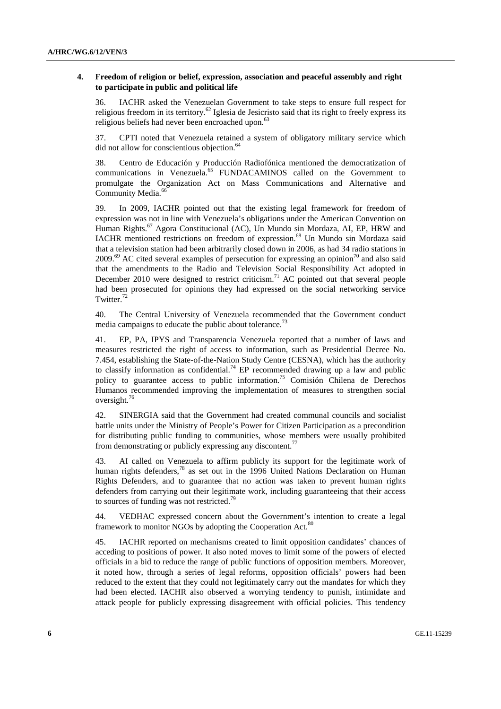#### **4. Freedom of religion or belief, expression, association and peaceful assembly and right to participate in public and political life**

36. IACHR asked the Venezuelan Government to take steps to ensure full respect for religious freedom in its territory.<sup>62</sup> Iglesia de Jesicristo said that its right to freely express its religious beliefs had never been encroached upon.<sup>63</sup>

37. CPTI noted that Venezuela retained a system of obligatory military service which did not allow for conscientious objection.<sup>64</sup>

38. Centro de Educación y Producción Radiofónica mentioned the democratization of communications in Venezuela.65 FUNDACAMINOS called on the Government to promulgate the Organization Act on Mass Communications and Alternative and Community Media.<sup>66</sup>

39. In 2009, IACHR pointed out that the existing legal framework for freedom of expression was not in line with Venezuela's obligations under the American Convention on Human Rights.<sup>67</sup> Agora Constitucional (AC), Un Mundo sin Mordaza, AI, EP, HRW and IACHR mentioned restrictions on freedom of expression.<sup>68</sup> Un Mundo sin Mordaza said that a television station had been arbitrarily closed down in 2006, as had 34 radio stations in 2009.<sup>69</sup> AC cited several examples of persecution for expressing an opinion<sup>70</sup> and also said that the amendments to the Radio and Television Social Responsibility Act adopted in December 2010 were designed to restrict criticism.<sup>71</sup> AC pointed out that several people had been prosecuted for opinions they had expressed on the social networking service Twitter.<sup>72</sup>

40. The Central University of Venezuela recommended that the Government conduct media campaigns to educate the public about tolerance.<sup>73</sup>

41. EP, PA, IPYS and Transparencia Venezuela reported that a number of laws and measures restricted the right of access to information, such as Presidential Decree No. 7.454, establishing the State-of-the-Nation Study Centre (CESNA), which has the authority to classify information as confidential.<sup>74</sup> EP recommended drawing up a law and public policy to guarantee access to public information.75 Comisión Chilena de Derechos Humanos recommended improving the implementation of measures to strengthen social oversight.<sup>76</sup>

42. SINERGIA said that the Government had created communal councils and socialist battle units under the Ministry of People's Power for Citizen Participation as a precondition for distributing public funding to communities, whose members were usually prohibited from demonstrating or publicly expressing any discontent.<sup>77</sup>

43. AI called on Venezuela to affirm publicly its support for the legitimate work of human rights defenders,<sup>78</sup> as set out in the 1996 United Nations Declaration on Human Rights Defenders, and to guarantee that no action was taken to prevent human rights defenders from carrying out their legitimate work, including guaranteeing that their access to sources of funding was not restricted.<sup>79</sup>

44. VEDHAC expressed concern about the Government's intention to create a legal framework to monitor NGOs by adopting the Cooperation Act.<sup>8</sup>

45. IACHR reported on mechanisms created to limit opposition candidates' chances of acceding to positions of power. It also noted moves to limit some of the powers of elected officials in a bid to reduce the range of public functions of opposition members. Moreover, it noted how, through a series of legal reforms, opposition officials' powers had been reduced to the extent that they could not legitimately carry out the mandates for which they had been elected. IACHR also observed a worrying tendency to punish, intimidate and attack people for publicly expressing disagreement with official policies. This tendency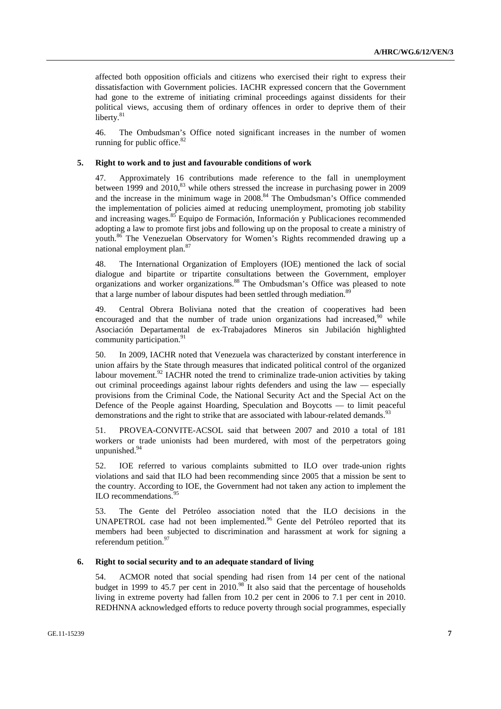affected both opposition officials and citizens who exercised their right to express their dissatisfaction with Government policies. IACHR expressed concern that the Government had gone to the extreme of initiating criminal proceedings against dissidents for their political views, accusing them of ordinary offences in order to deprive them of their  $line$ liberty. $81$ 

46. The Ombudsman's Office noted significant increases in the number of women running for public office. $82$ 

#### **5. Right to work and to just and favourable conditions of work**

47. Approximately 16 contributions made reference to the fall in unemployment between 1999 and  $2010$ ,  $83$  while others stressed the increase in purchasing power in 2009 and the increase in the minimum wage in  $2008<sup>84</sup>$  The Ombudsman's Office commended the implementation of policies aimed at reducing unemployment, promoting job stability and increasing wages.85 Equipo de Formación, Información y Publicaciones recommended adopting a law to promote first jobs and following up on the proposal to create a ministry of youth.86 The Venezuelan Observatory for Women's Rights recommended drawing up a national employment plan.<sup>87</sup>

48. The International Organization of Employers (IOE) mentioned the lack of social dialogue and bipartite or tripartite consultations between the Government, employer organizations and worker organizations.88 The Ombudsman's Office was pleased to note that a large number of labour disputes had been settled through mediation.<sup>81</sup>

49. Central Obrera Boliviana noted that the creation of cooperatives had been encouraged and that the number of trade union organizations had increased,  $9^{\circ}$  while Asociación Departamental de ex-Trabajadores Mineros sin Jubilación highlighted community participation.<sup>91</sup>

50. In 2009, IACHR noted that Venezuela was characterized by constant interference in union affairs by the State through measures that indicated political control of the organized labour movement.<sup>92</sup> IACHR noted the trend to criminalize trade-union activities by taking out criminal proceedings against labour rights defenders and using the law  $-$  especially provisions from the Criminal Code, the National Security Act and the Special Act on the Defence of the People against Hoarding, Speculation and Boycotts — to limit peaceful demonstrations and the right to strike that are associated with labour-related demands.<sup>93</sup>

51. PROVEA-CONVITE-ACSOL said that between 2007 and 2010 a total of 181 workers or trade unionists had been murdered, with most of the perpetrators going unpunished.<sup>94</sup>

52. IOE referred to various complaints submitted to ILO over trade-union rights violations and said that ILO had been recommending since 2005 that a mission be sent to the country. According to IOE, the Government had not taken any action to implement the ILO recommendations.<sup>9</sup>

53. The Gente del Petróleo association noted that the ILO decisions in the UNAPETROL case had not been implemented.<sup>96</sup> Gente del Petróleo reported that its members had been subjected to discrimination and harassment at work for signing a referendum petition.<sup>97</sup>

#### **6. Right to social security and to an adequate standard of living**

54. ACMOR noted that social spending had risen from 14 per cent of the national budget in 1999 to 45.7 per cent in  $2010^{98}$  It also said that the percentage of households living in extreme poverty had fallen from 10.2 per cent in 2006 to 7.1 per cent in 2010. REDHNNA acknowledged efforts to reduce poverty through social programmes, especially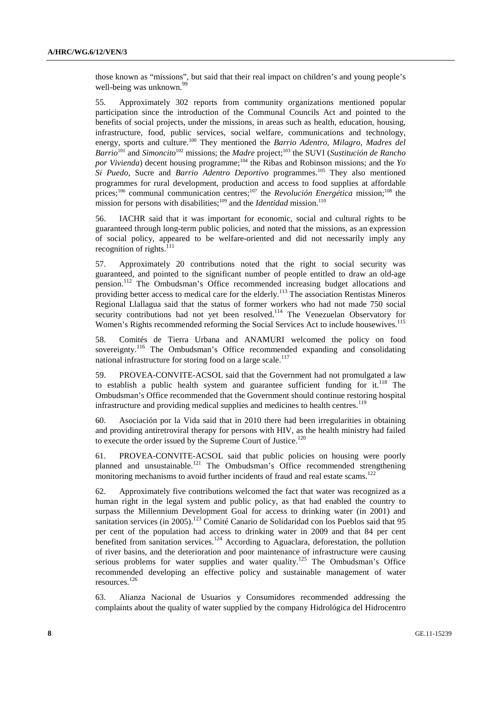those known as "missions", but said that their real impact on children's and young people's well-being was unknown.<sup>99</sup>

55. Approximately 302 reports from community organizations mentioned popular participation since the introduction of the Communal Councils Act and pointed to the benefits of social projects, under the missions, in areas such as health, education, housing, infrastructure, food, public services, social welfare, communications and technology, energy, sports and culture.<sup>100</sup> They mentioned the *Barrio Adentro*, *Milagro*, *Madres del Barrio*101 and *Simoncito*102 missions; the *Madre* project;103 the SUVI (*Sustitución de Rancho por Vivienda*) decent housing programme;<sup>104</sup> the Ribas and Robinson missions; and the *Yo Si Puedo*, Sucre and *Barrio Adentro Deportivo* programmes.105 They also mentioned programmes for rural development, production and access to food supplies at affordable prices;<sup>106</sup> communal communication centres;<sup>107</sup> the *Revolución Energética* mission;<sup>108</sup> the mission for persons with disabilities;<sup>109</sup> and the *Identidad* mission.<sup>110</sup>

56. IACHR said that it was important for economic, social and cultural rights to be guaranteed through long-term public policies, and noted that the missions, as an expression of social policy, appeared to be welfare-oriented and did not necessarily imply any recognition of rights. $^{111}$ 

57. Approximately 20 contributions noted that the right to social security was guaranteed, and pointed to the significant number of people entitled to draw an old-age pension.112 The Ombudsman's Office recommended increasing budget allocations and providing better access to medical care for the elderly.<sup>113</sup> The association Rentistas Mineros Regional Llallagua said that the status of former workers who had not made 750 social security contributions had not yet been resolved.<sup>114</sup> The Venezuelan Observatory for Women's Rights recommended reforming the Social Services Act to include housewives.<sup>115</sup>

58. Comités de Tierra Urbana and ANAMURI welcomed the policy on food sovereignty.<sup>116</sup> The Ombudsman's Office recommended expanding and consolidating national infrastructure for storing food on a large scale.<sup>117</sup>

59. PROVEA-CONVITE-ACSOL said that the Government had not promulgated a law to establish a public health system and guarantee sufficient funding for  $it^{118}$ . The Ombudsman's Office recommended that the Government should continue restoring hospital infrastructure and providing medical supplies and medicines to health centres.<sup>119</sup>

60. Asociación por la Vida said that in 2010 there had been irregularities in obtaining and providing antiretroviral therapy for persons with HIV, as the health ministry had failed to execute the order issued by the Supreme Court of Justice.<sup>120</sup>

61. PROVEA-CONVITE-ACSOL said that public policies on housing were poorly planned and unsustainable.<sup>121</sup> The Ombudsman's Office recommended strengthening monitoring mechanisms to avoid further incidents of fraud and real estate scams.<sup>122</sup>

62. Approximately five contributions welcomed the fact that water was recognized as a human right in the legal system and public policy, as that had enabled the country to surpass the Millennium Development Goal for access to drinking water (in 2001) and sanitation services (in 2005).<sup>123</sup> Comité Canario de Solidaridad con los Pueblos said that 95 per cent of the population had access to drinking water in 2009 and that 84 per cent benefited from sanitation services.<sup>124</sup> According to Aguaclara, deforestation, the pollution of river basins, and the deterioration and poor maintenance of infrastructure were causing serious problems for water supplies and water quality.<sup>125</sup> The Ombudsman's Office recommended developing an effective policy and sustainable management of water resources.<sup>126</sup>

63. Alianza Nacional de Usuarios y Consumidores recommended addressing the complaints about the quality of water supplied by the company Hidrológica del Hidrocentro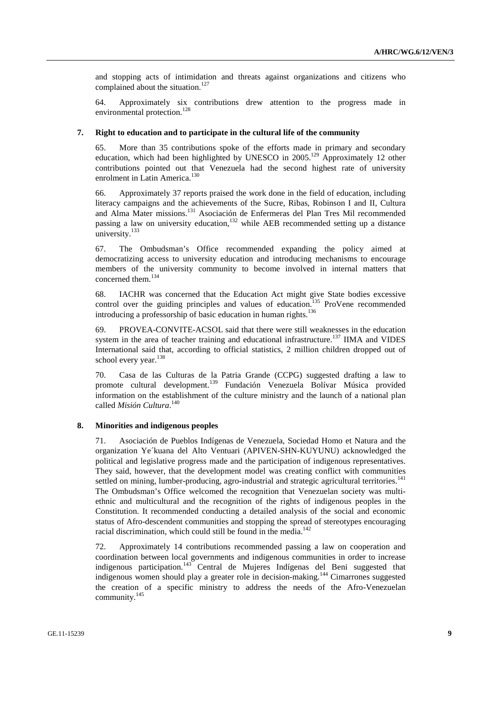and stopping acts of intimidation and threats against organizations and citizens who complained about the situation.<sup>127</sup>

64. Approximately six contributions drew attention to the progress made in environmental protection.<sup>128</sup>

#### **7. Right to education and to participate in the cultural life of the community**

65. More than 35 contributions spoke of the efforts made in primary and secondary education, which had been highlighted by UNESCO in 2005.<sup>129</sup> Approximately 12 other contributions pointed out that Venezuela had the second highest rate of university enrolment in Latin America.<sup>130</sup>

66. Approximately 37 reports praised the work done in the field of education, including literacy campaigns and the achievements of the Sucre, Ribas, Robinson I and II, Cultura and Alma Mater missions.131 Asociación de Enfermeras del Plan Tres Mil recommended passing a law on university education,  $132$  while AEB recommended setting up a distance university.<sup>133</sup>

67. The Ombudsman's Office recommended expanding the policy aimed at democratizing access to university education and introducing mechanisms to encourage members of the university community to become involved in internal matters that concerned them.<sup>134</sup>

68. IACHR was concerned that the Education Act might give State bodies excessive control over the guiding principles and values of education.<sup>135</sup> ProVene recommended introducing a professorship of basic education in human rights.<sup>136</sup>

69. PROVEA-CONVITE-ACSOL said that there were still weaknesses in the education system in the area of teacher training and educational infrastructure.<sup>137</sup> IIMA and VIDES International said that, according to official statistics, 2 million children dropped out of school every year.<sup>138</sup>

70. Casa de las Culturas de la Patria Grande (CCPG) suggested drafting a law to promote cultural development.139 Fundación Venezuela Bolívar Música provided information on the establishment of the culture ministry and the launch of a national plan called *Misión Cultura*. 140

#### **8. Minorities and indigenous peoples**

71. Asociación de Pueblos Indígenas de Venezuela, Sociedad Homo et Natura and the organization Ye´kuana del Alto Ventuari (APIVEN-SHN-KUYUNU) acknowledged the political and legislative progress made and the participation of indigenous representatives. They said, however, that the development model was creating conflict with communities settled on mining, lumber-producing, agro-industrial and strategic agricultural territories.<sup>141</sup> The Ombudsman's Office welcomed the recognition that Venezuelan society was multiethnic and multicultural and the recognition of the rights of indigenous peoples in the Constitution. It recommended conducting a detailed analysis of the social and economic status of Afro-descendent communities and stopping the spread of stereotypes encouraging racial discrimination, which could still be found in the media.<sup>142</sup>

72. Approximately 14 contributions recommended passing a law on cooperation and coordination between local governments and indigenous communities in order to increase indigenous participation.143 Central de Mujeres Indígenas del Beni suggested that indigenous women should play a greater role in decision-making.144 Cimarrones suggested the creation of a specific ministry to address the needs of the Afro-Venezuelan community.<sup>145</sup>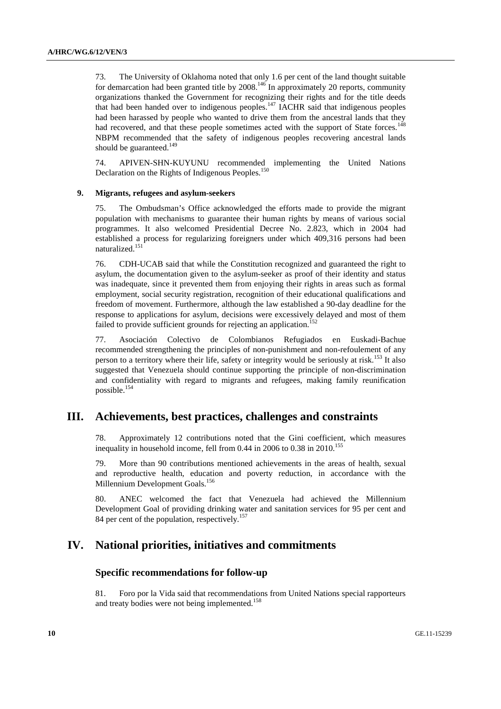73. The University of Oklahoma noted that only 1.6 per cent of the land thought suitable for demarcation had been granted title by  $2008$ .<sup>146</sup> In approximately 20 reports, community organizations thanked the Government for recognizing their rights and for the title deeds that had been handed over to indigenous peoples.<sup>147</sup> IACHR said that indigenous peoples had been harassed by people who wanted to drive them from the ancestral lands that they had recovered, and that these people sometimes acted with the support of State forces.<sup>148</sup> NBPM recommended that the safety of indigenous peoples recovering ancestral lands should be guaranteed. $149$ 

74. APIVEN-SHN-KUYUNU recommended implementing the United Nations Declaration on the Rights of Indigenous Peoples.<sup>150</sup>

#### **9. Migrants, refugees and asylum-seekers**

75. The Ombudsman's Office acknowledged the efforts made to provide the migrant population with mechanisms to guarantee their human rights by means of various social programmes. It also welcomed Presidential Decree No. 2.823, which in 2004 had established a process for regularizing foreigners under which 409,316 persons had been naturalized.<sup>151</sup>

76. CDH-UCAB said that while the Constitution recognized and guaranteed the right to asylum, the documentation given to the asylum-seeker as proof of their identity and status was inadequate, since it prevented them from enjoying their rights in areas such as formal employment, social security registration, recognition of their educational qualifications and freedom of movement. Furthermore, although the law established a 90-day deadline for the response to applications for asylum, decisions were excessively delayed and most of them failed to provide sufficient grounds for rejecting an application.<sup>152</sup>

77. Asociación Colectivo de Colombianos Refugiados en Euskadi-Bachue recommended strengthening the principles of non-punishment and non-refoulement of any person to a territory where their life, safety or integrity would be seriously at risk.<sup>153</sup> It also suggested that Venezuela should continue supporting the principle of non-discrimination and confidentiality with regard to migrants and refugees, making family reunification possible.<sup>154</sup>

## **III. Achievements, best practices, challenges and constraints**

78. Approximately 12 contributions noted that the Gini coefficient, which measures inequality in household income, fell from 0.44 in 2006 to 0.38 in 2010.<sup>155</sup>

79. More than 90 contributions mentioned achievements in the areas of health, sexual and reproductive health, education and poverty reduction, in accordance with the Millennium Development Goals.<sup>156</sup>

80. ANEC welcomed the fact that Venezuela had achieved the Millennium Development Goal of providing drinking water and sanitation services for 95 per cent and 84 per cent of the population, respectively.<sup>157</sup>

## **IV. National priorities, initiatives and commitments**

## **Specific recommendations for follow-up**

81. Foro por la Vida said that recommendations from United Nations special rapporteurs and treaty bodies were not being implemented.<sup>158</sup>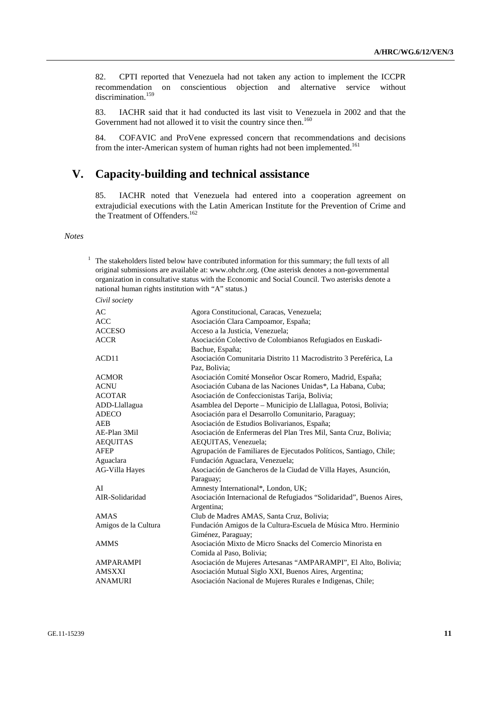82. CPTI reported that Venezuela had not taken any action to implement the ICCPR recommendation on conscientious objection and alternative service without discrimination.<sup>159</sup>

83. IACHR said that it had conducted its last visit to Venezuela in 2002 and that the Government had not allowed it to visit the country since then.<sup>160</sup>

84. COFAVIC and ProVene expressed concern that recommendations and decisions from the inter-American system of human rights had not been implemented.<sup>161</sup>

# **V. Capacity-building and technical assistance**

85. IACHR noted that Venezuela had entered into a cooperation agreement on extrajudicial executions with the Latin American Institute for the Prevention of Crime and the Treatment of Offenders.<sup>162</sup>

#### *Notes*

<sup>1</sup> The stakeholders listed below have contributed information for this summary; the full texts of all original submissions are available at: www.ohchr.org. (One asterisk denotes a non-governmental organization in consultative status with the Economic and Social Council. Two asterisks denote a national human rights institution with "A" status.)

| Agora Constitucional, Caracas, Venezuela;                           |
|---------------------------------------------------------------------|
| Asociación Clara Campoamor, España;                                 |
| Acceso a la Justicia, Venezuela;                                    |
| Asociación Colectivo de Colombianos Refugiados en Euskadi-          |
| Bachue, España;                                                     |
| Asociación Comunitaria Distrito 11 Macrodistrito 3 Pereférica. La   |
| Paz, Bolivia;                                                       |
| Asociación Comité Monseñor Oscar Romero, Madrid, España;            |
| Asociación Cubana de las Naciones Unidas*, La Habana, Cuba;         |
| Asociación de Confeccionistas Tarija, Bolivia;                      |
| Asamblea del Deporte - Municipio de Llallagua, Potosi, Bolivia;     |
| Asociación para el Desarrollo Comunitario, Paraguay;                |
| Asociación de Estudios Bolivarianos, España;                        |
| Asociación de Enfermeras del Plan Tres Mil, Santa Cruz, Bolivia;    |
| AEQUITAS, Venezuela;                                                |
| Agrupación de Familiares de Ejecutados Políticos, Santiago, Chile;  |
| Fundación Aguaclara, Venezuela;                                     |
| Asociación de Gancheros de la Ciudad de Villa Hayes, Asunción,      |
| Paraguay;                                                           |
| Amnesty International*, London, UK;                                 |
| Asociación Internacional de Refugiados "Solidaridad", Buenos Aires, |
| Argentina;                                                          |
| Club de Madres AMAS, Santa Cruz, Bolivia;                           |
| Fundación Amigos de la Cultura-Escuela de Música Mtro. Herminio     |
| Giménez, Paraguay;                                                  |
| Asociación Mixto de Micro Snacks del Comercio Minorista en          |
| Comida al Paso, Bolivia;                                            |
| Asociación de Mujeres Artesanas "AMPARAMPI", El Alto, Bolivia;      |
| Asociación Mutual Siglo XXI, Buenos Aires, Argentina;               |
| Asociación Nacional de Mujeres Rurales e Indigenas, Chile;          |
|                                                                     |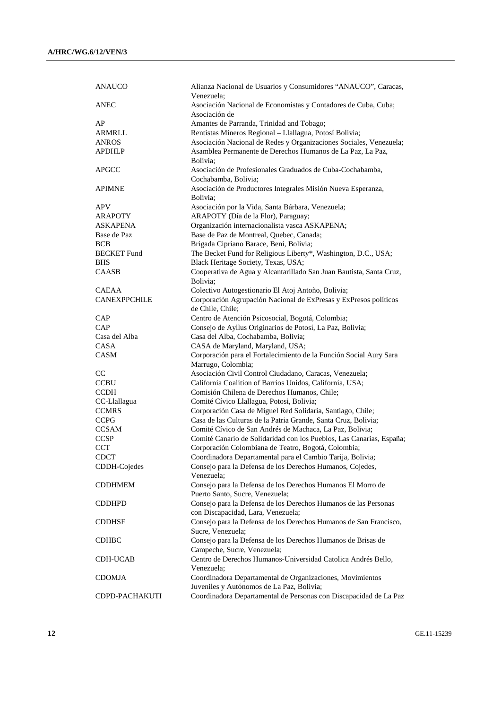| ANAUCO              | Alianza Nacional de Usuarios y Consumidores "ANAUCO", Caracas,<br>Venezuela;                           |
|---------------------|--------------------------------------------------------------------------------------------------------|
| ANEC                | Asociación Nacional de Economistas y Contadores de Cuba, Cuba;<br>Asociación de                        |
| AP                  | Amantes de Parranda, Trinidad and Tobago;                                                              |
| ARMRLL              | Rentistas Mineros Regional - Llallagua, Potosí Bolivia;                                                |
| <b>ANROS</b>        | Asociación Nacional de Redes y Organizaciones Sociales, Venezuela;                                     |
| APDHLP              | Asamblea Permanente de Derechos Humanos de La Paz, La Paz,<br>Bolivia:                                 |
| APGCC               | Asociación de Profesionales Graduados de Cuba-Cochabamba,<br>Cochabamba, Bolivia;                      |
| <b>APIMNE</b>       | Asociación de Productores Integrales Misión Nueva Esperanza,<br>Bolivia:                               |
| APV                 | Asociación por la Vida, Santa Bárbara, Venezuela;                                                      |
| ARAPOTY             | ARAPOTY (Día de la Flor), Paraguay;                                                                    |
| ASKAPENA            | Organización internacionalista vasca ASKAPENA;                                                         |
| Base de Paz         | Base de Paz de Montreal, Quebec, Canada;                                                               |
| BCB                 | Brigada Cipriano Barace, Beni, Bolivia;                                                                |
| <b>BECKET</b> Fund  | The Becket Fund for Religious Liberty*, Washington, D.C., USA;                                         |
| BHS                 | Black Heritage Society, Texas, USA;                                                                    |
| <b>CAASB</b>        | Cooperativa de Agua y Alcantarillado San Juan Bautista, Santa Cruz,                                    |
|                     | Bolivia;                                                                                               |
| CAEAA               | Colectivo Autogestionario El Atoj Antoño, Bolivia;                                                     |
| <b>CANEXPPCHILE</b> | Corporación Agrupación Nacional de ExPresas y ExPresos políticos<br>de Chile, Chile;                   |
| CAP                 | Centro de Atención Psicosocial, Bogotá, Colombia;                                                      |
| <b>CAP</b>          | Consejo de Ayllus Originarios de Potosí, La Paz, Bolivia;                                              |
| Casa del Alba       | Casa del Alba, Cochabamba, Bolivia;                                                                    |
| CASA                | CASA de Maryland, Maryland, USA;                                                                       |
| CASM                | Corporación para el Fortalecimiento de la Función Social Aury Sara<br>Marrugo, Colombia;               |
| CC                  | Asociación Civil Control Ciudadano, Caracas, Venezuela;                                                |
| <b>CCBU</b>         | California Coalition of Barrios Unidos, California, USA;                                               |
| CCDH                | Comisión Chilena de Derechos Humanos, Chile;                                                           |
| CC-Llallagua        | Comité Cívico Llallagua, Potosi, Bolivia;                                                              |
| <b>CCMRS</b>        | Corporación Casa de Miguel Red Solidaria, Santiago, Chile;                                             |
| <b>CCPG</b>         | Casa de las Culturas de la Patria Grande, Santa Cruz, Bolivia;                                         |
| <b>CCSAM</b>        | Comité Cívico de San Andrés de Machaca, La Paz, Bolivia;                                               |
| <b>CCSP</b>         | Comité Canario de Solidaridad con los Pueblos, Las Canarias, España;                                   |
| CCT                 | Corporación Colombiana de Teatro, Bogotá, Colombia;                                                    |
| CDCT                | Coordinadora Departamental para el Cambio Tarija, Bolivia;                                             |
| CDDH-Cojedes        | Consejo para la Defensa de los Derechos Humanos, Cojedes,<br>Venezuela;                                |
| <b>CDDHMEM</b>      | Consejo para la Defensa de los Derechos Humanos El Morro de<br>Puerto Santo, Sucre, Venezuela;         |
| CDDHPD              | Consejo para la Defensa de los Derechos Humanos de las Personas<br>con Discapacidad, Lara, Venezuela;  |
| CDDHSF              | Consejo para la Defensa de los Derechos Humanos de San Francisco,<br>Sucre, Venezuela;                 |
| CDHBC               | Consejo para la Defensa de los Derechos Humanos de Brisas de<br>Campeche, Sucre, Venezuela;            |
| CDH-UCAB            | Centro de Derechos Humanos-Universidad Catolica Andrés Bello,<br>Venezuela:                            |
| CDOMJA              | Coordinadora Departamental de Organizaciones, Movimientos<br>Juveniles y Autónomos de La Paz, Bolivia; |
| CDPD-PACHAKUTI      | Coordinadora Departamental de Personas con Discapacidad de La Paz                                      |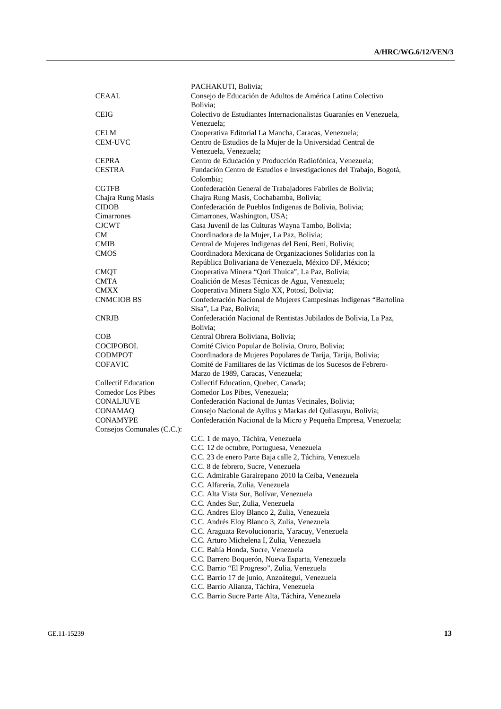|                            | PACHAKUTI, Bolivia;                                                               |
|----------------------------|-----------------------------------------------------------------------------------|
| <b>CEAAL</b>               | Consejo de Educación de Adultos de América Latina Colectivo<br>Bolivia;           |
| <b>CEIG</b>                | Colectivo de Estudiantes Internacionalistas Guaraníes en Venezuela.<br>Venezuela; |
| <b>CELM</b>                | Cooperativa Editorial La Mancha, Caracas, Venezuela;                              |
| <b>CEM-UVC</b>             | Centro de Estudios de la Mujer de la Universidad Central de                       |
|                            | Venezuela, Venezuela;                                                             |
|                            |                                                                                   |
| <b>CEPRA</b>               | Centro de Educación y Producción Radiofónica, Venezuela;                          |
| <b>CESTRA</b>              | Fundación Centro de Estudios e Investigaciones del Trabajo, Bogotá,               |
|                            | Colombia;                                                                         |
| <b>CGTFB</b>               | Confederación General de Trabajadores Fabriles de Bolivia;                        |
| Chajra Rung Masis          | Chajra Rung Masis, Cochabamba, Bolivia;                                           |
| <b>CIDOB</b>               | Confederación de Pueblos Indigenas de Bolivia, Bolivia;                           |
| Cimarrones                 | Cimarrones, Washington, USA;                                                      |
| <b>CJCWT</b>               | Casa Juvenil de las Culturas Wayna Tambo, Bolivia;                                |
| <b>CM</b>                  | Coordinadora de la Mujer, La Paz, Bolivia;                                        |
| <b>CMIB</b>                | Central de Mujeres Indigenas del Beni, Beni, Bolivia;                             |
| <b>CMOS</b>                | Coordinadora Mexicana de Organizaciones Solidarias con la                         |
|                            | República Bolivariana de Venezuela, México DF, México;                            |
| <b>CMQT</b>                | Cooperativa Minera "Qori Thuica", La Paz, Bolivia;                                |
| <b>CMTA</b>                | Coalición de Mesas Técnicas de Agua, Venezuela;                                   |
| <b>CMXX</b>                | Cooperativa Minera Siglo XX, Potosí, Bolivia;                                     |
| <b>CNMCIOB BS</b>          | Confederación Nacional de Mujeres Campesinas Indigenas "Bartolina                 |
|                            | Sisa", La Paz, Bolivia;                                                           |
| <b>CNRJB</b>               | Confederación Nacional de Rentistas Jubilados de Bolivia, La Paz,                 |
|                            | Bolivia;                                                                          |
| COB                        | Central Obrera Boliviana, Bolivia;                                                |
| <b>COCIPOBOL</b>           | Comité Cívico Popular de Bolivia, Oruro, Bolivia;                                 |
| <b>CODMPOT</b>             | Coordinadora de Mujeres Populares de Tarija, Tarija, Bolivia;                     |
| <b>COFAVIC</b>             | Comité de Familiares de las Víctimas de los Sucesos de Febrero-                   |
|                            | Marzo de 1989, Caracas, Venezuela;                                                |
| Collectif Education        | Collectif Education, Quebec, Canada;                                              |
| <b>Comedor Los Pibes</b>   | Comedor Los Pibes, Venezuela;                                                     |
| <b>CONALJUVE</b>           | Confederación Nacional de Juntas Vecinales, Bolivia;                              |
| <b>CONAMAQ</b>             | Consejo Nacional de Ayllus y Markas del Qullasuyu, Bolivia;                       |
| <b>CONAMYPE</b>            | Confederación Nacional de la Micro y Pequeña Empresa, Venezuela;                  |
| Consejos Comunales (C.C.): |                                                                                   |
|                            | C.C. 1 de mayo, Táchira, Venezuela                                                |
|                            | C.C. 12 de octubre, Portuguesa, Venezuela                                         |
|                            | C.C. 23 de enero Parte Baja calle 2, Táchira, Venezuela                           |
|                            | C.C. 8 de febrero, Sucre, Venezuela                                               |
|                            | C.C. Admirable Garairepano 2010 la Ceiba, Venezuela                               |
|                            | C.C. Alfarería, Zulia, Venezuela                                                  |
|                            | C.C. Alta Vista Sur, Bolívar, Venezuela                                           |
|                            | C.C. Andes Sur, Zulia, Venezuela                                                  |
|                            | C.C. Andres Eloy Blanco 2, Zulia, Venezuela                                       |
|                            | C.C. Andrés Eloy Blanco 3, Zulia, Venezuela                                       |
|                            | C.C. Araguata Revolucionaria, Yaracuy, Venezuela                                  |
|                            | C.C. Arturo Michelena I, Zulia, Venezuela                                         |
|                            | C.C. Bahía Honda, Sucre, Venezuela                                                |
|                            | C.C. Barrero Boquerón, Nueva Esparta, Venezuela                                   |
|                            | C.C. Barrio "El Progreso", Zulia, Venezuela                                       |
|                            | C.C. Barrio 17 de junio, Anzoátegui, Venezuela                                    |
|                            | C.C. Barrio Alianza, Táchira, Venezuela                                           |
|                            | C.C. Barrio Sucre Parte Alta, Táchira, Venezuela                                  |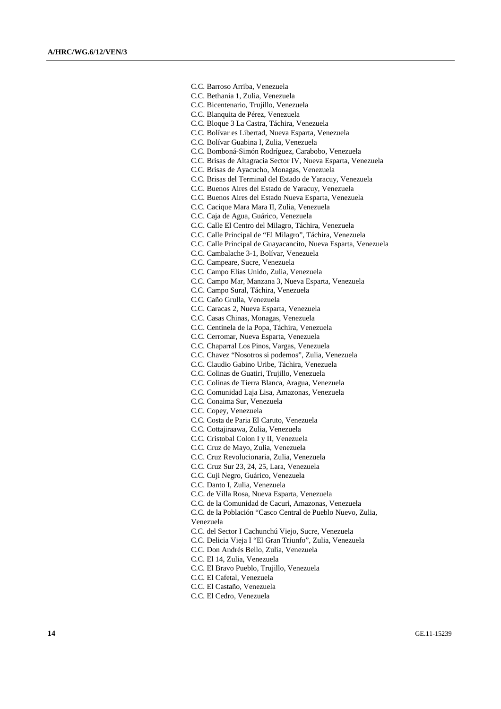C.C. Barroso Arriba, Venezuela

C.C. Bethania 1, Zulia, Venezuela

C.C. Bicentenario, Trujillo, Venezuela

C.C. Blanquita de Pérez, Venezuela

C.C. Bloque 3 La Castra, Táchira, Venezuela

C.C. Bolívar es Libertad, Nueva Esparta, Venezuela

C.C. Bolívar Guabina I, Zulia, Venezuela

C.C. Bomboná-Simón Rodríguez, Carabobo, Venezuela

C.C. Brisas de Altagracia Sector IV, Nueva Esparta, Venezuela

C.C. Brisas de Ayacucho, Monagas, Venezuela

C.C. Brisas del Terminal del Estado de Yaracuy, Venezuela

C.C. Buenos Aires del Estado de Yaracuy, Venezuela

C.C. Buenos Aires del Estado Nueva Esparta, Venezuela

C.C. Cacique Mara Mara II, Zulia, Venezuela

C.C. Caja de Agua, Guárico, Venezuela

C.C. Calle El Centro del Milagro, Táchira, Venezuela

C.C. Calle Principal de "El Milagro", Táchira, Venezuela

C.C. Calle Principal de Guayacancito, Nueva Esparta, Venezuela

C.C. Cambalache 3-1, Bolívar, Venezuela

C.C. Campeare, Sucre, Venezuela

C.C. Campo Elias Unido, Zulia, Venezuela

C.C. Campo Mar, Manzana 3, Nueva Esparta, Venezuela

C.C. Campo Sural, Táchira, Venezuela

C.C. Caño Grulla, Venezuela

C.C. Caracas 2, Nueva Esparta, Venezuela

C.C. Casas Chinas, Monagas, Venezuela

C.C. Centinela de la Popa, Táchira, Venezuela

C.C. Cerromar, Nueva Esparta, Venezuela

C.C. Chaparral Los Pinos, Vargas, Venezuela

C.C. Chavez "Nosotros si podemos", Zulia, Venezuela

C.C. Claudio Gabino Uribe, Táchira, Venezuela

C.C. Colinas de Guatiri, Trujillo, Venezuela

C.C. Colinas de Tierra Blanca, Aragua, Venezuela

C.C. Comunidad Laja Lisa, Amazonas, Venezuela

C.C. Conaima Sur, Venezuela

C.C. Copey, Venezuela

C.C. Costa de Paria El Caruto, Venezuela

C.C. Cottajiraawa, Zulia, Venezuela

C.C. Cristobal Colon I y II, Venezuela

C.C. Cruz de Mayo, Zulia, Venezuela

C.C. Cruz Revolucionaria, Zulia, Venezuela

C.C. Cruz Sur 23, 24, 25, Lara, Venezuela

C.C. Cuji Negro, Guárico, Venezuela

C.C. Danto I, Zulia, Venezuela

C.C. de Villa Rosa, Nueva Esparta, Venezuela

C.C. de la Comunidad de Cacuri, Amazonas, Venezuela

C.C. de la Población "Casco Central de Pueblo Nuevo, Zulia, Venezuela

C.C. del Sector I Cachunchú Viejo, Sucre, Venezuela

C.C. Delicia Vieja I "El Gran Triunfo", Zulia, Venezuela

C.C. Don Andrés Bello, Zulia, Venezuela

C.C. El 14, Zulia, Venezuela

C.C. El Bravo Pueblo, Trujillo, Venezuela

C.C. El Cafetal, Venezuela

C.C. El Castaño, Venezuela

C.C. El Cedro, Venezuela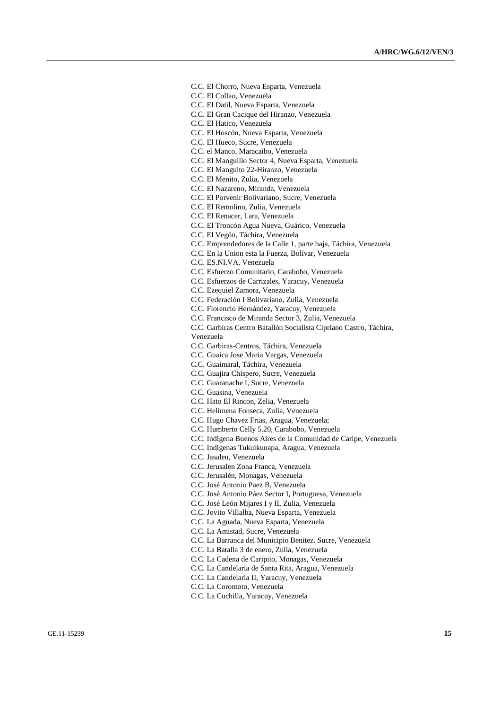C.C. El Chorro, Nueva Esparta, Venezuela

C.C. El Collao, Venezuela

C.C. El Datil, Nueva Esparta, Venezuela

C.C. El Gran Cacique del Hiranzo, Venezuela

C.C. El Hatico, Venezuela

C.C. El Hoscón, Nueva Esparta, Venezuela

C.C. El Hueco, Sucre, Venezuela

C.C. el Manco, Maracaibo, Venezuela

C.C. El Manguillo Sector 4, Nueva Esparta, Venezuela

C.C. El Manguito 22-Hiranzo, Venezuela

C.C. El Menito, Zulia, Venezuela

C.C. El Nazareno, Miranda, Venezuela

C.C. El Porvenir Bolivariano, Sucre, Venezuela

C.C. El Remolino, Zulia, Venezuela

C.C. El Renacer, Lara, Venezuela

C.C. El Troncón Agua Nueva, Guárico, Venezuela

C.C. El Vegón, Táchira, Venezuela

C.C. Emprendedores de la Calle 1, parte baja, Táchira, Venezuela

C.C. En la Union esta la Fuerza, Bolívar, Venezuela

C.C. ES.NI.VA, Venezuela

C.C. Esfuerzo Comunitario, Carabobo, Venezuela

C.C. Esfuerzos de Carrizales, Yaracuy, Venezuela

C.C. Ezequiel Zamora, Venezuela

C.C. Federación I Bolivariano, Zulia, Venezuela

C.C. Florencio Hernández, Yaracuy, Venezuela

C.C. Francisco de Miranda Sector 3, Zulia, Venezuela

C.C. Garbiras Centro Batallón Socialista Cipriano Castro, Táchira, Venezuela

C.C. Garbiras-Centros, Táchira, Venezuela

C.C. Guaica Jose Maria Vargas, Venezuela

C.C. Guaimaral, Táchira, Venezuela

C.C. Guajira Chispero, Sucre, Venezuela

C.C. Guaranache I, Sucre, Venezuela

C.C. Guasina, Venezuela

C.C. Hato El Rincon, Zelia, Venezuela

C.C. Helimena Fonseca, Zulia, Venezuela

C.C. Hugo Chavez Frias, Aragua, Venezuela;

C.C. Humberto Celly 5.20, Carabobo, Venezuela

C.C. Indigena Buenos Aires de la Comunidad de Caripe, Venezuela

C.C. Indigenas Tukuikunapa, Aragua, Venezuela

C.C. Jasaleu, Venezuela

C.C. Jerusalen Zona Franca, Venezuela

C.C. Jerusalén, Monagas, Venezuela

C.C. José Antonio Paez B, Venezuela

C.C. José Antonio Páez Sector I, Portuguesa, Venezuela

C.C. José León Mijares I y II, Zulia, Venezuela

C.C. Jovito Villalba, Nueva Esparta, Venezuela

C.C. La Aguada, Nueva Esparta, Venezuela

C.C. La Amistad, Sucre, Venezuela

C.C. La Barranca del Municipio Benitez. Sucre, Venezuela

C.C. La Batalla 3 de enero, Zulia, Venezuela

C.C. La Cadena de Caripito, Monagas, Venezuela

C.C. La Candelaria de Santa Rita, Aragua, Venezuela

C.C. La Candelaria II, Yaracuy, Venezuela

C.C. La Coromoto, Venezuela

C.C. La Cuchilla, Yaracuy, Venezuela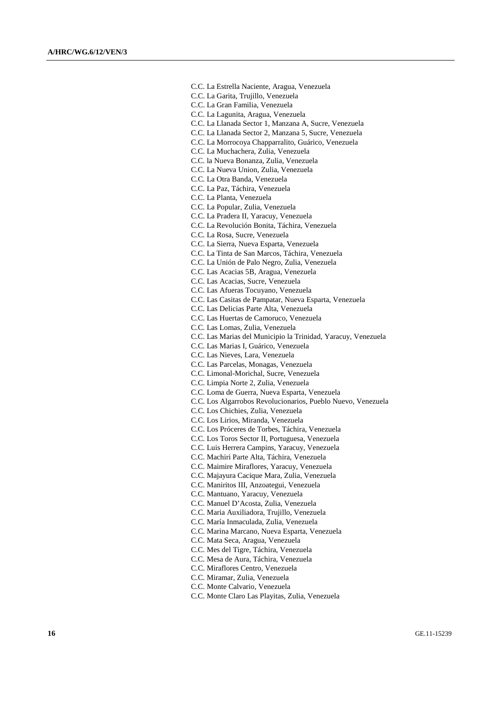C.C. La Estrella Naciente, Aragua, Venezuela

C.C. La Garita, Trujillo, Venezuela

C.C. La Gran Familia, Venezuela

C.C. La Lagunita, Aragua, Venezuela

C.C. La Llanada Sector 1, Manzana A, Sucre, Venezuela

C.C. La Llanada Sector 2, Manzana 5, Sucre, Venezuela

C.C. La Morrocoya Chapparralito, Guárico, Venezuela

C.C. La Muchachera, Zulia, Venezuela

C.C. la Nueva Bonanza, Zulia, Venezuela

C.C. La Nueva Union, Zulia, Venezuela

C.C. La Otra Banda, Venezuela

C.C. La Paz, Táchira, Venezuela

C.C. La Planta, Venezuela

C.C. La Popular, Zulia, Venezuela

C.C. La Pradera II, Yaracuy, Venezuela

C.C. La Revolución Bonita, Táchira, Venezuela

C.C. La Rosa, Sucre, Venezuela

C.C. La Sierra, Nueva Esparta, Venezuela

C.C. La Tinta de San Marcos, Táchira, Venezuela

C.C. La Unión de Palo Negro, Zulia, Venezuela

C.C. Las Acacias 5B, Aragua, Venezuela

C.C. Las Acacias, Sucre, Venezuela

C.C. Las Afueras Tocuyano, Venezuela

C.C. Las Casitas de Pampatar, Nueva Esparta, Venezuela

C.C. Las Delicias Parte Alta, Venezuela

C.C. Las Huertas de Camoruco, Venezuela

C.C. Las Lomas, Zulia, Venezuela

C.C. Las Marias del Municipio la Trinidad, Yaracuy, Venezuela

C.C. Las Marias I, Guárico, Venezuela

C.C. Las Nieves, Lara, Venezuela

C.C. Las Parcelas, Monagas, Venezuela

C.C. Limonal-Morichal, Sucre, Venezuela

C.C. Limpia Norte 2, Zulia, Venezuela

C.C. Loma de Guerra, Nueva Esparta, Venezuela

C.C. Los Algarrobos Revolucionarios, Pueblo Nuevo, Venezuela

C.C. Los Chichies, Zulia, Venezuela

C.C. Los Lirios, Miranda, Venezuela

C.C. Los Próceres de Torbes, Táchira, Venezuela

C.C. Los Toros Sector II, Portuguesa, Venezuela

C.C. Luis Herrera Campins, Yaracuy, Venezuela

C.C. Machiri Parte Alta, Táchira, Venezuela

C.C. Maimire Miraflores, Yaracuy, Venezuela

C.C. Majayura Cacique Mara, Zulia, Venezuela

C.C. Maniritos III, Anzoategui, Venezuela

C.C. Mantuano, Yaracuy, Venezuela

C.C. Manuel D'Acosta, Zulia, Venezuela

C.C. Maria Auxiliadora, Trujillo, Venezuela

C.C. María Inmaculada, Zulia, Venezuela

C.C. Marina Marcano, Nueva Esparta, Venezuela

C.C. Mata Seca, Aragua, Venezuela

C.C. Mes del Tigre, Táchira, Venezuela

C.C. Mesa de Aura, Táchira, Venezuela

C.C. Miraflores Centro, Venezuela

C.C. Miramar, Zulia, Venezuela

C.C. Monte Calvario, Venezuela

C.C. Monte Claro Las Playitas, Zulia, Venezuela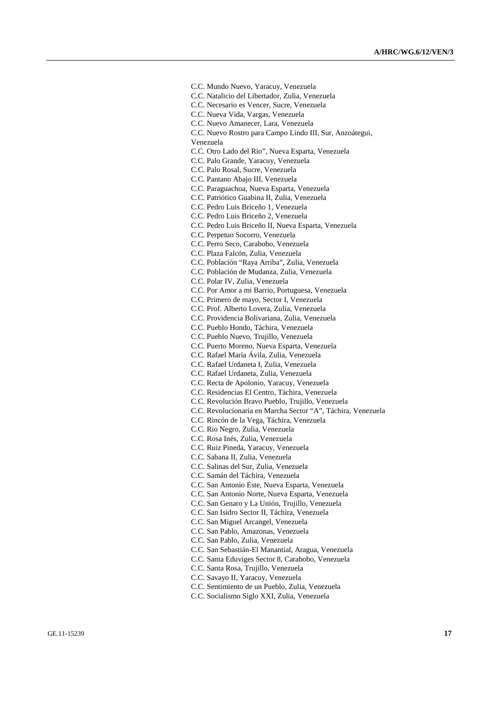C.C. Mundo Nuevo, Yaracuy, Venezuela

C.C. Natalicio del Libertador, Zulia, Venezuela

C.C. Necesario es Vencer, Sucre, Venezuela

C.C. Nueva Vida, Vargas, Venezuela

C.C. Nuevo Amanecer, Lara, Venezuela

C.C. Nuevo Rostro para Campo Lindo III, Sur, Anzoátegui,

Venezuela

C.C. Otro Lado del Rio", Nueva Esparta, Venezuela

C.C. Palo Grande, Yaracuy, Venezuela

C.C. Palo Rosal, Sucre, Venezuela

C.C. Pantano Abajo III, Venezuela

C.C. Paraguachoa, Nueva Esparta, Venezuela

C.C. Patriótico Guabina II, Zulia, Venezuela

C.C. Pedro Luis Briceño 1, Venezuela

C.C. Pedro Luis Briceño 2, Venezuela

C.C. Pedro Luis Briceño II, Nueva Esparta, Venezuela

C.C. Perpetuo Socorro, Venezuela

C.C. Perro Seco, Carabobo, Venezuela

C.C. Plaza Falcón, Zulia, Venezuela

C.C. Población "Raya Arriba", Zulia, Venezuela

C.C. Población de Mudanza, Zulia, Venezuela

C.C. Polar IV, Zulia, Venezuela

C.C. Por Amor a mi Barrio, Portuguesa, Venezuela

C.C. Primero de mayo, Sector I, Venezuela

C.C. Prof. Alberto Lovera, Zulia, Venezuela

C.C. Providencia Bolivariana, Zulia, Venezuela

C.C. Pueblo Hondo, Táchira, Venezuela

C.C. Pueblo Nuevo, Trujillo, Venezuela

C.C. Puerto Moreno, Nueva Esparta, Venezuela

C.C. Rafael María Ávila, Zulia, Venezuela

C.C. Rafael Urdaneta I, Zulia, Venezuela

C.C. Rafael Urdaneta, Zulia, Venezuela

C.C. Recta de Apolonio, Yaracuy, Venezuela

C.C. Residencias El Centro, Táchira, Venezuela

C.C. Revolución Bravo Pueblo, Trujillo, Venezuela

C.C. Revolucionaria en Marcha Sector "A", Táchira, Venezuela

C.C. Rincón de la Vega, Táchira, Venezuela

C.C. Rio Negro, Zulia, Venezuela

C.C. Rosa Inés, Zulia, Venezuela

C.C. Ruiz Pineda, Yaracuy, Venezuela

C.C. Sabana II, Zulia, Venezuela

C.C. Salinas del Sur, Zulia, Venezuela

C.C. Samán del Táchira, Venezuela

C.C. San Antonio Este, Nueva Esparta, Venezuela

C.C. San Antonio Norte, Nueva Esparta, Venezuela

C.C. San Genaro y La Unión, Trujillo, Venezuela

C.C. San Isidro Sector II, Táchira, Venezuela

C.C. San Miguel Arcangel, Venezuela

C.C. San Pablo, Amazonas, Venezuela

C.C. San Pablo, Zulia, Venezuela

C.C. San Sebastián-El Manantial, Aragua, Venezuela

C.C. Santa Eduviges Sector 8, Carabobo, Venezuela

C.C. Santa Rosa, Trujillo, Venezuela

C.C. Savayo II, Yaracuy, Venezuela

C.C. Sentimiento de un Pueblo, Zulia, Venezuela

C.C. Socialismo Siglo XXI, Zulia, Venezuela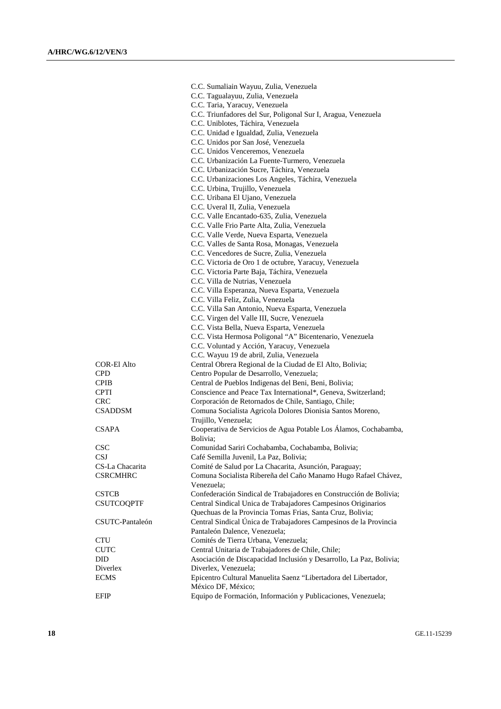|                   | C.C. Sumaliain Wayuu, Zulia, Venezuela                              |
|-------------------|---------------------------------------------------------------------|
|                   | C.C. Tagualayuu, Zulia, Venezuela                                   |
|                   | C.C. Taria, Yaracuy, Venezuela                                      |
|                   | C.C. Triunfadores del Sur, Poligonal Sur I, Aragua, Venezuela       |
|                   | C.C. Uniblotes, Táchira, Venezuela                                  |
|                   | C.C. Unidad e Igualdad, Zulia, Venezuela                            |
|                   | C.C. Unidos por San José, Venezuela                                 |
|                   | C.C. Unidos Venceremos, Venezuela                                   |
|                   | C.C. Urbanización La Fuente-Turmero, Venezuela                      |
|                   | C.C. Urbanización Sucre, Táchira, Venezuela                         |
|                   | C.C. Urbanizaciones Los Angeles, Táchira, Venezuela                 |
|                   |                                                                     |
|                   | C.C. Urbina, Trujillo, Venezuela                                    |
|                   | C.C. Uribana El Ujano, Venezuela                                    |
|                   | C.C. Uveral II, Zulia, Venezuela                                    |
|                   | C.C. Valle Encantado-635, Zulia, Venezuela                          |
|                   | C.C. Valle Frio Parte Alta, Zulia, Venezuela                        |
|                   | C.C. Valle Verde, Nueva Esparta, Venezuela                          |
|                   | C.C. Valles de Santa Rosa, Monagas, Venezuela                       |
|                   | C.C. Vencedores de Sucre, Zulia, Venezuela                          |
|                   | C.C. Victoria de Oro 1 de octubre, Yaracuy, Venezuela               |
|                   | C.C. Victoria Parte Baja, Táchira, Venezuela                        |
|                   | C.C. Villa de Nutrias, Venezuela                                    |
|                   | C.C. Villa Esperanza, Nueva Esparta, Venezuela                      |
|                   | C.C. Villa Feliz, Zulia, Venezuela                                  |
|                   | C.C. Villa San Antonio, Nueva Esparta, Venezuela                    |
|                   | C.C. Virgen del Valle III, Sucre, Venezuela                         |
|                   | C.C. Vista Bella, Nueva Esparta, Venezuela                          |
|                   |                                                                     |
|                   | C.C. Vista Hermosa Poligonal "A" Bicentenario, Venezuela            |
|                   | C.C. Voluntad y Acción, Yaracuy, Venezuela                          |
|                   | C.C. Wayuu 19 de abril, Zulia, Venezuela                            |
| COR-El Alto       | Central Obrera Regional de la Ciudad de El Alto, Bolivia;           |
| <b>CPD</b>        | Centro Popular de Desarrollo, Venezuela;                            |
| <b>CPIB</b>       | Central de Pueblos Indigenas del Beni, Beni, Bolivia;               |
| <b>CPTI</b>       | Conscience and Peace Tax International*, Geneva, Switzerland;       |
| <b>CRC</b>        | Corporación de Retornados de Chile, Santiago, Chile;                |
| <b>CSADDSM</b>    | Comuna Socialista Agricola Dolores Dionisia Santos Moreno,          |
|                   | Trujillo, Venezuela;                                                |
| <b>CSAPA</b>      | Cooperativa de Servicios de Agua Potable Los Álamos, Cochabamba,    |
|                   | Bolivia;                                                            |
| <b>CSC</b>        | Comunidad Sariri Cochabamba, Cochabamba, Bolivia;                   |
| <b>CSJ</b>        | Café Semilla Juvenil, La Paz, Bolivia;                              |
|                   | Comité de Salud por La Chacarita, Asunción, Paraguay;               |
| CS-La Chacarita   |                                                                     |
| <b>CSRCMHRC</b>   | Comuna Socialista Ribereña del Caño Manamo Hugo Rafael Chávez,      |
|                   | Venezuela;                                                          |
| <b>CSTCB</b>      | Confederación Sindical de Trabajadores en Construcción de Bolivia;  |
| <b>CSUTCOQPTF</b> | Central Sindical Unica de Trabajadores Campesinos Originarios       |
|                   | Quechuas de la Provincia Tomas Frias, Santa Cruz, Bolivia;          |
| CSUTC-Pantaleón   | Central Sindical Única de Trabajadores Campesinos de la Provincia   |
|                   | Pantaleón Dalence, Venezuela;                                       |
| <b>CTU</b>        | Comités de Tierra Urbana, Venezuela;                                |
| <b>CUTC</b>       | Central Unitaria de Trabajadores de Chile, Chile;                   |
| DID               | Asociación de Discapacidad Inclusión y Desarrollo, La Paz, Bolivia; |
| Diverlex          | Diverlex, Venezuela;                                                |
| <b>ECMS</b>       | Epicentro Cultural Manuelita Saenz "Libertadora del Libertador,     |
|                   | México DF, México;                                                  |
| <b>EFIP</b>       | Equipo de Formación, Información y Publicaciones, Venezuela;        |
|                   |                                                                     |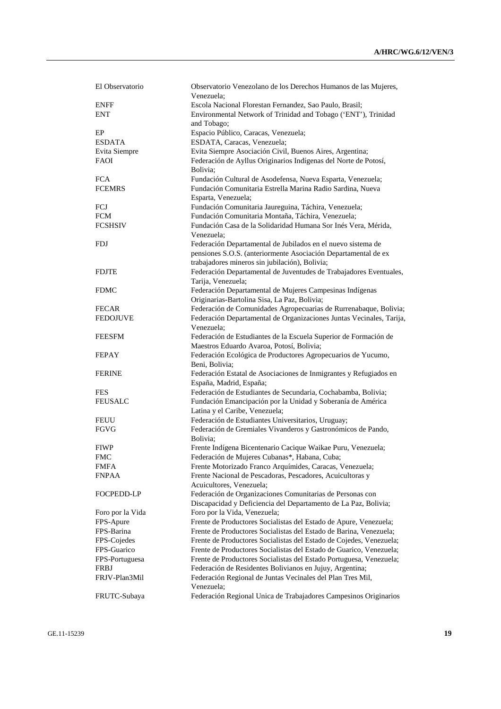| El Observatorio  | Observatorio Venezolano de los Derechos Humanos de las Mujeres,<br>Venezuela; |
|------------------|-------------------------------------------------------------------------------|
| <b>ENFF</b>      | Escola Nacional Florestan Fernandez, Sao Paulo, Brasil;                       |
| ENT              | Environmental Network of Trinidad and Tobago ('ENT'), Trinidad                |
|                  | and Tobago;                                                                   |
| EP               | Espacio Público, Caracas, Venezuela;                                          |
| <b>ESDATA</b>    | ESDATA, Caracas, Venezuela;                                                   |
| Evita Siempre    | Evita Siempre Asociación Civil, Buenos Aires, Argentina;                      |
| <b>FAOI</b>      | Federación de Ayllus Originarios Indígenas del Norte de Potosí,               |
|                  | Bolivia;                                                                      |
| <b>FCA</b>       | Fundación Cultural de Asodefensa, Nueva Esparta, Venezuela;                   |
| <b>FCEMRS</b>    | Fundación Comunitaria Estrella Marina Radio Sardina, Nueva                    |
|                  | Esparta, Venezuela;                                                           |
| FCJ              | Fundación Comunitaria Jaureguina, Táchira, Venezuela;                         |
| <b>FCM</b>       | Fundación Comunitaria Montaña, Táchira, Venezuela;                            |
| <b>FCSHSIV</b>   | Fundación Casa de la Solidaridad Humana Sor Inés Vera, Mérida,                |
|                  | Venezuela;                                                                    |
| <b>FDJ</b>       | Federación Departamental de Jubilados en el nuevo sistema de                  |
|                  | pensiones S.O.S. (anteriormente Asociación Departamental de ex                |
|                  | trabajadores mineros sin jubilación), Bolivia;                                |
| <b>FDJTE</b>     | Federación Departamental de Juventudes de Trabajadores Eventuales,            |
|                  | Tarija, Venezuela;                                                            |
| <b>FDMC</b>      | Federación Departamental de Mujeres Campesinas Indígenas                      |
|                  | Originarias-Bartolina Sisa, La Paz, Bolivia;                                  |
| <b>FECAR</b>     | Federación de Comunidades Agropecuarias de Rurrenabaque, Bolivia;             |
| <b>FEDOJUVE</b>  | Federación Departamental de Organizaciones Juntas Vecinales, Tarija,          |
|                  | Venezuela;                                                                    |
| <b>FEESFM</b>    | Federación de Estudiantes de la Escuela Superior de Formación de              |
|                  | Maestros Eduardo Avaroa, Potosí, Bolivia;                                     |
| <b>FEPAY</b>     | Federación Ecológica de Productores Agropecuarios de Yucumo,                  |
|                  | Beni, Bolivia;                                                                |
| <b>FERINE</b>    | Federación Estatal de Asociaciones de Inmigrantes y Refugiados en             |
|                  | España, Madrid, España;                                                       |
| <b>FES</b>       | Federación de Estudiantes de Secundaria, Cochabamba, Bolivia;                 |
| <b>FEUSALC</b>   | Fundación Emancipación por la Unidad y Soberanía de América                   |
|                  | Latina y el Caribe, Venezuela;                                                |
| <b>FEUU</b>      | Federación de Estudiantes Universitarios, Uruguay;                            |
| FGVG             | Federación de Gremiales Vivanderos y Gastronómicos de Pando,                  |
|                  | Bolivia:                                                                      |
| <b>FIWP</b>      | Frente Indígena Bicentenario Cacique Waikae Puru, Venezuela;                  |
| <b>FMC</b>       |                                                                               |
|                  | Federación de Mujeres Cubanas*, Habana, Cuba;                                 |
| <b>FMFA</b>      | Frente Motorizado Franco Arquímides, Caracas, Venezuela;                      |
| <b>FNPAA</b>     | Frente Nacional de Pescadoras, Pescadores, Acuicultoras y                     |
|                  | Acuicultores, Venezuela;                                                      |
| FOCPEDD-LP       | Federación de Organizaciones Comunitarias de Personas con                     |
|                  | Discapacidad y Deficiencia del Departamento de La Paz, Bolivia;               |
| Foro por la Vida | Foro por la Vida, Venezuela;                                                  |
| FPS-Apure        | Frente de Productores Socialistas del Estado de Apure, Venezuela;             |
| FPS-Barina       | Frente de Productores Socialistas del Estado de Barina, Venezuela;            |
| FPS-Cojedes      | Frente de Productores Socialistas del Estado de Cojedes, Venezuela;           |
| FPS-Guarico      | Frente de Productores Socialistas del Estado de Guarico, Venezuela;           |
| FPS-Portuguesa   | Frente de Productores Socialistas del Estado Portuguesa, Venezuela;           |
| FRBJ             | Federación de Residentes Bolivianos en Jujuy, Argentina;                      |
| FRJV-Plan3Mil    | Federación Regional de Juntas Vecinales del Plan Tres Mil,                    |
|                  | Venezuela;                                                                    |
| FRUTC-Subaya     | Federación Regional Unica de Trabajadores Campesinos Originarios              |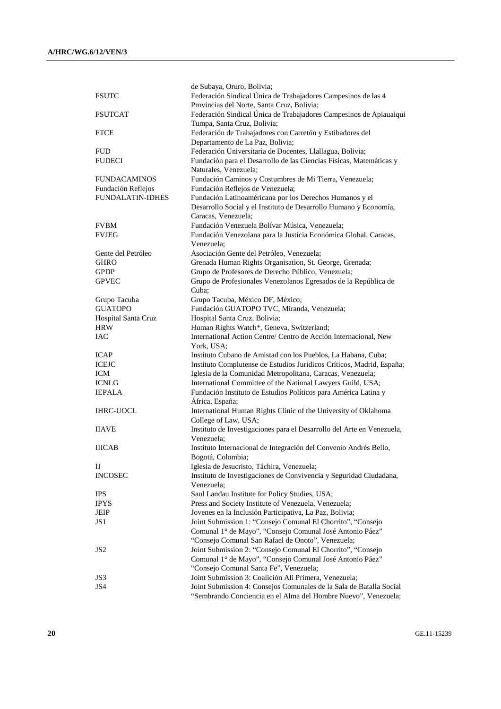|                         | de Subaya, Oruro, Bolivia;                                                                             |
|-------------------------|--------------------------------------------------------------------------------------------------------|
| <b>FSUTC</b>            | Federación Sindical Única de Trabajadores Campesinos de las 4                                          |
|                         | Provincias del Norte, Santa Cruz, Bolivia;                                                             |
| <b>FSUTCAT</b>          | Federación Sindical Única de Trabajadores Campesinos de Apiauaiqui                                     |
|                         | Tumpa, Santa Cruz, Bolivia;                                                                            |
| <b>FTCE</b>             | Federación de Trabajadores con Carretón y Estibadores del                                              |
|                         | Departamento de La Paz, Bolivia;                                                                       |
| <b>FUD</b>              | Federación Universitaria de Docentes, Llallagua, Bolivia;                                              |
| <b>FUDECI</b>           | Fundación para el Desarrollo de las Ciencias Físicas, Matemáticas y                                    |
| <b>FUNDACAMINOS</b>     | Naturales, Venezuela;<br>Fundación Caminos y Costumbres de Mi Tierra, Venezuela;                       |
| Fundación Reflejos      | Fundación Reflejos de Venezuela;                                                                       |
| <b>FUNDALATIN-IDHES</b> | Fundación Latinoaméricana por los Derechos Humanos y el                                                |
|                         | Desarrollo Social y el Instituto de Desarrollo Humano y Economía,                                      |
|                         | Caracas, Venezuela;                                                                                    |
| <b>FVBM</b>             | Fundación Venezuela Bolívar Música, Venezuela;                                                         |
| <b>FVJEG</b>            | Fundación Venezolana para la Justicia Económica Global, Caracas,                                       |
|                         | Venezuela;                                                                                             |
| Gente del Petróleo      | Asociación Gente del Petróleo, Venezuela;                                                              |
| <b>GHRO</b>             | Grenada Human Rights Organisation, St. George, Grenada;                                                |
| <b>GPDP</b>             | Grupo de Profesores de Derecho Público, Venezuela;                                                     |
| <b>GPVEC</b>            | Grupo de Profesionales Venezolanos Egresados de la República de<br>Cuba;                               |
| Grupo Tacuba            | Grupo Tacuba, México DF, México;                                                                       |
| <b>GUATOPO</b>          | Fundación GUATOPO TVC, Miranda, Venezuela;                                                             |
| Hospital Santa Cruz     | Hospital Santa Cruz, Bolivia;                                                                          |
| <b>HRW</b>              | Human Rights Watch*, Geneva, Switzerland;                                                              |
| IAC                     | International Action Centre/ Centro de Acción Internacional, New                                       |
|                         | York, USA;                                                                                             |
| <b>ICAP</b>             | Instituto Cubano de Amistad con los Pueblos, La Habana, Cuba;                                          |
| <b>ICEJC</b>            | Instituto Complutense de Estudios Juridicos Críticos, Madrid, España;                                  |
| <b>ICM</b>              | Iglesia de la Comunidad Metropolitana, Caracas, Venezuela;                                             |
| <b>ICNLG</b>            | International Committee of the National Lawyers Guild, USA;                                            |
| <b>IEPALA</b>           | Fundación Instituto de Estudios Políticos para América Latina y<br>Africa, España;                     |
| <b>IHRC-UOCL</b>        | International Human Rights Clinic of the University of Oklahoma                                        |
|                         | College of Law, USA;                                                                                   |
| <b>IIAVE</b>            | Instituto de Investigaciones para el Desarrollo del Arte en Venezuela,                                 |
|                         | Venezuela;                                                                                             |
| <b>IIICAB</b>           | Instituto Internacional de Integración del Convenio Andrés Bello,                                      |
|                         | Bogotá, Colombia;                                                                                      |
| IJ                      | Iglesia de Jesucristo, Táchira, Venezuela;                                                             |
| <b>INCOSEC</b>          | Instituto de Investigaciones de Convivencia y Seguridad Ciudadana,                                     |
|                         | Venezuela;                                                                                             |
| <b>IPS</b>              | Saul Landau Institute for Policy Studies, USA;<br>Press and Society Institute of Venezuela, Venezuela; |
| <b>IPYS</b><br>JEIP     | Jovenes en la Inclusión Participativa, La Paz, Bolivia;                                                |
| JS <sub>1</sub>         | Joint Submission 1: "Consejo Comunal El Chorrito", "Consejo                                            |
|                         | Comunal 1° de Mayo", "Consejo Comunal José Antonio Páez"                                               |
|                         | "Consejo Comunal San Rafael de Onoto", Venezuela;                                                      |
| JS2                     | Joint Submission 2: "Consejo Comunal El Chorrito", "Consejo                                            |
|                         | Comunal 1° de Mayo", "Consejo Comunal José Antonio Páez"                                               |
|                         | "Consejo Comunal Santa Fe", Venezuela;                                                                 |
| JS3                     | Joint Submission 3: Coalición Ali Primera, Venezuela;                                                  |
| JS4                     | Joint Submission 4: Consejos Comunales de la Sala de Batalla Social                                    |
|                         | "Sembrando Conciencia en el Alma del Hombre Nuevo", Venezuela;                                         |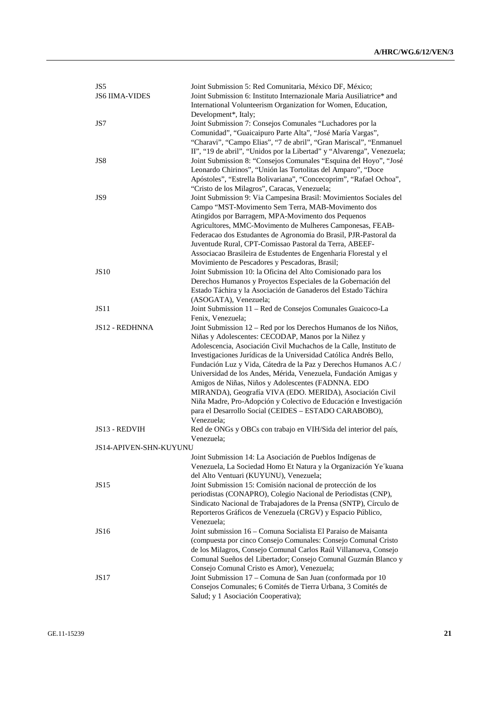| JS5<br><b>JS6 IIMA-VIDES</b>  | Joint Submission 5: Red Comunitaria, México DF, México;<br>Joint Submission 6: Instituto Internazionale Maria Ausiliatrice* and                                                                                                                                        |
|-------------------------------|------------------------------------------------------------------------------------------------------------------------------------------------------------------------------------------------------------------------------------------------------------------------|
| JS7                           | International Volunteerism Organization for Women, Education,<br>Development*, Italy;<br>Joint Submission 7: Consejos Comunales "Luchadores por la                                                                                                                     |
|                               | Comunidad", "Guaicaipuro Parte Alta", "José María Vargas",<br>"Charavi", "Campo Elias", "7 de abril", "Gran Mariscal", "Enmanuel<br>II", "19 de abril", "Unidos por la Libertad" y "Alvarenga", Venezuela;                                                             |
| JS8                           | Joint Submission 8: "Consejos Comunales "Esquina del Hoyo", "José<br>Leonardo Chirinos", "Unión las Tortolitas del Amparo", "Doce<br>Apóstoles", "Estrella Bolivariana", "Concecoprim", "Rafael Ochoa",<br>"Cristo de los Milagros", Caracas, Venezuela;               |
| JS9                           | Joint Submission 9: Via Campesina Brasil: Movimientos Sociales del<br>Campo "MST-Movimento Sem Terra, MAB-Movimento dos                                                                                                                                                |
|                               | Atingidos por Barragem, MPA-Movimento dos Pequenos<br>Agricultores, MMC-Movimento de Mulheres Camponesas, FEAB-<br>Federacao dos Estudantes de Agronomia do Brasil, PJR-Pastoral da<br>Juventude Rural, CPT-Comissao Pastoral da Terra, ABEEF-                         |
|                               | Associacao Brasileira de Estudentes de Engenharia Florestal y el                                                                                                                                                                                                       |
| <b>JS10</b>                   | Movimiento de Pescadores y Pescadoras, Brasil;                                                                                                                                                                                                                         |
|                               | Joint Submission 10: la Oficina del Alto Comisionado para los<br>Derechos Humanos y Proyectos Especiales de la Gobernación del<br>Estado Táchira y la Asociación de Ganaderos del Estado Táchira<br>(ASOGATA), Venezuela;                                              |
| <b>JS11</b>                   | Joint Submission 11 – Red de Consejos Comunales Guaicoco-La                                                                                                                                                                                                            |
| JS12 - REDHNNA                | Fenix, Venezuela;<br>Joint Submission 12 - Red por los Derechos Humanos de los Niños,<br>Niñas y Adolescentes: CECODAP, Manos por la Niñez y<br>Adolescencia, Asociación Civil Muchachos de la Calle, Instituto de                                                     |
|                               | Investigaciones Jurídicas de la Universidad Católica Andrés Bello,<br>Fundación Luz y Vida, Cátedra de la Paz y Derechos Humanos A.C /<br>Universidad de los Andes, Mérida, Venezuela, Fundación Amigas y                                                              |
|                               | Amigos de Niñas, Niños y Adolescentes (FADNNA. EDO<br>MIRANDA), Geografía VIVA (EDO. MERIDA), Asociación Civil<br>Niña Madre, Pro-Adopción y Colectivo de Educación e Investigación                                                                                    |
|                               | para el Desarrollo Social (CEIDES - ESTADO CARABOBO),                                                                                                                                                                                                                  |
| JS13 - REDVIH                 | Venezuela;<br>Red de ONGs y OBCs con trabajo en VIH/Sida del interior del país,<br>Venezuela;                                                                                                                                                                          |
| <b>JS14-APIVEN-SHN-KUYUNU</b> |                                                                                                                                                                                                                                                                        |
|                               | Joint Submission 14: La Asociación de Pueblos Indígenas de<br>Venezuela, La Sociedad Homo Et Natura y la Organización Ye kuana<br>del Alto Ventuari (KUYUNU), Venezuela;                                                                                               |
| JS15                          | Joint Submission 15: Comisión nacional de protección de los<br>periodistas (CONAPRO), Colegio Nacional de Periodistas (CNP),<br>Sindicato Nacional de Trabajadores de la Prensa (SNTP), Círculo de                                                                     |
|                               | Reporteros Gráficos de Venezuela (CRGV) y Espacio Público,<br>Venezuela;                                                                                                                                                                                               |
| JS16                          | Joint submission 16 – Comuna Socialista El Paraiso de Maisanta<br>(compuesta por cinco Consejo Comunales: Consejo Comunal Cristo<br>de los Milagros, Consejo Comunal Carlos Raúl Villanueva, Consejo<br>Comunal Sueños del Libertador; Consejo Comunal Guzmán Blanco y |
| JS17                          | Consejo Comunal Cristo es Amor), Venezuela;<br>Joint Submission 17 – Comuna de San Juan (conformada por 10<br>Consejos Comunales; 6 Comités de Tierra Urbana, 3 Comités de<br>Salud; y 1 Asociación Cooperativa);                                                      |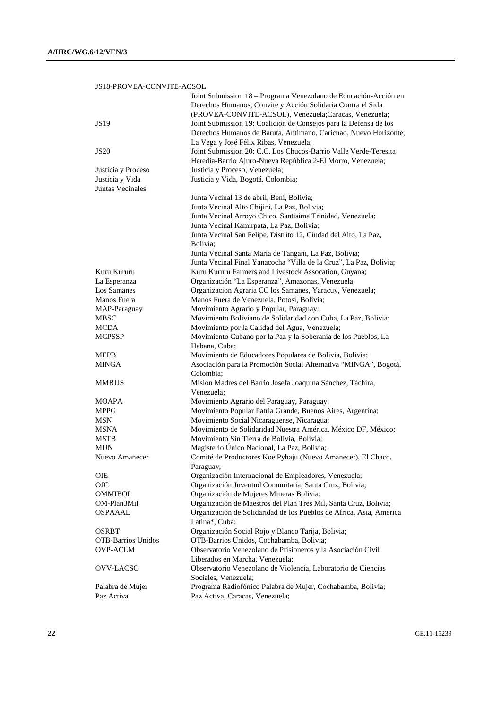### JS18-PROVEA-CONVITE-ACSOL

| JS19                                 | Joint Submission 18 - Programa Venezolano de Educación-Acción en<br>Derechos Humanos, Convite y Acción Solidaria Contra el Sida<br>(PROVEA-CONVITE-ACSOL), Venezuela;Caracas, Venezuela;<br>Joint Submission 19: Coalición de Consejos para la Defensa de los<br>Derechos Humanos de Baruta, Antimano, Caricuao, Nuevo Horizonte,<br>La Vega y José Félix Ribas, Venezuela; |
|--------------------------------------|-----------------------------------------------------------------------------------------------------------------------------------------------------------------------------------------------------------------------------------------------------------------------------------------------------------------------------------------------------------------------------|
| JS20                                 | Joint Submission 20: C.C. Los Chucos-Barrio Valle Verde-Teresita<br>Heredia-Barrio Ajuro-Nueva República 2-El Morro, Venezuela;                                                                                                                                                                                                                                             |
| Justicia y Proceso                   | Justicia y Proceso, Venezuela;                                                                                                                                                                                                                                                                                                                                              |
| Justicia y Vida<br>Juntas Vecinales: | Justicia y Vida, Bogotá, Colombia;                                                                                                                                                                                                                                                                                                                                          |
|                                      | Junta Vecinal 13 de abril, Beni, Bolivia;                                                                                                                                                                                                                                                                                                                                   |
|                                      | Junta Vecinal Alto Chijini, La Paz, Bolivia;                                                                                                                                                                                                                                                                                                                                |
|                                      | Junta Vecinal Arroyo Chico, Santisima Trinidad, Venezuela;                                                                                                                                                                                                                                                                                                                  |
|                                      | Junta Vecinal Kamirpata, La Paz, Bolivia;                                                                                                                                                                                                                                                                                                                                   |
|                                      | Junta Vecinal San Felipe, Distrito 12, Ciudad del Alto, La Paz,<br>Bolivia:                                                                                                                                                                                                                                                                                                 |
|                                      | Junta Vecinal Santa María de Tangani, La Paz, Bolivia;                                                                                                                                                                                                                                                                                                                      |
|                                      | Junta Vecinal Final Yanacocha "Villa de la Cruz", La Paz, Bolivia;                                                                                                                                                                                                                                                                                                          |
| Kuru Kururu                          | Kuru Kururu Farmers and Livestock Assocation, Guyana;                                                                                                                                                                                                                                                                                                                       |
| La Esperanza                         | Organización "La Esperanza", Amazonas, Venezuela;                                                                                                                                                                                                                                                                                                                           |
| <b>Los Samanes</b>                   | Organizacion Agraria CC los Samanes, Yaracuy, Venezuela;                                                                                                                                                                                                                                                                                                                    |
| Manos Fuera                          | Manos Fuera de Venezuela, Potosí, Bolivia;                                                                                                                                                                                                                                                                                                                                  |
| MAP-Paraguay                         | Movimiento Agrario y Popular, Paraguay;                                                                                                                                                                                                                                                                                                                                     |
| MBSC                                 | Movimiento Boliviano de Solidaridad con Cuba, La Paz, Bolivia;                                                                                                                                                                                                                                                                                                              |
| MCDA                                 | Movimiento por la Calidad del Agua, Venezuela;                                                                                                                                                                                                                                                                                                                              |
| <b>MCPSSP</b>                        | Movimiento Cubano por la Paz y la Soberania de los Pueblos, La<br>Habana, Cuba;                                                                                                                                                                                                                                                                                             |
| MEPB                                 | Movimiento de Educadores Populares de Bolivia, Bolivia;                                                                                                                                                                                                                                                                                                                     |
| <b>MINGA</b>                         | Asociación para la Promoción Social Alternativa "MINGA", Bogotá,<br>Colombia;                                                                                                                                                                                                                                                                                               |
| MMBJJS                               | Misión Madres del Barrio Josefa Joaquina Sánchez, Táchira,                                                                                                                                                                                                                                                                                                                  |
|                                      | Venezuela;                                                                                                                                                                                                                                                                                                                                                                  |
| MOAPA                                | Movimiento Agrario del Paraguay, Paraguay;                                                                                                                                                                                                                                                                                                                                  |
| MPPG                                 | Movimiento Popular Patria Grande, Buenos Aires, Argentina;                                                                                                                                                                                                                                                                                                                  |
| MSN                                  | Movimiento Social Nicaraguense, Nicaragua;                                                                                                                                                                                                                                                                                                                                  |
| MSNA                                 | Movimiento de Solidaridad Nuestra América, México DF, México;                                                                                                                                                                                                                                                                                                               |
| MSTB                                 | Movimiento Sin Tierra de Bolivia, Bolivia;                                                                                                                                                                                                                                                                                                                                  |
| MUN                                  | Magisterio Único Nacional, La Paz, Bolivia;                                                                                                                                                                                                                                                                                                                                 |
| Nuevo Amanecer                       | Comité de Productores Koe Pyhaju (Nuevo Amanecer), El Chaco,<br>Paraguay;                                                                                                                                                                                                                                                                                                   |
| OIE                                  | Organización Internacional de Empleadores, Venezuela;                                                                                                                                                                                                                                                                                                                       |
| OJC                                  | Organización Juventud Comunitaria, Santa Cruz, Bolivia;                                                                                                                                                                                                                                                                                                                     |
| OMMIBOL                              | Organización de Mujeres Mineras Bolivia;                                                                                                                                                                                                                                                                                                                                    |
| OM-Plan3Mil                          | Organización de Maestros del Plan Tres Mil, Santa Cruz, Bolivia;                                                                                                                                                                                                                                                                                                            |
| <b>OSPAAAL</b>                       | Organización de Solidaridad de los Pueblos de Africa, Asia, América<br>Latina*, Cuba;                                                                                                                                                                                                                                                                                       |
| <b>OSRBT</b>                         | Organización Social Rojo y Blanco Tarija, Bolivia;                                                                                                                                                                                                                                                                                                                          |
| <b>OTB-Barrios Unidos</b>            | OTB-Barrios Unidos, Cochabamba, Bolivia;                                                                                                                                                                                                                                                                                                                                    |
| OVP-ACLM                             | Observatorio Venezolano de Prisioneros y la Asociación Civil                                                                                                                                                                                                                                                                                                                |
|                                      | Liberados en Marcha, Venezuela;                                                                                                                                                                                                                                                                                                                                             |
| <b>OVV-LACSO</b>                     | Observatorio Venezolano de Violencia, Laboratorio de Ciencias<br>Sociales, Venezuela;                                                                                                                                                                                                                                                                                       |
| Palabra de Mujer                     | Programa Radiofónico Palabra de Mujer, Cochabamba, Bolivia;                                                                                                                                                                                                                                                                                                                 |
| Paz Activa                           | Paz Activa, Caracas, Venezuela;                                                                                                                                                                                                                                                                                                                                             |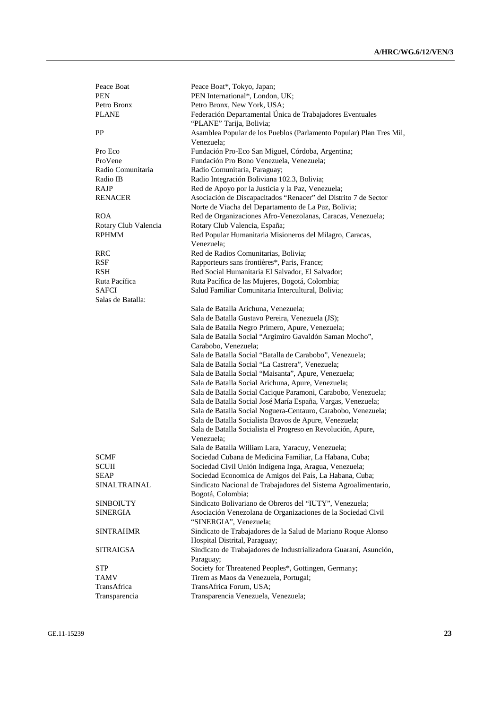| Peace Boat                 | Peace Boat*, Tokyo, Japan;                                                                                              |
|----------------------------|-------------------------------------------------------------------------------------------------------------------------|
| <b>PEN</b>                 | PEN International*, London, UK;                                                                                         |
| Petro Bronx                | Petro Bronx, New York, USA;                                                                                             |
| <b>PLANE</b>               | Federación Departamental Única de Trabajadores Eventuales<br>"PLANE" Tarija, Bolivia;                                   |
| PP                         | Asamblea Popular de los Pueblos (Parlamento Popular) Plan Tres Mil,<br>Venezuela;                                       |
| Pro Eco                    | Fundación Pro-Eco San Miguel, Córdoba, Argentina;                                                                       |
| ProVene                    | Fundación Pro Bono Venezuela, Venezuela;                                                                                |
| Radio Comunitaria          | Radio Comunitaria, Paraguay;                                                                                            |
| Radio IB                   | Radio Integración Boliviana 102.3, Bolivia;                                                                             |
| RAJP                       | Red de Apoyo por la Justicia y la Paz, Venezuela;                                                                       |
| <b>RENACER</b>             | Asociación de Discapacitados "Renacer" del Distrito 7 de Sector<br>Norte de Viacha del Departamento de La Paz, Bolivia; |
| ROA                        | Red de Organizaciones Afro-Venezolanas, Caracas, Venezuela;                                                             |
| Rotary Club Valencia       | Rotary Club Valencia, España;                                                                                           |
| <b>RPHMM</b>               | Red Popular Humanitaria Misioneros del Milagro, Caracas,                                                                |
|                            | Venezuela;                                                                                                              |
| <b>RRC</b>                 | Red de Radios Comunitarias, Bolivia;                                                                                    |
| <b>RSF</b>                 | Rapporteurs sans frontières*, Paris, France;                                                                            |
| <b>RSH</b>                 | Red Social Humanitaria El Salvador, El Salvador;                                                                        |
| Ruta Pacífica              | Ruta Pacífica de las Mujeres, Bogotá, Colombia;                                                                         |
| SAFCI<br>Salas de Batalla: | Salud Familiar Comunitaria Intercultural, Bolivia;                                                                      |
|                            | Sala de Batalla Arichuna, Venezuela;                                                                                    |
|                            | Sala de Batalla Gustavo Pereira, Venezuela (JS);                                                                        |
|                            | Sala de Batalla Negro Primero, Apure, Venezuela;                                                                        |
|                            | Sala de Batalla Social "Argimiro Gavaldón Saman Mocho",                                                                 |
|                            | Carabobo, Venezuela;                                                                                                    |
|                            | Sala de Batalla Social "Batalla de Carabobo", Venezuela;                                                                |
|                            | Sala de Batalla Social "La Castrera", Venezuela;                                                                        |
|                            | Sala de Batalla Social "Maisanta", Apure, Venezuela;                                                                    |
|                            | Sala de Batalla Social Arichuna, Apure, Venezuela;                                                                      |
|                            | Sala de Batalla Social Cacique Paramoni, Carabobo, Venezuela;                                                           |
|                            | Sala de Batalla Social José María España, Vargas, Venezuela;                                                            |
|                            | Sala de Batalla Social Noguera-Centauro, Carabobo, Venezuela;                                                           |
|                            | Sala de Batalla Socialista Bravos de Apure, Venezuela;                                                                  |
|                            | Sala de Batalla Socialista el Progreso en Revolución, Apure,                                                            |
|                            | Venezuela;                                                                                                              |
|                            | Sala de Batalla William Lara, Yaracuy, Venezuela;                                                                       |
| <b>SCMF</b>                | Sociedad Cubana de Medicina Familiar, La Habana, Cuba;                                                                  |
| SCUII                      | Sociedad Civil Unión Indígena Inga, Aragua, Venezuela;                                                                  |
| <b>SEAP</b>                | Sociedad Economica de Amigos del País, La Habana, Cuba;                                                                 |
| SINALTRAINAL               | Sindicato Nacional de Trabajadores del Sistema Agroalimentario,<br>Bogotá, Colombia;                                    |
| <b>SINBOIUTY</b>           | Sindicato Bolivariano de Obreros del "IUTY", Venezuela;                                                                 |
| SINERGIA                   | Asociación Venezolana de Organizaciones de la Sociedad Civil                                                            |
|                            | "SINERGIA", Venezuela;                                                                                                  |
| <b>SINTRAHMR</b>           | Sindicato de Trabajadores de la Salud de Mariano Roque Alonso                                                           |
|                            | Hospital Distrital, Paraguay;                                                                                           |
| SITRAIGSA                  | Sindicato de Trabajadores de Industrializadora Guaraní, Asunción,                                                       |
|                            | Paraguay;                                                                                                               |
| <b>STP</b>                 | Society for Threatened Peoples*, Gottingen, Germany;                                                                    |
| TAMV                       | Tirem as Maos da Venezuela, Portugal;                                                                                   |
| TransAfrica                | TransAfrica Forum, USA;                                                                                                 |
| Transparencia              | Transparencia Venezuela, Venezuela;                                                                                     |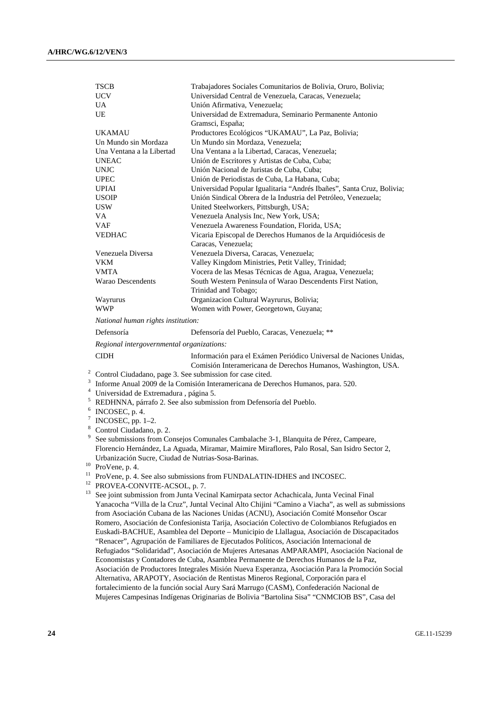|                                                                                     | <b>TSCB</b>                                                                                                       | Trabajadores Sociales Comunitarios de Bolivia, Oruro, Bolivia;                                                                      |  |
|-------------------------------------------------------------------------------------|-------------------------------------------------------------------------------------------------------------------|-------------------------------------------------------------------------------------------------------------------------------------|--|
|                                                                                     | <b>UCV</b>                                                                                                        | Universidad Central de Venezuela, Caracas, Venezuela;                                                                               |  |
|                                                                                     | <b>UA</b>                                                                                                         | Unión Afirmativa, Venezuela;                                                                                                        |  |
|                                                                                     | UE                                                                                                                | Universidad de Extremadura, Seminario Permanente Antonio                                                                            |  |
|                                                                                     |                                                                                                                   | Gramsci, España;                                                                                                                    |  |
|                                                                                     | <b>UKAMAU</b>                                                                                                     | Productores Ecológicos "UKAMAU", La Paz, Bolivia;                                                                                   |  |
|                                                                                     | Un Mundo sin Mordaza                                                                                              | Un Mundo sin Mordaza, Venezuela;                                                                                                    |  |
|                                                                                     | Una Ventana a la Libertad                                                                                         | Una Ventana a la Libertad, Caracas, Venezuela;                                                                                      |  |
|                                                                                     | <b>UNEAC</b>                                                                                                      | Unión de Escritores y Artistas de Cuba, Cuba;                                                                                       |  |
|                                                                                     | <b>UNJC</b>                                                                                                       | Unión Nacional de Juristas de Cuba, Cuba;                                                                                           |  |
|                                                                                     | <b>UPEC</b>                                                                                                       | Unión de Periodistas de Cuba, La Habana, Cuba;                                                                                      |  |
|                                                                                     | <b>UPIAI</b>                                                                                                      | Universidad Popular Igualitaria "Andrés Ibañes", Santa Cruz, Bolivia;                                                               |  |
|                                                                                     | <b>USOIP</b>                                                                                                      | Unión Sindical Obrera de la Industria del Petróleo, Venezuela;                                                                      |  |
|                                                                                     | <b>USW</b>                                                                                                        | United Steelworkers, Pittsburgh, USA;                                                                                               |  |
|                                                                                     | VA.                                                                                                               | Venezuela Analysis Inc, New York, USA;                                                                                              |  |
|                                                                                     | <b>VAF</b><br><b>VEDHAC</b>                                                                                       | Venezuela Awareness Foundation, Florida, USA;<br>Vicaria Episcopal de Derechos Humanos de la Arquidiócesis de                       |  |
|                                                                                     |                                                                                                                   | Caracas, Venezuela;                                                                                                                 |  |
|                                                                                     | Venezuela Diversa                                                                                                 | Venezuela Diversa, Caracas, Venezuela;                                                                                              |  |
|                                                                                     | VKM                                                                                                               | Valley Kingdom Ministries, Petit Valley, Trinidad;                                                                                  |  |
|                                                                                     | <b>VMTA</b>                                                                                                       | Vocera de las Mesas Técnicas de Agua, Aragua, Venezuela;                                                                            |  |
|                                                                                     | <b>Warao Descendents</b>                                                                                          | South Western Peninsula of Warao Descendents First Nation,                                                                          |  |
|                                                                                     |                                                                                                                   | Trinidad and Tobago;                                                                                                                |  |
|                                                                                     | Wayrurus                                                                                                          | Organizacion Cultural Wayrurus, Bolivia;                                                                                            |  |
|                                                                                     | <b>WWP</b>                                                                                                        | Women with Power, Georgetown, Guyana;                                                                                               |  |
|                                                                                     | National human rights institution:                                                                                |                                                                                                                                     |  |
|                                                                                     | Defensoría                                                                                                        | Defensoría del Pueblo, Caracas, Venezuela; **                                                                                       |  |
|                                                                                     |                                                                                                                   |                                                                                                                                     |  |
|                                                                                     | Regional intergovernmental organizations:                                                                         |                                                                                                                                     |  |
|                                                                                     | <b>CIDH</b>                                                                                                       | Información para el Exámen Periódico Universal de Naciones Unidas,<br>Comisión Interamericana de Derechos Humanos, Washington, USA. |  |
| 2                                                                                   | Control Ciudadano, page 3. See submission for case cited.                                                         |                                                                                                                                     |  |
| 3                                                                                   |                                                                                                                   | Informe Anual 2009 de la Comisión Interamericana de Derechos Humanos, para. 520.                                                    |  |
| $\overline{4}$<br>5                                                                 | Universidad de Extremadura, página 5.                                                                             |                                                                                                                                     |  |
| 6                                                                                   |                                                                                                                   | REDHNNA, párrafo 2. See also submission from Defensoría del Pueblo.                                                                 |  |
| 7                                                                                   | INCOSEC, p. 4.                                                                                                    |                                                                                                                                     |  |
| 8                                                                                   | INCOSEC, pp. 1-2.                                                                                                 |                                                                                                                                     |  |
| 9                                                                                   | Control Ciudadano, p. 2.<br>See submissions from Consejos Comunales Cambalache 3-1, Blanquita de Pérez, Campeare, |                                                                                                                                     |  |
|                                                                                     | Florencio Hernández, La Aguada, Miramar, Maimire Miraflores, Palo Rosal, San Isidro Sector 2,                     |                                                                                                                                     |  |
|                                                                                     | Urbanización Sucre, Ciudad de Nutrias-Sosa-Barinas.                                                               |                                                                                                                                     |  |
| 10<br>ProVene, p. 4.                                                                |                                                                                                                   |                                                                                                                                     |  |
| 11                                                                                  |                                                                                                                   | ProVene, p. 4. See also submissions from FUNDALATIN-IDHES and INCOSEC.                                                              |  |
| 12                                                                                  | PROVEA-CONVITE-ACSOL, p. 7.                                                                                       |                                                                                                                                     |  |
| 13                                                                                  |                                                                                                                   | See joint submission from Junta Vecinal Kamirpata sector Achachicala, Junta Vecinal Final                                           |  |
|                                                                                     |                                                                                                                   | Yanacocha "Villa de la Cruz", Juntal Vecinal Alto Chijini "Camino a Viacha", as well as submissions                                 |  |
|                                                                                     | from Asociación Cubana de las Naciones Unidas (ACNU), Asociación Comité Monseñor Oscar                            |                                                                                                                                     |  |
|                                                                                     |                                                                                                                   | Romero, Asociación de Confesionista Tarija, Asociación Colectivo de Colombianos Refugiados en                                       |  |
|                                                                                     |                                                                                                                   | Euskadi-BACHUE, Asamblea del Deporte - Municipio de Llallagua, Asociación de Discapacitados                                         |  |
|                                                                                     |                                                                                                                   | "Renacer", Agrupación de Familiares de Ejecutados Políticos, Asociación Internacional de                                            |  |
|                                                                                     |                                                                                                                   | Refugiados "Solidaridad", Asociación de Mujeres Artesanas AMPARAMPI, Asociación Nacional de                                         |  |
|                                                                                     |                                                                                                                   | Economistas y Contadores de Cuba, Asamblea Permanente de Derechos Humanos de la Paz,                                                |  |
|                                                                                     | Asociación de Productores Integrales Misión Nueva Esperanza, Asociación Para la Promoción Social                  |                                                                                                                                     |  |
| Alternativa, ARAPOTY, Asociación de Rentistas Mineros Regional, Corporación para el |                                                                                                                   |                                                                                                                                     |  |
|                                                                                     |                                                                                                                   | fortalecimiento de la función social Aury Sará Marrugo (CASM), Confederación Nacional de                                            |  |

Mujeres Campesinas Indígenas Originarias de Bolivia "Bartolina Sisa" "CNMCIOB BS", Casa del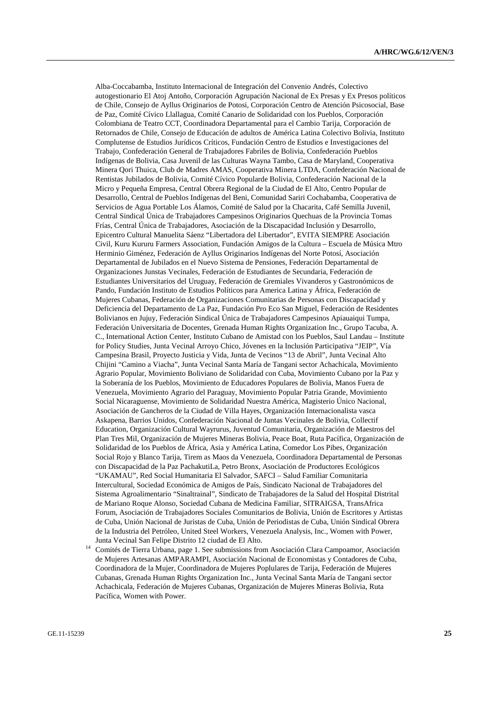Alba-Coccabamba, Instituto Internacional de Integración del Convenio Andrés, Colectivo autogestionario El Atoj Antoño, Corporación Agrupación Nacional de Ex Presas y Ex Presos políticos de Chile, Consejo de Ayllus Originarios de Potosi, Corporación Centro de Atención Psicosocial, Base de Paz, Comité Cívico Llallagua, Comité Canario de Solidaridad con los Pueblos, Corporación Colombiana de Teatro CCT, Coordinadora Departamental para el Cambio Tarija, Corporación de Retornados de Chile, Consejo de Educación de adultos de América Latina Colectivo Bolivia, Instituto Complutense de Estudios Jurídicos Críticos, Fundación Centro de Estudios e Investigaciones del Trabajo, Confederación General de Trabajadores Fabriles de Bolivia, Confederación Pueblos Indígenas de Bolivia, Casa Juvenil de las Culturas Wayna Tambo, Casa de Maryland, Cooperativa Minera Qori Thuica, Club de Madres AMAS, Cooperativa Minera LTDA, Confederación Nacional de Rentistas Jubilados de Bolivia, Comité Cívico Popularde Bolivia, Confederación Nacional de la Micro y Pequeña Empresa, Central Obrera Regional de la Ciudad de El Alto, Centro Popular de Desarrollo, Central de Pueblos Indígenas del Beni, Comunidad Sariri Cochabamba, Cooperativa de Servicios de Agua Portable Los Álamos, Comité de Salud por la Chacarita, Café Semilla Juvenil, Central Sindical Única de Trabajadores Campesinos Originarios Quechuas de la Provincia Tomas Frías, Central Única de Trabajadores, Asociación de la Discapacidad Inclusión y Desarrollo, Epicentro Cultural Manuelita Sáenz "Libertadora del Libertador", EVITA SIEMPRE Asociación Civil, Kuru Kururu Farmers Association, Fundación Amigos de la Cultura – Escuela de Música Mtro Herminio Giménez, Federación de Ayllus Originarios Indígenas del Norte Potosí, Asociación Departamental de Jubilados en el Nuevo Sistema de Pensiones, Federación Departamental de Organizaciones Junstas Vecinales, Federación de Estudiantes de Secundaria, Federación de Estudiantes Universitarios del Uruguay, Federación de Gremiales Vivanderos y Gastronómicos de Pando, Fundación Instituto de Estudios Políticos para America Latina y África, Federación de Mujeres Cubanas, Federación de Organizaciones Comunitarias de Personas con Discapacidad y Deficiencia del Departamento de La Paz, Fundación Pro Eco San Miguel, Federación de Residentes Bolivianos en Jujuy, Federación Sindical Única de Trabajadores Campesinos Apiauaiqui Tumpa, Federación Universitaria de Docentes, Grenada Human Rights Organization Inc., Grupo Tacuba, A. C., International Action Center, Instituto Cubano de Amistad con los Pueblos, Saul Landau – Institute for Policy Studies, Junta Vecinal Arroyo Chico, Jóvenes en la Inclusión Participativa "JEIP", Vía Campesina Brasil, Proyecto Justicia y Vida, Junta de Vecinos "13 de Abril", Junta Vecinal Alto Chijini "Camino a Viacha", Junta Vecinal Santa María de Tangani sector Achachicala, Movimiento Agrario Popular, Movimiento Boliviano de Solidaridad con Cuba, Movimiento Cubano por la Paz y la Soberanía de los Pueblos, Movimiento de Educadores Populares de Bolivia, Manos Fuera de Venezuela, Movimiento Agrario del Paraguay, Movimiento Popular Patria Grande, Movimiento Social Nicaraguense, Movimiento de Solidaridad Nuestra América, Magisterio Único Nacional, Asociación de Gancheros de la Ciudad de Villa Hayes, Organización Internacionalista vasca Askapena, Barrios Unidos, Confederación Nacional de Juntas Vecinales de Bolivia, Collectif Education, Organización Cultural Wayrurus, Juventud Comunitaria, Organización de Maestros del Plan Tres Mil, Organización de Mujeres Mineras Bolivia, Peace Boat, Ruta Pacífica, Organización de Solidaridad de los Pueblos de África, Asia y América Latina, Comedor Los Pibes, Organización Social Rojo y Blanco Tarija, Tirem as Maos da Venezuela, Coordinadora Departamental de Personas con Discapacidad de la Paz PachakutiLa, Petro Bronx, Asociación de Productores Ecológicos "UKAMAU", Red Social Humanitaria El Salvador, SAFCI – Salud Familiar Comunitaria Intercultural, Sociedad Económica de Amigos de País, Sindicato Nacional de Trabajadores del Sistema Agroalimentario "Sinaltrainal", Sindicato de Trabajadores de la Salud del Hospital Distrital de Mariano Roque Alonso, Sociedad Cubana de Medicina Familiar, SITRAIGSA, TransAfrica Forum, Asociación de Trabajadores Sociales Comunitarios de Bolivia, Unión de Escritores y Artistas de Cuba, Unión Nacional de Juristas de Cuba, Unión de Periodistas de Cuba, Unión Sindical Obrera de la Industria del Petróleo, United Steel Workers, Venezuela Analysis, Inc., Women with Power, Junta Vecinal San Felipe Distrito 12 ciudad de El Alto.<br>14 Comités de Tierra Urbana, page 1. See submissions from Asociación Clara Campoamor, Asociación

de Mujeres Artesanas AMPARAMPI, Asociación Nacional de Economistas y Contadores de Cuba, Coordinadora de la Mujer, Coordinadora de Mujeres Poplulares de Tarija, Federación de Mujeres Cubanas, Grenada Human Rights Organization Inc., Junta Vecinal Santa María de Tangani sector Achachicala, Federación de Mujeres Cubanas, Organización de Mujeres Mineras Bolivia, Ruta Pacífica, Women with Power.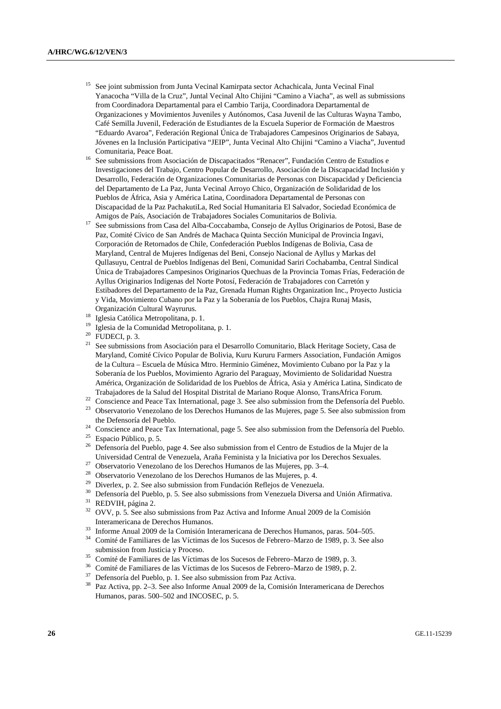- See joint submission from Junta Vecinal Kamirpata sector Achachicala, Junta Vecinal Final Yanacocha "Villa de la Cruz", Juntal Vecinal Alto Chijini "Camino a Viacha", as well as submissions from Coordinadora Departamental para el Cambio Tarija, Coordinadora Departamental de Organizaciones y Movimientos Juveniles y Autónomos, Casa Juvenil de las Culturas Wayna Tambo, Café Semilla Juvenil, Federación de Estudiantes de la Escuela Superior de Formación de Maestros "Eduardo Avaroa", Federación Regional Única de Trabajadores Campesinos Originarios de Sabaya, Jóvenes en la Inclusión Participativa "JEIP", Junta Vecinal Alto Chijini "Camino a Viacha", Juventud Comunitaria, Peace Boat.<br>See submissions from Asociación de Discapacitados "Renacer", Fundación Centro de Estudios e
- Investigaciones del Trabajo, Centro Popular de Desarrollo, Asociación de la Discapacidad Inclusión y Desarrollo, Federación de Organizaciones Comunitarias de Personas con Discapacidad y Deficiencia del Departamento de La Paz, Junta Vecinal Arroyo Chico, Organización de Solidaridad de los Pueblos de África, Asia y América Latina, Coordinadora Departamental de Personas con Discapacidad de la Paz PachakutiLa, Red Social Humanitaria El Salvador, Sociedad Económica de
- Amigos de País, Asociación de Trabajadores Sociales Comunitarios de Bolivia. 17 See submissions from Casa del Alba-Coccabamba, Consejo de Ayllus Originarios de Potosi, Base de Paz, Comité Cívico de San Andrés de Machaca Quinta Sección Municipal de Provincia Ingavi, Corporación de Retornados de Chile, Confederación Pueblos Indígenas de Bolivia, Casa de Maryland, Central de Mujeres Indígenas del Beni, Consejo Nacional de Ayllus y Markas del Qullasuyu, Central de Pueblos Indígenas del Beni, Comunidad Sariri Cochabamba, Central Sindical Única de Trabajadores Campesinos Originarios Quechuas de la Provincia Tomas Frías, Federación de Ayllus Originarios Indígenas del Norte Potosí, Federación de Trabajadores con Carretón y Estibadores del Departamento de la Paz, Grenada Human Rights Organization Inc., Proyecto Justicia y Vida, Movimiento Cubano por la Paz y la Soberanía de los Pueblos, Chajra Runaj Masis,
- Organización Cultural Wayrurus. 18 Iglesia Católica Metropolitana, p. 1.
- 19 Iglesia de la Comunidad Metropolitana, p. 1.
- $20$  FUDECI, p. 3.
- 21 See submissions from Asociación para el Desarrollo Comunitario, Black Heritage Society, Casa de Maryland, Comité Cívico Popular de Bolivia, Kuru Kururu Farmers Association, Fundación Amigos de la Cultura – Escuela de Música Mtro. Herminio Giménez, Movimiento Cubano por la Paz y la Soberanía de los Pueblos, Movimiento Agrario del Paraguay, Movimiento de Solidaridad Nuestra América, Organización de Solidaridad de los Pueblos de África, Asia y América Latina, Sindicato de Trabajadores de la Salud del Hospital Distrital de Mariano Roque Alonso, TransAfrica Forum.<br><sup>22</sup> Conscience and Peace Tax International, page 3. See also submission from the Defensoría del Pueblo.<br><sup>23</sup> Observatoria Mariano
- 
- 23 Observatorio Venezolano de los Derechos Humanos de las Mujeres, page 5. See also submission from the Defensoría del Pueblo. 24 Conscience and Peace Tax International, page 5. See also submission from the Defensoría del Pueblo.
- 
- 25 Espacio Público, p. 5.
- <sup>26</sup> Defensoría del Pueblo, page 4. See also submission from el Centro de Estudios de la Mujer de la<br>Universidad Central de Venezuela, Araña Feminista y la Iniciativa por los Derechos Sexuales.
- <sup>27</sup> Observatorio Venezolano de los Derechos Humanos de las Mujeres, pp. 3–4.
- 28 Observatorio Venezolano de los Derechos Humanos de las Mujeres, p. 4.
- <sup>29</sup> Diverlex, p. 2. See also submission from Fundación Reflejos de Venezuela.
- 30 Defensoría del Pueblo, p. 5. See also submissions from Venezuela Diversa and Unión Afirmativa.
- 31 REDVIH, página 2.
- <sup>32</sup> OVV, p. 5. See also submissions from Paz Activa and Informe Anual 2009 de la Comisión Interamericana de Derechos Humanos. 33 Informe Anual 2009 de la Comisión Interamericana de Derechos Humanos, paras. 504–505.
- 
- 34 Comité de Familiares de las Víctimas de los Sucesos de Febrero–Marzo de 1989, p. 3. See also submission from Justicia y Proceso.<br><sup>35</sup> Comité de Familiares de las Víctimas de los Sucesos de Febrero–Marzo de 1989, p. 3.
- 
- <sup>36</sup> Comité de Familiares de las Víctimas de los Sucesos de Febrero–Marzo de 1989, p. 2.<br><sup>37</sup> Defensaría del Buelda se de Sucesos huministas franc<br/> Papa Active
- <sup>37</sup> Defensoría del Pueblo, p. 1. See also submission from Paz Activa.
- 38 Paz Activa, pp. 2–3. See also Informe Anual 2009 de la, Comisión Interamericana de Derechos Humanos, paras. 500–502 and INCOSEC, p. 5.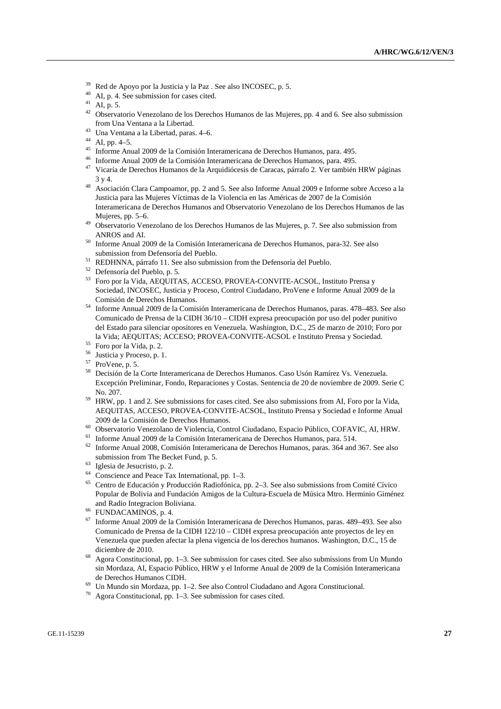- <sup>39</sup> Red de Apoyo por la Justicia y la Paz. See also INCOSEC, p. 5.
- <sup>40</sup> AI, p. 4. See submission for cases cited.

- <sup>42</sup> Observatorio Venezolano de los Derechos Humanos de las Mujeres, pp. 4 and 6. See also submission from Una Ventana a la Libertad. 43 Una Ventana a la Libertad, paras. 4–6.
- 

- 45 Informe Anual 2009 de la Comisión Interamericana de Derechos Humanos, para. 495.
- 46 Informe Anual 2009 de la Comisión Interamericana de Derechos Humanos, para. 495.
- <sup>47</sup> Vicaría de Derechos Humanos de la Arquidiócesis de Caracas, párrafo 2. Ver también HRW páginas
- 3 y 4. 48 Asociación Clara Campoamor, pp. 2 and 5. See also Informe Anual 2009 e Informe sobre Acceso a la Justicia para las Mujeres Víctimas de la Violencia en las Américas de 2007 de la Comisión Interamericana de Derechos Humanos and Observatorio Venezolano de los Derechos Humanos de las
- Mujeres, pp. 5–6. 49 Observatorio Venezolano de los Derechos Humanos de las Mujeres, p. 7. See also submission from
- ANROS and AI. 50 Informe Anual 2009 de la Comisión Interamericana de Derechos Humanos, para-32. See also submission from Defensoría del Pueblo. 51 REDHNNA, párrafo 11. See also submission from the Defensoría del Pueblo.
- 
- 52 Defensoría del Pueblo, p. 5.
- 53 Foro por la Vida, AEQUITAS, ACCESO, PROVEA-CONVITE-ACSOL, Instituto Prensa y Sociedad, INCOSEC, Justicia y Proceso, Control Ciudadano, ProVene e Informe Anual 2009 de la
- Comisión de Derechos Humanos. 54 Informe Annual 2009 de la Comisión Interamericana de Derechos Humanos, paras. 478–483. See also Comunicado de Prensa de la CIDH 36/10 – CIDH expresa preocupación por uso del poder punitivo del Estado para silenciar opositores en Venezuela. Washington, D.C., 25 de marzo de 2010; Foro por la Vida; AEQUITAS; ACCESO; PROVEA-CONVITE-ACSOL e Instituto Prensa y Sociedad.<br>
<sup>55</sup> Foro por la Vida, p. 2.<br>
<sup>56</sup> Foro por la Vida, p. 2.
- 
- Justicia y Proceso, p. 1.
- 57 ProVene, p. 5.
- 58 Decisión de la Corte Interamericana de Derechos Humanos. Caso Usón Ramírez Vs. Venezuela. Excepción Preliminar, Fondo, Reparaciones y Costas. Sentencia de 20 de noviembre de 2009. Serie C
- No. 207. 59 HRW, pp. 1 and 2. See submissions for cases cited. See also submissions from AI, Foro por la Vida, AEQUITAS, ACCESO, PROVEA-CONVITE-ACSOL, Instituto Prensa y Sociedad e Informe Anual 2009 de la Comisión de Derechos Humanos. 60 Observatorio Venezolano de Violencia, Control Ciudadano, Espacio Público, COFAVIC, AI, HRW.
- 
- 61 Informe Anual 2009 de la Comisión Interamericana de Derechos Humanos, para. 514.
- 62 Informe Anual 2008, Comisión Interamericana de Derechos Humanos, paras. 364 and 367. See also submission from The Becket Fund, p. 5.<br>
<sup>63</sup> Iglesia de Jesucristo, p. 2.
- 
- $64$  Conscience and Peace Tax International, pp. 1–3.
- 65 Centro de Educación y Producción Radiofónica, pp. 2–3. See also submissions from Comité Cívico Popular de Bolivia and Fundación Amigos de la Cultura-Escuela de Música Mtro. Herminio Giménez and Radio Integracion Boliviana. 66 FUNDACAMINOS, p. 4.
- 
- 67 Informe Anual 2009 de la Comisión Interamericana de Derechos Humanos, paras. 489–493. See also Comunicado de Prensa de la CIDH 122/10 – CIDH expresa preocupación ante proyectos de ley en Venezuela que pueden afectar la plena vigencia de los derechos humanos. Washington, D.C., 15 de diciembre de 2010.<br><sup>68</sup> Agora Constitucional, pp. 1–3. See submission for cases cited. See also submissions from Un Mundo
- sin Mordaza, AI, Espacio Público, HRW y el Informe Anual de 2009 de la Comisión Interamericana de Derechos Humanos CIDH.<br><sup>69</sup> Un Mundo sin Mordaza, pp. 1–2. See also Control Ciudadano and Agora Constitucional.
- 
- 70 Agora Constitucional, pp. 1–3. See submission for cases cited.

AI, p. 5.

<sup>44</sup> AI, pp. 4–5.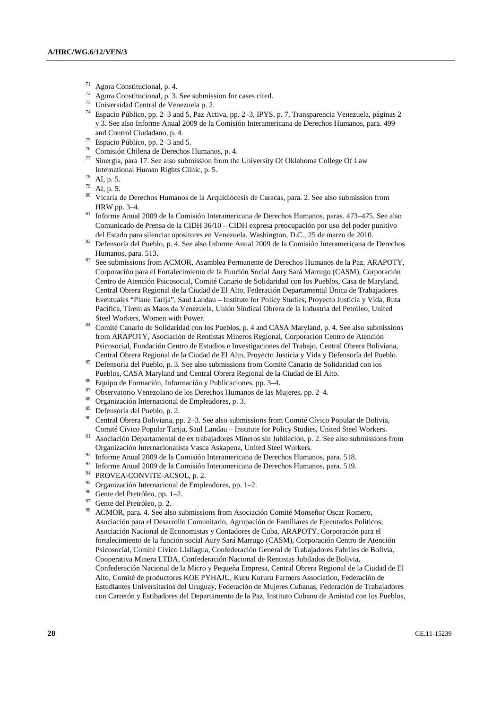- $^{71}$  Agora Constitucional, p. 4.
- $^{72}$  Agora Constitucional, p. 3. See submission for cases cited.<br> $^{73}$  M increased at Managuala p. 2.
- <sup>73</sup> Universidad Central de Venezuela p. 2.<br><sup>74</sup> Espacio Pública pp. 2.2 and 5. Baz. Act
- 74 Espacio Público, pp. 2–3 and 5, Paz Activa, pp. 2–3, IPYS, p. 7, Transparencia Venezuela, páginas 2 y 3. See also Informe Anual 2009 de la Comisión Interamericana de Derechos Humanos, para. 499
- and Control Ciudadano, p. 4. 75 Espacio Público, pp. 2–3 and 5.
- $^{76}$  Comisión Chilena de Derechos Humanos, p. 4.<br> $^{77}$  Six angles and 17. See also automission from the
- Sinergia, para 17. See also submission from the University Of Oklahoma College Of Law International Human Rights Clinic, p. 5.<br>AI, p. 5.
- 
- $79$  AI, p. 5.
- 80 Vicaría de Derechos Humanos de la Arquidiócesis de Caracas, para. 2. See also submission from
- HRW pp. 3–4. 81 Informe Anual 2009 de la Comisión Interamericana de Derechos Humanos, paras. 473–475. See also Comunicado de Prensa de la CIDH 36/10 – CIDH expresa preocupación por uso del poder punitivo
- 82 Defensoría del Pueblo, p. 4. See also Informe Anual 2009 de la Comisión Interamericana de Derechos
- Humanos, para. 513. 83 See submissions from ACMOR, Asamblea Permanente de Derechos Humanos de la Paz, ARAPOTY, Corporación para el Fortalecimiento de la Función Social Aury Sará Marrugo (CASM), Corporación Centro de Atención Psicosocial, Comité Canario de Solidaridad con los Pueblos, Casa de Maryland, Central Obrera Regional de la Ciudad de El Alto, Federación Departamental Única de Trabajadores Eventuales "Plane Tarija", Saul Landau – Institute for Policy Studies, Proyecto Justicia y Vida, Ruta Pacífica, Tirem as Maos da Venezuela, Unión Sindical Obrera de la Industria del Petróleo, United
- Steel Workers, Women with Power.<br><sup>84</sup> Comité Canario de Solidaridad con los Pueblos, p. 4 and CASA Maryland, p. 4. See also submissions from ARAPOTY, Asociación de Rentistas Mineros Regional, Corporación Centro de Atención Psicosocial, Fundación Centro de Estudios e Investigaciones del Trabajo, Central Obrera Boliviana,
- Central Obrera Regional de la Ciudad de El Alto, Proyecto Justicia y Vida y Defensoría del Pueblo. 85 Defensoría del Pueblo, p. 3. See also submissions from Comité Canario de Solidaridad con los Pueblos, CASA Maryland and Central Obrera Regional de la Ciudad de El Alto. 86 Equipo de Formación, Información y Publicaciones, pp. 3–4.
- 
- 87 Observatorio Venezolano de los Derechos Humanos de las Mujeres, pp. 2–4.
- 88 Organización Internacional de Empleadores, p. 3.
- 89 Defensoría del Pueblo, p. 2.
- 90 Central Obrera Boliviana, pp. 2–3. See also submissions from Comité Cívico Popular de Bolivia,
- Comité Cívico Popular Tarija, Saul Landau Institute for Policy Studies, United Steel Workers. 91 Asociación Departamental de ex trabajadores Mineros sin Jubilación, p. 2. See also submissions from Organización Internacionalista Vasca Askapena, United Steel Workers. 92 Informe Anual 2009 de la Comisión Interamericana de Derechos Humanos, para. 518.
- 
- 93 Informe Anual 2009 de la Comisión Interamericana de Derechos Humanos, para. 519.
- 94 PROVEA-CONVITE-ACSOL, p. 2.
- 95 Organización Internacional de Empleadores, pp. 1–2.
- <sup>96</sup> Gente del Pretróleo, pp. 1–2.
- Gente del Pretróleo, p. 2.
- 98 ACMOR, para. 4. See also submissions from Asociación Comité Monseñor Oscar Romero, Asociación para el Desarrollo Comunitario, Agrupación de Familiares de Ejecutados Políticos, Asociación Nacional de Economistas y Contadores de Cuba, ARAPOTY, Corporación para el fortalecimiento de la función social Aury Sará Marrugo (CASM), Corporación Centro de Atención Psicosocial, Comité Cívico Llallagua, Confederación General de Trabajadores Fabriles de Bolivia, Cooperativa Minera LTDA, Confederación Nacional de Rentistas Jubilados de Bolivia, Confederación Nacional de la Micro y Pequeña Empresa, Central Obrera Regional de la Ciudad de El Alto, Comité de productores KOE PYHAJU, Kuru Kururu Farmers Association, Federación de Estudiantes Universitarios del Uruguay, Federación de Mujeres Cubanas, Federación de Trabajadores con Carretón y Estibadores del Departamento de la Paz, Instituto Cubano de Amistad con los Pueblos,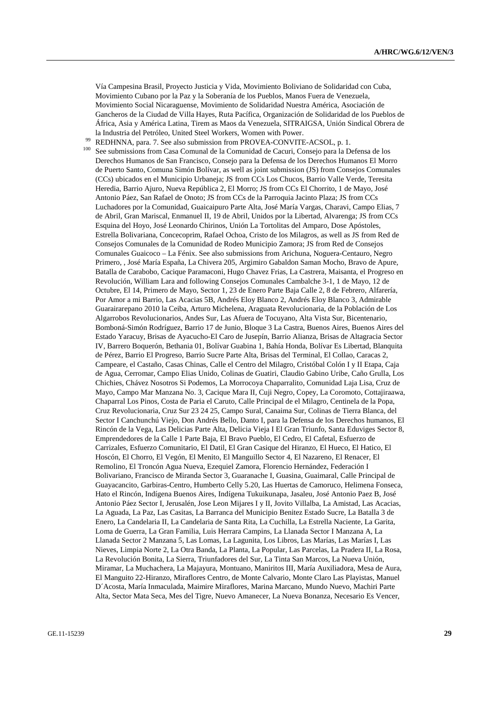Vía Campesina Brasil, Proyecto Justicia y Vida, Movimiento Boliviano de Solidaridad con Cuba, Movimiento Cubano por la Paz y la Soberanía de los Pueblos, Manos Fuera de Venezuela, Movimiento Social Nicaraguense, Movimiento de Solidaridad Nuestra América, Asociación de Gancheros de la Ciudad de Villa Hayes, Ruta Pacífica, Organización de Solidaridad de los Pueblos de África, Asia y América Latina, Tirem as Maos da Venezuela, SITRAIGSA, Unión Sindical Obrera de

- la Industria del Petróleo, United Steel Workers, Women with Power.<br><sup>99</sup> REDHNNA, para. 7. See also submission from PROVEA-CONVITE-ACSOL, p. 1.<br><sup>100</sup> See submissions from Casa Comunal de la Comunidad de Cacuri, Consejo para
- Derechos Humanos de San Francisco, Consejo para la Defensa de los Derechos Humanos El Morro de Puerto Santo, Comuna Simón Bolívar, as well as joint submission (JS) from Consejos Comunales (CCs) ubicados en el Municipio Urbaneja; JS from CCs Los Chucos, Barrio Valle Verde, Teresita Heredia, Barrio Ajuro, Nueva República 2, El Morro; JS from CCs El Chorrito, 1 de Mayo, José Antonio Páez, San Rafael de Onoto; JS from CCs de la Parroquia Jacinto Plaza; JS from CCs Luchadores por la Comunidad, Guaicaipuro Parte Alta, José María Vargas, Charavi, Campo Elias, 7 de Abril, Gran Mariscal, Enmanuel II, 19 de Abril, Unidos por la Libertad, Alvarenga; JS from CCs Esquina del Hoyo, José Leonardo Chirinos, Unión La Tortolitas del Amparo, Dose Apóstoles, Estrella Bolivariana, Concecoprim, Rafael Ochoa, Cristo de los Milagros, as well as JS from Red de Consejos Comunales de la Comunidad de Rodeo Municipio Zamora; JS from Red de Consejos Comunales Guaicoco – La Fénix. See also submissions from Arichuna, Noguera-Centauro, Negro Primero, , José María España, La Chivera 205, Argimiro Gabaldon Saman Mocho, Bravo de Apure, Batalla de Carabobo, Cacique Paramaconi, Hugo Chavez Frias, La Castrera, Maisanta, el Progreso en Revolución, William Lara and following Consejos Comunales Cambalche 3-1, 1 de Mayo, 12 de Octubre, El 14, Primero de Mayo, Sector 1, 23 de Enero Parte Baja Calle 2, 8 de Febrero, Alfarería, Por Amor a mi Barrio, Las Acacias 5B, Andrés Eloy Blanco 2, Andrés Eloy Blanco 3, Admirable Guarairarepano 2010 la Ceiba, Arturo Michelena, Araguata Revolucionaria, de la Población de Los Algarrobos Revolucionarios, Andes Sur, Las Afuera de Tocuyano, Alta Vista Sur, Bicentenario, Bomboná-Simón Rodríguez, Barrio 17 de Junio, Bloque 3 La Castra, Buenos Aires, Buenos Aires del Estado Yaracuy, Brisas de Ayacucho-El Caro de Jusepín, Barrio Alianza, Brisas de Altagracia Sector IV, Barrero Boquerón, Bethania 01, Bolívar Guabina 1, Bahía Honda, Bolívar Es Libertad, Blanquita de Pérez, Barrio El Progreso, Barrio Sucre Parte Alta, Brisas del Terminal, El Collao, Caracas 2, Campeare, el Castaño, Casas Chinas, Calle el Centro del Milagro, Cristóbal Colón I y II Etapa, Caja de Agua, Cerromar, Campo Elias Unido, Colinas de Guatiri, Claudio Gabino Uribe, Caño Grulla, Los Chichies, Chávez Nosotros Si Podemos, La Morrocoya Chaparralito, Comunidad Laja Lisa, Cruz de Mayo, Campo Mar Manzana No. 3, Cacique Mara II, Cuji Negro, Copey, La Coromoto, Cottajiraawa, Chaparral Los Pinos, Costa de Paria el Caruto, Calle Principal de el Milagro, Centinela de la Popa, Cruz Revolucionaria, Cruz Sur 23 24 25, Campo Sural, Canaima Sur, Colinas de Tierra Blanca, del Sector I Canchunchú Viejo, Don Andrés Bello, Danto I, para la Defensa de los Derechos humanos, El Rincón de la Vega, Las Delicias Parte Alta, Delicia Vieja I El Gran Triunfo, Santa Eduviges Sector 8, Emprendedores de la Calle 1 Parte Baja, El Bravo Pueblo, El Cedro, El Cafetal, Esfuerzo de Carrizales, Esfuerzo Comunitario, El Datil, El Gran Casique del Hiranzo, El Hueco, El Hatico, El Hoscón, El Chorro, El Vegón, El Menito, El Manguillo Sector 4, El Nazareno, El Renacer, El Remolino, El Troncón Agua Nueva, Ezequiel Zamora, Florencio Hernández, Federación I Bolivariano, Francisco de Miranda Sector 3, Guaranache I, Guasina, Guaimaral, Calle Principal de Guayacancito, Garbiras-Centro, Humberto Celly 5.20, Las Huertas de Camoruco, Helimena Fonseca, Hato el Rincón, Indígena Buenos Aires, Indígena Tukuikunapa, Jasaleu, José Antonio Paez B, José Antonio Páez Sector I, Jerusalén, Jose Leon Mijares I y II, Jovito Villalba, La Amistad, Las Acacias, La Aguada, La Paz, Las Casitas, La Barranca del Municipio Benitez Estado Sucre, La Batalla 3 de Enero, La Candelaria II, La Candelaria de Santa Rita, La Cuchilla, La Estrella Naciente, La Garita, Loma de Guerra, La Gran Familia, Luis Herrara Campins, La Llanada Sector I Manzana A, La Llanada Sector 2 Manzana 5, Las Lomas, La Lagunita, Los Libros, Las Marías, Las Marías I, Las Nieves, Limpia Norte 2, La Otra Banda, La Planta, La Popular, Las Parcelas, La Pradera II, La Rosa, La Revolución Bonita, La Sierra, Triunfadores del Sur, La Tinta San Marcos, La Nueva Unión, Miramar, La Muchachera, La Majayura, Montuano, Maniritos III, María Auxiliadora, Mesa de Aura, El Manguito 22-Hiranzo, Miraflores Centro, de Monte Calvario, Monte Claro Las Playistas, Manuel D´Acosta, María Inmaculada, Maimire Miraflores, Marina Marcano, Mundo Nuevo, Machiri Parte Alta, Sector Mata Seca, Mes del Tigre, Nuevo Amanecer, La Nueva Bonanza, Necesario Es Vencer,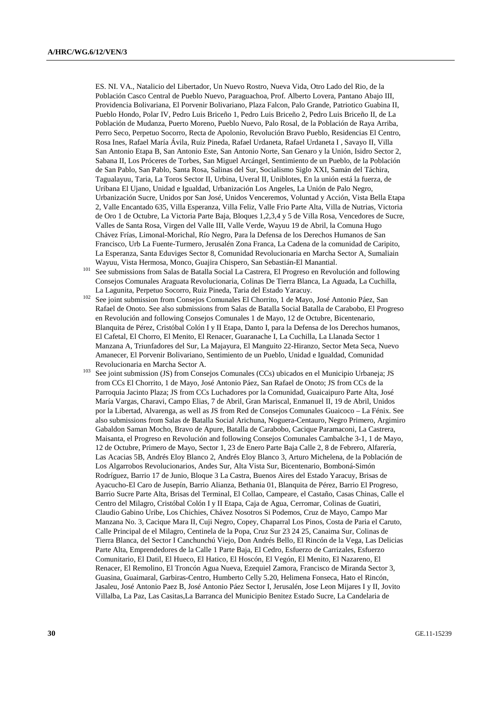ES. NI. VA., Natalicio del Libertador, Un Nuevo Rostro, Nueva Vida, Otro Lado del Rio, de la Población Casco Central de Pueblo Nuevo, Paraguachoa, Prof. Alberto Lovera, Pantano Abajo III, Providencia Bolivariana, El Porvenir Bolivariano, Plaza Falcon, Palo Grande, Patriotico Guabina II, Pueblo Hondo, Polar IV, Pedro Luis Briceño 1, Pedro Luis Briceño 2, Pedro Luis Briceño II, de La Población de Mudanza, Puerto Moreno, Pueblo Nuevo, Palo Rosal, de la Población de Raya Arriba, Perro Seco, Perpetuo Socorro, Recta de Apolonio, Revolución Bravo Pueblo, Residencias El Centro, Rosa Ines, Rafael María Ávila, Ruiz Pineda, Rafael Urdaneta, Rafael Urdaneta I , Savayo II, Villa San Antonio Etapa B, San Antonio Este, San Antonio Norte, San Genaro y la Unión, Isidro Sector 2, Sabana II, Los Próceres de Torbes, San Miguel Arcángel, Sentimiento de un Pueblo, de la Población de San Pablo, San Pablo, Santa Rosa, Salinas del Sur, Socialismo Siglo XXI, Samán del Táchira, Tagualayuu, Taria, La Toros Sector II, Urbina, Uveral II, Uniblotes, En la unión está la fuerza, de Uribana El Ujano, Unidad e Igualdad, Urbanización Los Angeles, La Unión de Palo Negro, Urbanización Sucre, Unidos por San José, Unidos Venceremos, Voluntad y Acción, Vista Bella Etapa 2, Valle Encantado 635, Villa Esperanza, Villa Feliz, Valle Frio Parte Alta, Villa de Nutrias, Victoria de Oro 1 de Octubre, La Victoria Parte Baja, Bloques 1,2,3,4 y 5 de Villa Rosa, Vencedores de Sucre, Valles de Santa Rosa, Virgen del Valle III, Valle Verde, Wayuu 19 de Abril, la Comuna Hugo Chávez Frías, Limonal-Morichal, Río Negro, Para la Defensa de los Derechos Humanos de San Francisco, Urb La Fuente-Turmero, Jerusalén Zona Franca, La Cadena de la comunidad de Caripito, La Esperanza, Santa Eduviges Sector 8, Comunidad Revolucionaria en Marcha Sector A, Sumaliain

Wayuu, Vista Hermosa, Monco, Guajira Chispero, San Sebastián-El Manantial.<br><sup>101</sup> See submissions from Salas de Batalla Social La Castrera, El Progreso en Revolución and following Consejos Comunales Araguata Revolucionaria, Colinas De Tierra Blanca, La Aguada, La Cuchilla,

- La Lagunita, Perpetuo Socorro, Ruiz Pineda, Taria del Estado Yaracuy. 102 See joint submission from Consejos Comunales El Chorrito, 1 de Mayo, José Antonio Páez, San Rafael de Onoto. See also submissions from Salas de Batalla Social Batalla de Carabobo, El Progreso en Revolución and following Consejos Comunales 1 de Mayo, 12 de Octubre, Bicentenario, Blanquita de Pérez, Cristóbal Colón I y II Etapa, Danto I, para la Defensa de los Derechos humanos, El Cafetal, El Chorro, El Menito, El Renacer, Guaranache I, La Cuchilla, La Llanada Sector 1 Manzana A, Triunfadores del Sur, La Majayura, El Manguito 22-Hiranzo, Sector Meta Seca, Nuevo Amanecer, El Porvenir Bolivariano, Sentimiento de un Pueblo, Unidad e Igualdad, Comunidad Revolucionaria en Marcha Sector A.<br><sup>103</sup> See joint submission (JS) from Consejos Comunales (CCs) ubicados en el Municipio Urbaneja; JS
- from CCs El Chorrito, 1 de Mayo, José Antonio Páez, San Rafael de Onoto; JS from CCs de la Parroquia Jacinto Plaza; JS from CCs Luchadores por la Comunidad, Guaicaipuro Parte Alta, José María Vargas, Charavi, Campo Elias, 7 de Abril, Gran Mariscal, Enmanuel II, 19 de Abril, Unidos por la Libertad, Alvarenga, as well as JS from Red de Consejos Comunales Guaicoco – La Fénix. See also submissions from Salas de Batalla Social Arichuna, Noguera-Centauro, Negro Primero, Argimiro Gabaldon Saman Mocho, Bravo de Apure, Batalla de Carabobo, Cacique Paramaconi, La Castrera, Maisanta, el Progreso en Revolución and following Consejos Comunales Cambalche 3-1, 1 de Mayo, 12 de Octubre, Primero de Mayo, Sector 1, 23 de Enero Parte Baja Calle 2, 8 de Febrero, Alfarería, Las Acacias 5B, Andrés Eloy Blanco 2, Andrés Eloy Blanco 3, Arturo Michelena, de la Población de Los Algarrobos Revolucionarios, Andes Sur, Alta Vista Sur, Bicentenario, Bomboná-Simón Rodríguez, Barrio 17 de Junio, Bloque 3 La Castra, Buenos Aires del Estado Yaracuy, Brisas de Ayacucho-El Caro de Jusepín, Barrio Alianza, Bethania 01, Blanquita de Pérez, Barrio El Progreso, Barrio Sucre Parte Alta, Brisas del Terminal, El Collao, Campeare, el Castaño, Casas Chinas, Calle el Centro del Milagro, Cristóbal Colón I y II Etapa, Caja de Agua, Cerromar, Colinas de Guatiri, Claudio Gabino Uribe, Los Chichies, Chávez Nosotros Si Podemos, Cruz de Mayo, Campo Mar Manzana No. 3, Cacique Mara II, Cuji Negro, Copey, Chaparral Los Pinos, Costa de Paria el Caruto, Calle Principal de el Milagro, Centinela de la Popa, Cruz Sur 23 24 25, Canaima Sur, Colinas de Tierra Blanca, del Sector I Canchunchú Viejo, Don Andrés Bello, El Rincón de la Vega, Las Delicias Parte Alta, Emprendedores de la Calle 1 Parte Baja, El Cedro, Esfuerzo de Carrizales, Esfuerzo Comunitario, El Datil, El Hueco, El Hatico, El Hoscón, El Vegón, El Menito, El Nazareno, El Renacer, El Remolino, El Troncón Agua Nueva, Ezequiel Zamora, Francisco de Miranda Sector 3, Guasina, Guaimaral, Garbiras-Centro, Humberto Celly 5.20, Helimena Fonseca, Hato el Rincón, Jasaleu, José Antonio Paez B, José Antonio Páez Sector I, Jerusalén, Jose Leon Mijares I y II, Jovito Villalba, La Paz, Las Casitas,La Barranca del Municipio Benitez Estado Sucre, La Candelaria de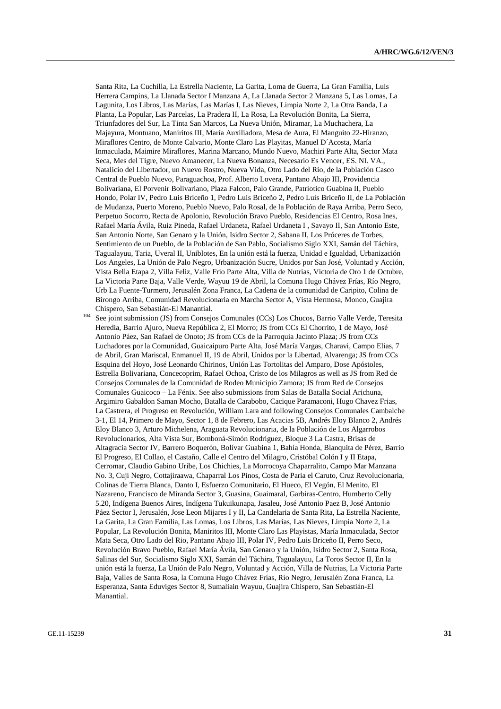Santa Rita, La Cuchilla, La Estrella Naciente, La Garita, Loma de Guerra, La Gran Familia, Luis Herrera Campins, La Llanada Sector I Manzana A, La Llanada Sector 2 Manzana 5, Las Lomas, La Lagunita, Los Libros, Las Marías, Las Marías I, Las Nieves, Limpia Norte 2, La Otra Banda, La Planta, La Popular, Las Parcelas, La Pradera II, La Rosa, La Revolución Bonita, La Sierra, Triunfadores del Sur, La Tinta San Marcos, La Nueva Unión, Miramar, La Muchachera, La Majayura, Montuano, Maniritos III, María Auxiliadora, Mesa de Aura, El Manguito 22-Hiranzo, Miraflores Centro, de Monte Calvario, Monte Claro Las Playitas, Manuel D´Acosta, María Inmaculada, Maimire Miraflores, Marina Marcano, Mundo Nuevo, Machiri Parte Alta, Sector Mata Seca, Mes del Tigre, Nuevo Amanecer, La Nueva Bonanza, Necesario Es Vencer, ES. NI. VA., Natalicio del Libertador, un Nuevo Rostro, Nueva Vida, Otro Lado del Rio, de la Población Casco Central de Pueblo Nuevo, Paraguachoa, Prof. Alberto Lovera, Pantano Abajo III, Providencia Bolivariana, El Porvenir Bolivariano, Plaza Falcon, Palo Grande, Patriotico Guabina II, Pueblo Hondo, Polar IV, Pedro Luis Briceño 1, Pedro Luis Briceño 2, Pedro Luis Briceño II, de La Población de Mudanza, Puerto Moreno, Pueblo Nuevo, Palo Rosal, de la Población de Raya Arriba, Perro Seco, Perpetuo Socorro, Recta de Apolonio, Revolución Bravo Pueblo, Residencias El Centro, Rosa Ines, Rafael María Ávila, Ruiz Pineda, Rafael Urdaneta, Rafael Urdaneta I , Savayo II, San Antonio Este, San Antonio Norte, San Genaro y la Unión, Isidro Sector 2, Sabana II, Los Próceres de Torbes, Sentimiento de un Pueblo, de la Población de San Pablo, Socialismo Siglo XXI, Samán del Táchira, Tagualayuu, Taria, Uveral II, Uniblotes, En la unión está la fuerza, Unidad e Igualdad, Urbanización Los Angeles, La Unión de Palo Negro, Urbanización Sucre, Unidos por San José, Voluntad y Acción, Vista Bella Etapa 2, Villa Feliz, Valle Frio Parte Alta, Villa de Nutrias, Victoria de Oro 1 de Octubre, La Victoria Parte Baja, Valle Verde, Wayuu 19 de Abril, la Comuna Hugo Chávez Frías, Río Negro, Urb La Fuente-Turmero, Jerusalén Zona Franca, La Cadena de la comunidad de Caripito, Colina de Birongo Arriba, Comunidad Revolucionaria en Marcha Sector A, Vista Hermosa, Monco, Guajira Chispero, San Sebastián-El Manantial. 104 See joint submission (JS) from Consejos Comunales (CCs) Los Chucos, Barrio Valle Verde, Teresita

Heredia, Barrio Ajuro, Nueva República 2, El Morro; JS from CCs El Chorrito, 1 de Mayo, José Antonio Páez, San Rafael de Onoto; JS from CCs de la Parroquia Jacinto Plaza; JS from CCs Luchadores por la Comunidad, Guaicaipuro Parte Alta, José María Vargas, Charavi, Campo Elias, 7 de Abril, Gran Mariscal, Enmanuel II, 19 de Abril, Unidos por la Libertad, Alvarenga; JS from CCs Esquina del Hoyo, José Leonardo Chirinos, Unión Las Tortolitas del Amparo, Dose Apóstoles, Estrella Bolivariana, Concecoprim, Rafael Ochoa, Cristo de los Milagros as well as JS from Red de Consejos Comunales de la Comunidad de Rodeo Municipio Zamora; JS from Red de Consejos Comunales Guaicoco – La Fénix. See also submissions from Salas de Batalla Social Arichuna, Argimiro Gabaldon Saman Mocho, Batalla de Carabobo, Cacique Paramaconi, Hugo Chavez Frias, La Castrera, el Progreso en Revolución, William Lara and following Consejos Comunales Cambalche 3-1, El 14, Primero de Mayo, Sector 1, 8 de Febrero, Las Acacias 5B, Andrés Eloy Blanco 2, Andrés Eloy Blanco 3, Arturo Michelena, Araguata Revolucionaria, de la Población de Los Algarrobos Revolucionarios, Alta Vista Sur, Bomboná-Simón Rodríguez, Bloque 3 La Castra, Brisas de Altagracia Sector IV, Barrero Boquerón, Bolívar Guabina 1, Bahía Honda, Blanquita de Pérez, Barrio El Progreso, El Collao, el Castaño, Calle el Centro del Milagro, Cristóbal Colón I y II Etapa, Cerromar, Claudio Gabino Uribe, Los Chichies, La Morrocoya Chaparralito, Campo Mar Manzana No. 3, Cuji Negro, Cottajiraawa, Chaparral Los Pinos, Costa de Paria el Caruto, Cruz Revolucionaria, Colinas de Tierra Blanca, Danto I, Esfuerzo Comunitario, El Hueco, El Vegón, El Menito, El Nazareno, Francisco de Miranda Sector 3, Guasina, Guaimaral, Garbiras-Centro, Humberto Celly 5.20, Indígena Buenos Aires, Indígena Tukuikunapa, Jasaleu, José Antonio Paez B, José Antonio Páez Sector I, Jerusalén, Jose Leon Mijares I y II, La Candelaria de Santa Rita, La Estrella Naciente, La Garita, La Gran Familia, Las Lomas, Los Libros, Las Marías, Las Nieves, Limpia Norte 2, La Popular, La Revolución Bonita, Maniritos III, Monte Claro Las Playistas, María Inmaculada, Sector Mata Seca, Otro Lado del Rio, Pantano Abajo III, Polar IV, Pedro Luis Briceño II, Perro Seco, Revolución Bravo Pueblo, Rafael María Ávila, San Genaro y la Unión, Isidro Sector 2, Santa Rosa, Salinas del Sur, Socialismo Siglo XXI, Samán del Táchira, Tagualayuu, La Toros Sector II, En la unión está la fuerza, La Unión de Palo Negro, Voluntad y Acción, Villa de Nutrias, La Victoria Parte Baja, Valles de Santa Rosa, la Comuna Hugo Chávez Frías, Río Negro, Jerusalén Zona Franca, La Esperanza, Santa Eduviges Sector 8, Sumaliain Wayuu, Guajira Chispero, San Sebastián-El Manantial.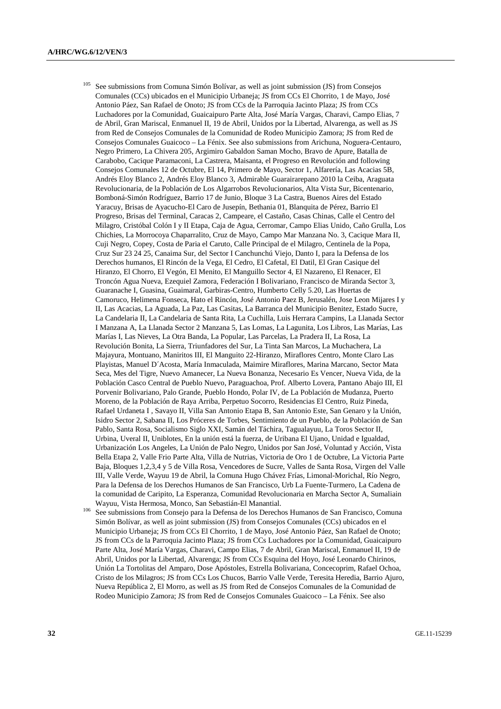- See submissions from Comuna Simón Bolívar, as well as joint submission (JS) from Consejos Comunales (CCs) ubicados en el Municipio Urbaneja; JS from CCs El Chorrito, 1 de Mayo, José Antonio Páez, San Rafael de Onoto; JS from CCs de la Parroquia Jacinto Plaza; JS from CCs Luchadores por la Comunidad, Guaicaipuro Parte Alta, José María Vargas, Charavi, Campo Elias, 7 de Abril, Gran Mariscal, Enmanuel II, 19 de Abril, Unidos por la Libertad, Alvarenga, as well as JS from Red de Consejos Comunales de la Comunidad de Rodeo Municipio Zamora; JS from Red de Consejos Comunales Guaicoco – La Fénix. See also submissions from Arichuna, Noguera-Centauro, Negro Primero, La Chivera 205, Argimiro Gabaldon Saman Mocho, Bravo de Apure, Batalla de Carabobo, Cacique Paramaconi, La Castrera, Maisanta, el Progreso en Revolución and following Consejos Comunales 12 de Octubre, El 14, Primero de Mayo, Sector 1, Alfarería, Las Acacias 5B, Andrés Eloy Blanco 2, Andrés Eloy Blanco 3, Admirable Guarairarepano 2010 la Ceiba, Araguata Revolucionaria, de la Población de Los Algarrobos Revolucionarios, Alta Vista Sur, Bicentenario, Bomboná-Simón Rodríguez, Barrio 17 de Junio, Bloque 3 La Castra, Buenos Aires del Estado Yaracuy, Brisas de Ayacucho-El Caro de Jusepín, Bethania 01, Blanquita de Pérez, Barrio El Progreso, Brisas del Terminal, Caracas 2, Campeare, el Castaño, Casas Chinas, Calle el Centro del Milagro, Cristóbal Colón I y II Etapa, Caja de Agua, Cerromar, Campo Elias Unido, Caño Grulla, Los Chichies, La Morrocoya Chaparralito, Cruz de Mayo, Campo Mar Manzana No. 3, Cacique Mara II, Cuji Negro, Copey, Costa de Paria el Caruto, Calle Principal de el Milagro, Centinela de la Popa, Cruz Sur 23 24 25, Canaima Sur, del Sector I Canchunchú Viejo, Danto I, para la Defensa de los Derechos humanos, El Rincón de la Vega, El Cedro, El Cafetal, El Datil, El Gran Casique del Hiranzo, El Chorro, El Vegón, El Menito, El Manguillo Sector 4, El Nazareno, El Renacer, El Troncón Agua Nueva, Ezequiel Zamora, Federación I Bolivariano, Francisco de Miranda Sector 3, Guaranache I, Guasina, Guaimaral, Garbiras-Centro, Humberto Celly 5.20, Las Huertas de Camoruco, Helimena Fonseca, Hato el Rincón, José Antonio Paez B, Jerusalén, Jose Leon Mijares I y II, Las Acacias, La Aguada, La Paz, Las Casitas, La Barranca del Municipio Benitez, Estado Sucre, La Candelaria II, La Candelaria de Santa Rita, La Cuchilla, Luis Herrara Campins, La Llanada Sector I Manzana A, La Llanada Sector 2 Manzana 5, Las Lomas, La Lagunita, Los Libros, Las Marías, Las Marías I, Las Nieves, La Otra Banda, La Popular, Las Parcelas, La Pradera II, La Rosa, La Revolución Bonita, La Sierra, Triunfadores del Sur, La Tinta San Marcos, La Muchachera, La Majayura, Montuano, Maniritos III, El Manguito 22-Hiranzo, Miraflores Centro, Monte Claro Las Playistas, Manuel D´Acosta, María Inmaculada, Maimire Miraflores, Marina Marcano, Sector Mata Seca, Mes del Tigre, Nuevo Amanecer, La Nueva Bonanza, Necesario Es Vencer, Nueva Vida, de la Población Casco Central de Pueblo Nuevo, Paraguachoa, Prof. Alberto Lovera, Pantano Abajo III, El Porvenir Bolivariano, Palo Grande, Pueblo Hondo, Polar IV, de La Población de Mudanza, Puerto Moreno, de la Población de Raya Arriba, Perpetuo Socorro, Residencias El Centro, Ruiz Pineda, Rafael Urdaneta I , Savayo II, Villa San Antonio Etapa B, San Antonio Este, San Genaro y la Unión, Isidro Sector 2, Sabana II, Los Próceres de Torbes, Sentimiento de un Pueblo, de la Población de San Pablo, Santa Rosa, Socialismo Siglo XXI, Samán del Táchira, Tagualayuu, La Toros Sector II, Urbina, Uveral II, Uniblotes, En la unión está la fuerza, de Uribana El Ujano, Unidad e Igualdad, Urbanización Los Angeles, La Unión de Palo Negro, Unidos por San José, Voluntad y Acción, Vista Bella Etapa 2, Valle Frio Parte Alta, Villa de Nutrias, Victoria de Oro 1 de Octubre, La Victoria Parte Baja, Bloques 1,2,3,4 y 5 de Villa Rosa, Vencedores de Sucre, Valles de Santa Rosa, Virgen del Valle III, Valle Verde, Wayuu 19 de Abril, la Comuna Hugo Chávez Frías, Limonal-Morichal, Río Negro, Para la Defensa de los Derechos Humanos de San Francisco, Urb La Fuente-Turmero, La Cadena de la comunidad de Caripito, La Esperanza, Comunidad Revolucionaria en Marcha Sector A, Sumaliain Wayuu, Vista Hermosa, Monco, San Sebastián-El Manantial. 106 See submissions from Consejo para la Defensa de los Derechos Humanos de San Francisco, Comuna
- Simón Bolívar, as well as joint submission (JS) from Consejos Comunales (CCs) ubicados en el Municipio Urbaneja; JS from CCs El Chorrito, 1 de Mayo, José Antonio Páez, San Rafael de Onoto; JS from CCs de la Parroquia Jacinto Plaza; JS from CCs Luchadores por la Comunidad, Guaicaipuro Parte Alta, José María Vargas, Charavi, Campo Elias, 7 de Abril, Gran Mariscal, Enmanuel II, 19 de Abril, Unidos por la Libertad, Alvarenga; JS from CCs Esquina del Hoyo, José Leonardo Chirinos, Unión La Tortolitas del Amparo, Dose Apóstoles, Estrella Bolivariana, Concecoprim, Rafael Ochoa, Cristo de los Milagros; JS from CCs Los Chucos, Barrio Valle Verde, Teresita Heredia, Barrio Ajuro, Nueva República 2, El Morro, as well as JS from Red de Consejos Comunales de la Comunidad de Rodeo Municipio Zamora; JS from Red de Consejos Comunales Guaicoco – La Fénix. See also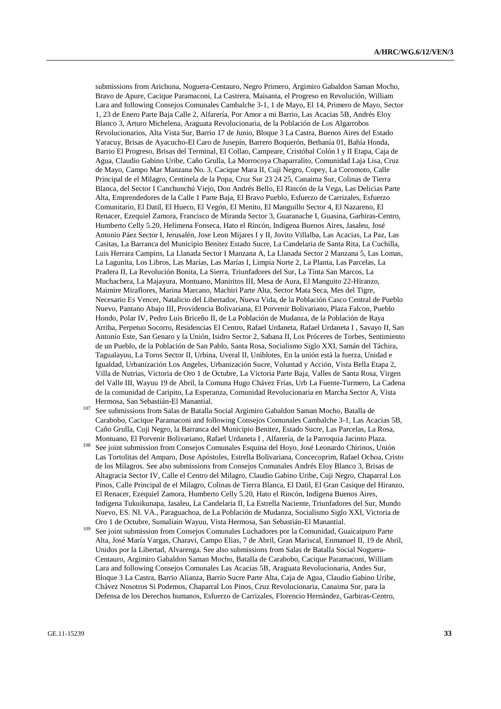submissions from Arichuna, Noguera-Centauro, Negro Primero, Argimiro Gabaldon Saman Mocho, Bravo de Apure, Cacique Paramaconi, La Castrera, Maisanta, el Progreso en Revolución, William Lara and following Consejos Comunales Cambalche 3-1, 1 de Mayo, El 14, Primero de Mayo, Sector 1, 23 de Enero Parte Baja Calle 2, Alfarería, Por Amor a mi Barrio, Las Acacias 5B, Andrés Eloy Blanco 3, Arturo Michelena, Araguata Revolucionaria, de la Población de Los Algarrobos Revolucionarios, Alta Vista Sur, Barrio 17 de Junio, Bloque 3 La Castra, Buenos Aires del Estado Yaracuy, Brisas de Ayacucho-El Caro de Jusepín, Barrero Boquerón, Bethania 01, Bahía Honda, Barrio El Progreso, Brisas del Terminal, El Collao, Campeare, Cristóbal Colón I y II Etapa, Caja de Agua, Claudio Gabino Uribe, Caño Grulla, La Morrocoya Chaparralito, Comunidad Laja Lisa, Cruz de Mayo, Campo Mar Manzana No. 3, Cacique Mara II, Cuji Negro, Copey, La Coromoto, Calle Principal de el Milagro, Centinela de la Popa, Cruz Sur 23 24 25, Canaima Sur, Colinas de Tierra Blanca, del Sector I Canchunchú Viejo, Don Andrés Bello, El Rincón de la Vega, Las Delicias Parte Alta, Emprendedores de la Calle 1 Parte Baja, El Bravo Pueblo, Esfuerzo de Carrizales, Esfuerzo Comunitario, El Datil, El Hueco, El Vegón, El Menito, El Manguillo Sector 4, El Nazareno, El Renacer, Ezequiel Zamora, Francisco de Miranda Sector 3, Guaranache I, Guasina, Garbiras-Centro, Humberto Celly 5.20, Helimena Fonseca, Hato el Rincón, Indígena Buenos Aires, Jasaleu, José Antonio Páez Sector I, Jerusalén, Jose Leon Mijares I y II, Jovito Villalba, Las Acacias, La Paz, Las Casitas, La Barranca del Municipio Benitez Estado Sucre, La Candelaria de Santa Rita, La Cuchilla, Luis Herrara Campins, La Llanada Sector I Manzana A, La Llanada Sector 2 Manzana 5, Las Lomas, La Lagunita, Los Libros, Las Marías, Las Marías I, Limpia Norte 2, La Planta, Las Parcelas, La Pradera II, La Revolución Bonita, La Sierra, Triunfadores del Sur, La Tinta San Marcos, La Muchachera, La Majayura, Montuano, Maniritos III, Mesa de Aura, El Manguito 22-Hiranzo, Maimire Miraflores, Marina Marcano, Machiri Parte Alta, Sector Mata Seca, Mes del Tigre, Necesario Es Vencer, Natalicio del Libertador, Nueva Vida, de la Población Casco Central de Pueblo Nuevo, Pantano Abajo III, Providencia Bolivariana, El Porvenir Bolivariano, Plaza Falcon, Pueblo Hondo, Polar IV, Pedro Luis Briceño II, de La Población de Mudanza, de la Población de Raya Arriba, Perpetuo Socorro, Residencias El Centro, Rafael Urdaneta, Rafael Urdaneta I , Savayo II, San Antonio Este, San Genaro y la Unión, Isidro Sector 2, Sabana II, Los Próceres de Torbes, Sentimiento de un Pueblo, de la Población de San Pablo, Santa Rosa, Socialismo Siglo XXI, Samán del Táchira, Tagualayuu, La Toros Sector II, Urbina, Uveral II, Uniblotes, En la unión está la fuerza, Unidad e Igualdad, Urbanización Los Angeles, Urbanización Sucre, Voluntad y Acción, Vista Bella Etapa 2, Villa de Nutrias, Victoria de Oro 1 de Octubre, La Victoria Parte Baja, Valles de Santa Rosa, Virgen del Valle III, Wayuu 19 de Abril, la Comuna Hugo Chávez Frías, Urb La Fuente-Turmero, La Cadena de la comunidad de Caripito, La Esperanza, Comunidad Revolucionaria en Marcha Sector A, Vista Hermosa, San Sebastián-El Manantial.<br><sup>107</sup> See submissions from Salas de Batalla Social Argimiro Gabaldon Saman Mocho, Batalla de

- Carabobo, Cacique Paramaconi and following Consejos Comunales Cambalche 3-1, Las Acacias 5B, Caño Grulla, Cuji Negro, la Barranca del Municipio Benitez, Estado Sucre, Las Parcelas, La Rosa,
- Montuano, El Porvenir Bolivariano, Rafael Urdaneta I , Alfarería, de la Parroquia Jacinto Plaza.<br><sup>108</sup> See joint submission from Consejos Comunales Esquina del Hoyo, José Leonardo Chirinos, Unión Las Tortolitas del Amparo, Dose Apóstoles, Estrella Bolivariana, Concecoprim, Rafael Ochoa, Cristo de los Milagros. See also submissions from Consejos Comunales Andrés Eloy Blanco 3, Brisas de Altagracia Sector IV, Calle el Centro del Milagro, Claudio Gabino Uribe, Cuji Negro, Chaparral Los Pinos, Calle Principal de el Milagro, Colinas de Tierra Blanca, El Datil, El Gran Casique del Hiranzo, El Renacer, Ezequiel Zamora, Humberto Celly 5.20, Hato el Rincón, Indígena Buenos Aires, Indígena Tukuikunapa, Jasaleu, La Candelaria II, La Estrella Naciente, Triunfadores del Sur, Mundo Nuevo, ES. NI. VA., Paraguachoa, de La Población de Mudanza, Socialismo Siglo XXI, Victoria de
- Oro 1 de Octubre, Sumaliain Wayuu, Vista Hermosa, San Sebastián-El Manantial. 109 See joint submission from Consejos Comunales Luchadores por la Comunidad, Guaicaipuro Parte Alta, José María Vargas, Charavi, Campo Elias, 7 de Abril, Gran Mariscal, Enmanuel II, 19 de Abril, Unidos por la Libertad, Alvarenga. See also submissions from Salas de Batalla Social Noguera-Centauro, Argimiro Gabaldon Saman Mocho, Batalla de Carabobo, Cacique Paramaconi, William Lara and following Consejos Comunales Las Acacias 5B, Araguata Revolucionaria, Andes Sur, Bloque 3 La Castra, Barrio Alianza, Barrio Sucre Parte Alta, Caja de Agua, Claudio Gabino Uribe, Chávez Nosotros Si Podemos, Chaparral Los Pinos, Cruz Revolucionaria, Canaima Sur, para la Defensa de los Derechos humanos, Esfuerzo de Carrizales, Florencio Hernández, Garbiras-Centro,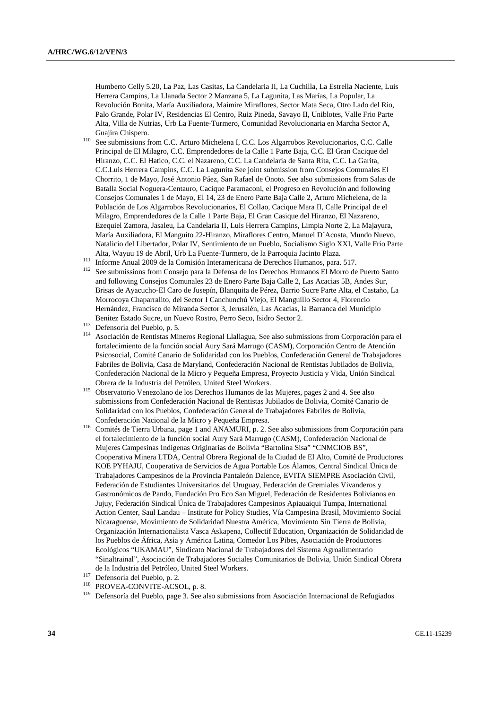Humberto Celly 5.20, La Paz, Las Casitas, La Candelaria II, La Cuchilla, La Estrella Naciente, Luis Herrera Campins, La Llanada Sector 2 Manzana 5, La Lagunita, Las Marías, La Popular, La Revolución Bonita, María Auxiliadora, Maimire Miraflores, Sector Mata Seca, Otro Lado del Rio, Palo Grande, Polar IV, Residencias El Centro, Ruiz Pineda, Savayo II, Uniblotes, Valle Frio Parte Alta, Villa de Nutrias, Urb La Fuente-Turmero, Comunidad Revolucionaria en Marcha Sector A,

- Guajira Chispero. 110 See submissions from C.C. Arturo Michelena I, C.C. Los Algarrobos Revolucionarios, C.C. Calle Principal de El Milagro, C.C. Emprendedores de la Calle 1 Parte Baja, C.C. El Gran Cacique del Hiranzo, C.C. El Hatico, C.C. el Nazareno, C.C. La Candelaria de Santa Rita, C.C. La Garita, C.C.Luis Herrera Campins, C.C. La Lagunita See joint submission from Consejos Comunales El Chorrito, 1 de Mayo, José Antonio Páez, San Rafael de Onoto. See also submissions from Salas de Batalla Social Noguera-Centauro, Cacique Paramaconi, el Progreso en Revolución and following Consejos Comunales 1 de Mayo, El 14, 23 de Enero Parte Baja Calle 2, Arturo Michelena, de la Población de Los Algarrobos Revolucionarios, El Collao, Cacique Mara II, Calle Principal de el Milagro, Emprendedores de la Calle 1 Parte Baja, El Gran Casique del Hiranzo, El Nazareno, Ezequiel Zamora, Jasaleu, La Candelaria II, Luis Herrera Campins, Limpia Norte 2, La Majayura, María Auxiliadora, El Manguito 22-Hiranzo, Miraflores Centro, Manuel D´Acosta, Mundo Nuevo, Natalicio del Libertador, Polar IV, Sentimiento de un Pueblo, Socialismo Siglo XXI, Valle Frio Parte
- 
- Alta, Wayuu 19 de Abril, Urb La Fuente-Turmero, de la Parroquia Jacinto Plaza.<br>
111 Informe Anual 2009 de la Comisión Interamericana de Derechos Humanos, para. 517.<br>
112 See submissions from Consejo para la Defensa de los and following Consejos Comunales 23 de Enero Parte Baja Calle 2, Las Acacias 5B, Andes Sur, Brisas de Ayacucho-El Caro de Jusepín, Blanquita de Pérez, Barrio Sucre Parte Alta, el Castaño, La Morrocoya Chaparralito, del Sector I Canchunchú Viejo, El Manguillo Sector 4, Florencio Hernández, Francisco de Miranda Sector 3, Jerusalén, Las Acacias, la Barranca del Municipio
- 
- Benitez Estado Sucre, un Nuevo Rostro, Perro Seco, Isidro Sector 2.<br>
<sup>113</sup> Defensoría del Pueblo, p. 5.<br>
<sup>114</sup> Asociación de Rentistas Mineros Regional Llallagua, See also submissions from Corporación para el fortalecimiento de la función social Aury Sará Marrugo (CASM), Corporación Centro de Atención Psicosocial, Comité Canario de Solidaridad con los Pueblos, Confederación General de Trabajadores Fabriles de Bolivia, Casa de Maryland, Confederación Nacional de Rentistas Jubilados de Bolivia, Confederación Nacional de la Micro y Pequeña Empresa, Proyecto Justicia y Vida, Unión Sindical
- Obrera de la Industria del Petróleo, United Steel Workers. 115 Observatorio Venezolano de los Derechos Humanos de las Mujeres, pages 2 and 4. See also submissions from Confederación Nacional de Rentistas Jubilados de Bolivia, Comité Canario de Solidaridad con los Pueblos, Confederación General de Trabajadores Fabriles de Bolivia,
- Confederación Nacional de la Micro y Pequeña Empresa. 116 Comités de Tierra Urbana, page 1 and ANAMURI, p. 2. See also submissions from Corporación para el fortalecimiento de la función social Aury Sará Marrugo (CASM), Confederación Nacional de Mujeres Campesinas Indígenas Originarias de Bolivia "Bartolina Sisa" "CNMCIOB BS", Cooperativa Minera LTDA, Central Obrera Regional de la Ciudad de El Alto, Comité de Productores KOE PYHAJU, Cooperativa de Servicios de Agua Portable Los Álamos, Central Sindical Única de Trabajadores Campesinos de la Provincia Pantaleón Dalence, EVITA SIEMPRE Asociación Civil, Federación de Estudiantes Universitarios del Uruguay, Federación de Gremiales Vivanderos y Gastronómicos de Pando, Fundación Pro Eco San Miguel, Federación de Residentes Bolivianos en Jujuy, Federación Sindical Única de Trabajadores Campesinos Apiauaiqui Tumpa, International Action Center, Saul Landau – Institute for Policy Studies, Vía Campesina Brasil, Movimiento Social Nicaraguense, Movimiento de Solidaridad Nuestra América, Movimiento Sin Tierra de Bolivia, Organización Internacionalista Vasca Askapena, Collectif Education, Organización de Solidaridad de los Pueblos de África, Asia y América Latina, Comedor Los Pibes, Asociación de Productores Ecológicos "UKAMAU", Sindicato Nacional de Trabajadores del Sistema Agroalimentario "Sinaltrainal", Asociación de Trabajadores Sociales Comunitarios de Bolivia, Unión Sindical Obrera
- 
- 
- de la Industria del Pueblo, p. 2.<br>
<sup>117</sup> Defensoría del Pueblo, p. 2.<br>
<sup>118</sup> PROVEA-CONVITE-ACSOL, p. 8.<br>
<sup>119</sup> Defensoría del Pueblo, page 3. See also submissions from Asociación Internacional de Refugiados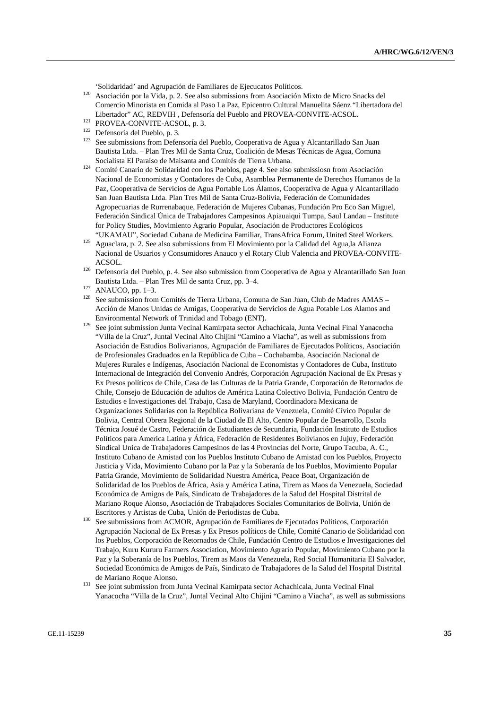- 'Solidaridad' and Agrupación de Familiares de Ejecucatos Políticos. 120 Asociación por la Vida, p. 2. See also submissions from Asociación Mixto de Micro Snacks del Comercio Minorista en Comida al Paso La Paz, Epicentro Cultural Manuelita Sáenz "Libertadora del Libertador" AC, REDVIH, Defensoría del Pueblo and PROVEA-CONVITE-ACSOL.<br>
<sup>121</sup> PROVEA-CONVITE-ACSOL, p. 3.<br>
<sup>122</sup> Defensoría del Pueblo, p. 3.<br>
<sup>122</sup> See submissions from Defensoría del Pueblo, Cooperativa de Agua y Alcant
- 
- Bautista Ltda. Plan Tres Mil de Santa Cruz, Coalición de Mesas Técnicas de Agua, Comuna
- Socialista El Paraíso de Maisanta and Comités de Tierra Urbana. 124 Comité Canario de Solidaridad con los Pueblos, page 4. See also submissiosn from Asociación Nacional de Economistas y Contadores de Cuba, Asamblea Permanente de Derechos Humanos de la Paz, Cooperativa de Servicios de Agua Portable Los Álamos, Cooperativa de Agua y Alcantarillado San Juan Bautista Ltda. Plan Tres Mil de Santa Cruz-Bolivia, Federación de Comunidades Agropecuarias de Rurrenabaque, Federación de Mujeres Cubanas, Fundación Pro Eco San Miguel, Federación Sindical Única de Trabajadores Campesinos Apiauaiqui Tumpa, Saul Landau – Institute for Policy Studies, Movimiento Agrario Popular, Asociación de Productores Ecológicos
- <sup>125</sup> Aguaclara, p. 2. See also submissions from El Movimiento por la Calidad del Agua,la Alianza Nacional de Usuarios y Consumidores Anauco y el Rotary Club Valencia and PROVEA-CONVITE-
- ACSOL. 126 Defensoría del Pueblo, p. 4. See also submission from Cooperativa de Agua y Alcantarillado San Juan Bautista Ltda. – Plan Tres Mil de santa Cruz, pp. 3–4.<br>
<sup>127</sup> ANAUCO, pp. 1–3.<br>
<sup>128</sup> See submission from Comités de Tierra Urbana, Comuna de San Juan, Club de Madres AMAS –
- 
- Acción de Manos Unidas de Amigas, Cooperativa de Servicios de Agua Potable Los Alamos and
- Environmental Network of Trinidad and Tobago (ENT). 129 See joint submission Junta Vecinal Kamirpata sector Achachicala, Junta Vecinal Final Yanacocha "Villa de la Cruz", Juntal Vecinal Alto Chijini "Camino a Viacha", as well as submissions from Asociación de Estudios Bolivarianos, Agrupación de Familiares de Ejecutados Políticos, Asociación de Profesionales Graduados en la República de Cuba – Cochabamba, Asociación Nacional de Mujeres Rurales e Indígenas, Asociación Nacional de Economistas y Contadores de Cuba, Instituto Internacional de Integración del Convenio Andrés, Corporación Agrupación Nacional de Ex Presas y Ex Presos políticos de Chile, Casa de las Culturas de la Patria Grande, Corporación de Retornados de Chile, Consejo de Educación de adultos de América Latina Colectivo Bolivia, Fundación Centro de Estudios e Investigaciones del Trabajo, Casa de Maryland, Coordinadora Mexicana de Organizaciones Solidarias con la República Bolivariana de Venezuela, Comité Cívico Popular de Bolivia, Central Obrera Regional de la Ciudad de El Alto, Centro Popular de Desarrollo, Escola Técnica Josué de Castro, Federación de Estudiantes de Secundaria, Fundación Instituto de Estudios Políticos para America Latina y África, Federación de Residentes Bolivianos en Jujuy, Federación Sindical Unica de Trabajadores Campesinos de las 4 Provincias del Norte, Grupo Tacuba, A. C., Instituto Cubano de Amistad con los Pueblos Instituto Cubano de Amistad con los Pueblos, Proyecto Justicia y Vida, Movimiento Cubano por la Paz y la Soberanía de los Pueblos, Movimiento Popular Patria Grande, Movimiento de Solidaridad Nuestra América, Peace Boat, Organización de Solidaridad de los Pueblos de África, Asia y América Latina, Tirem as Maos da Venezuela, Sociedad Económica de Amigos de País, Sindicato de Trabajadores de la Salud del Hospital Distrital de Mariano Roque Alonso, Asociación de Trabajadores Sociales Comunitarios de Bolivia, Unión de
- Escritores y Artistas de Cuba, Unión de Periodistas de Cuba. 130 See submissions from ACMOR, Agrupación de Familiares de Ejecutados Políticos, Corporación Agrupación Nacional de Ex Presas y Ex Presos políticos de Chile, Comité Canario de Solidaridad con los Pueblos, Corporación de Retornados de Chile, Fundación Centro de Estudios e Investigaciones del Trabajo, Kuru Kururu Farmers Association, Movimiento Agrario Popular, Movimiento Cubano por la Paz y la Soberanía de los Pueblos, Tirem as Maos da Venezuela, Red Social Humanitaria El Salvador, Sociedad Económica de Amigos de País, Sindicato de Trabajadores de la Salud del Hospital Distrital de Mariano Roque Alonso.<br><sup>131</sup> See joint submission from Junta Vecinal Kamirpata sector Achachicala, Junta Vecinal Final
- Yanacocha "Villa de la Cruz", Juntal Vecinal Alto Chijini "Camino a Viacha", as well as submissions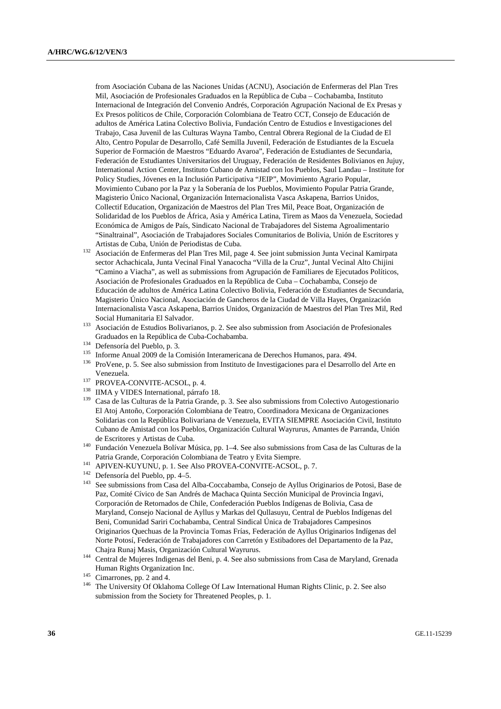from Asociación Cubana de las Naciones Unidas (ACNU), Asociación de Enfermeras del Plan Tres Mil, Asociación de Profesionales Graduados en la República de Cuba – Cochabamba, Instituto Internacional de Integración del Convenio Andrés, Corporación Agrupación Nacional de Ex Presas y Ex Presos políticos de Chile, Corporación Colombiana de Teatro CCT, Consejo de Educación de adultos de América Latina Colectivo Bolivia, Fundación Centro de Estudios e Investigaciones del Trabajo, Casa Juvenil de las Culturas Wayna Tambo, Central Obrera Regional de la Ciudad de El Alto, Centro Popular de Desarrollo, Café Semilla Juvenil, Federación de Estudiantes de la Escuela Superior de Formación de Maestros "Eduardo Avaroa", Federación de Estudiantes de Secundaria, Federación de Estudiantes Universitarios del Uruguay, Federación de Residentes Bolivianos en Jujuy, International Action Center, Instituto Cubano de Amistad con los Pueblos, Saul Landau – Institute for Policy Studies, Jóvenes en la Inclusión Participativa "JEIP", Movimiento Agrario Popular, Movimiento Cubano por la Paz y la Soberanía de los Pueblos, Movimiento Popular Patria Grande, Magisterio Único Nacional, Organización Internacionalista Vasca Askapena, Barrios Unidos, Collectif Education, Organización de Maestros del Plan Tres Mil, Peace Boat, Organización de Solidaridad de los Pueblos de África, Asia y América Latina, Tirem as Maos da Venezuela, Sociedad Económica de Amigos de País, Sindicato Nacional de Trabajadores del Sistema Agroalimentario "Sinaltrainal", Asociación de Trabajadores Sociales Comunitarios de Bolivia, Unión de Escritores y

- Artistas de Cuba, Unión de Periodistas de Cuba. 132 Asociación de Enfermeras del Plan Tres Mil, page 4. See joint submission Junta Vecinal Kamirpata sector Achachicala, Junta Vecinal Final Yanacocha "Villa de la Cruz", Juntal Vecinal Alto Chijini "Camino a Viacha", as well as submissions from Agrupación de Familiares de Ejecutados Políticos, Asociación de Profesionales Graduados en la República de Cuba – Cochabamba, Consejo de Educación de adultos de América Latina Colectivo Bolivia, Federación de Estudiantes de Secundaria, Magisterio Único Nacional, Asociación de Gancheros de la Ciudad de Villa Hayes, Organización Internacionalista Vasca Askapena, Barrios Unidos, Organización de Maestros del Plan Tres Mil, Red
- Social Humanitaria El Salvador.<br><sup>133</sup> Asociación de Estudios Bolivarianos, p. 2. See also submission from Asociación de Profesionales
- 
- 
- Graduados en la República de Cuba-Cochabamba.<br>
<sup>134</sup> Defensoría del Pueblo, p. 3.<br>
<sup>135</sup> Informe Anual 2009 de la Comisión Interamericana de Derechos Humanos, para. 494.<br>
<sup>136</sup> ProVene, p. 5. See also submission from Insti
- 
- 
- Venezuela.<br><sup>137</sup> PROVEA-CONVITE-ACSOL, p. 4.<br><sup>138</sup> IIMA y VIDES International, párrafo 18.<br><sup>139</sup> Casa de las Culturas de la Patria Grande, p. 3. See also submissions from Colectivo Autogestionario El Atoj Antoño, Corporación Colombiana de Teatro, Coordinadora Mexicana de Organizaciones Solidarias con la República Bolivariana de Venezuela, EVITA SIEMPRE Asociación Civil, Instituto Cubano de Amistad con los Pueblos, Organización Cultural Wayrurus, Amantes de Parranda, Unión
- de Escritores y Artistas de Cuba. 140 Fundación Venezuela Bolívar Música, pp. 1–4. See also submissions from Casa de las Culturas de la
- 
- 
- Patria Grande, Corporación Colombiana de Teatro y Evita Siempre.<br>
<sup>141</sup> APIVEN-KUYUNU, p. 1. See Also PROVEA-CONVITE-ACSOL, p. 7.<br>
<sup>142</sup> Defensoría del Pueblo, pp. 4–5.<br>
<sup>143</sup> See submissions from Casa del Alba-Coccabamba, Paz, Comité Cívico de San Andrés de Machaca Quinta Sección Municipal de Provincia Ingavi, Corporación de Retornados de Chile, Confederación Pueblos Indígenas de Bolivia, Casa de Maryland, Consejo Nacional de Ayllus y Markas del Qullasuyu, Central de Pueblos Indígenas del Beni, Comunidad Sariri Cochabamba, Central Sindical Única de Trabajadores Campesinos Originarios Quechuas de la Provincia Tomas Frías, Federación de Ayllus Originarios Indígenas del Norte Potosí, Federación de Trabajadores con Carretón y Estibadores del Departamento de la Paz,
- Chajra Runaj Masis, Organización Cultural Wayrurus. 144 Central de Mujeres Indigenas del Beni, p. 4. See also submissions from Casa de Maryland, Grenada
- 
- Human Rights Organization Inc. 145 Cimarrones, pp. 2 and 4. 146 The University Of Oklahoma College Of Law International Human Rights Clinic, p. 2. See also submission from the Society for Threatened Peoples, p. 1.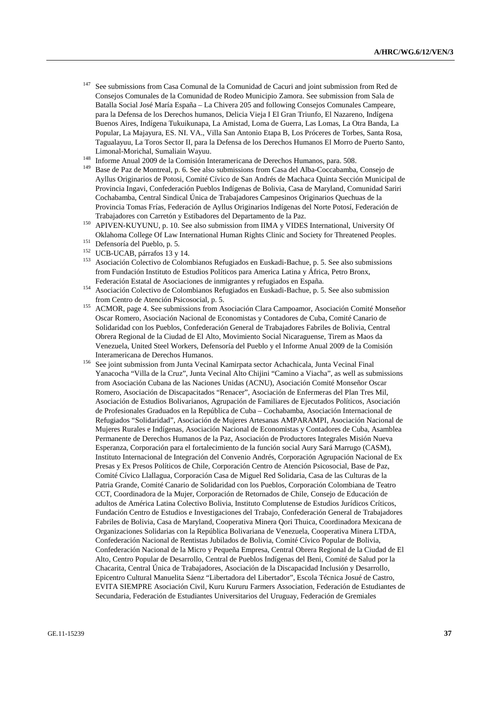- 147 See submissions from Casa Comunal de la Comunidad de Cacuri and joint submission from Red de Consejos Comunales de la Comunidad de Rodeo Municipio Zamora. See submission from Sala de Batalla Social José María España – La Chivera 205 and following Consejos Comunales Campeare, para la Defensa de los Derechos humanos, Delicia Vieja I El Gran Triunfo, El Nazareno, Indígena Buenos Aires, Indígena Tukuikunapa, La Amistad, Loma de Guerra, Las Lomas, La Otra Banda, La Popular, La Majayura, ES. NI. VA., Villa San Antonio Etapa B, Los Próceres de Torbes, Santa Rosa, Tagualayuu, La Toros Sector II, para la Defensa de los Derechos Humanos El Morro de Puerto Santo, Limonal-Morichal, Sumaliain Wayuu. 148 Informe Anual 2009 de la Comisión Interamericana de Derechos Humanos, para. 508. 149 Base de Paz de Montreal, p. 6. See also submissions from Casa del Alba-Coccabamba, Consejo de
- 
- Ayllus Originarios de Potosi, Comité Cívico de San Andrés de Machaca Quinta Sección Municipal de Provincia Ingavi, Confederación Pueblos Indígenas de Bolivia, Casa de Maryland, Comunidad Sariri Cochabamba, Central Sindical Única de Trabajadores Campesinos Originarios Quechuas de la Provincia Tomas Frías, Federación de Ayllus Originarios Indígenas del Norte Potosí, Federación de
- Trabajadores con Carretón y Estibadores del Departamento de la Paz.<br>
<sup>150</sup> APIVEN-KUYUNU, p. 10. See also submission from IIMA y VIDES International, University Of<br>
Oklahoma College Of Law International Human Rights Clinic
- 
- 
- <sup>151</sup> Defensoría del Pueblo, p. 5.<br><sup>152</sup> UCB-UCAB, párrafos 13 y 14.<br><sup>153</sup> Asociación Colectivo de Colombianos Refugiados en Euskadi-Bachue, p. 5. See also submissions from Fundación Instituto de Estudios Políticos para America Latina y África, Petro Bronx,
- Federación Estatal de Asociaciones de inmigrantes y refugiados en España. 154 Asociación Colectivo de Colombianos Refugiados en Euskadi-Bachue, p. 5. See also submission
- from Centro de Atención Psicosocial, p. 5. 155 ACMOR, page 4. See submissions from Asociación Clara Campoamor, Asociación Comité Monseñor Oscar Romero, Asociación Nacional de Economistas y Contadores de Cuba, Comité Canario de Solidaridad con los Pueblos, Confederación General de Trabajadores Fabriles de Bolivia, Central Obrera Regional de la Ciudad de El Alto, Movimiento Social Nicaraguense, Tirem as Maos da Venezuela, United Steel Workers, Defensoría del Pueblo y el Informe Anual 2009 de la Comisión
- Interamericana de Derechos Humanos. 156 See joint submission from Junta Vecinal Kamirpata sector Achachicala, Junta Vecinal Final Yanacocha "Villa de la Cruz", Junta Vecinal Alto Chijini "Camino a Viacha", as well as submissions from Asociación Cubana de las Naciones Unidas (ACNU), Asociación Comité Monseñor Oscar Romero, Asociación de Discapacitados "Renacer", Asociación de Enfermeras del Plan Tres Mil, Asociación de Estudios Bolivarianos, Agrupación de Familiares de Ejecutados Políticos, Asociación de Profesionales Graduados en la República de Cuba – Cochabamba, Asociación Internacional de Refugiados "Solidaridad", Asociación de Mujeres Artesanas AMPARAMPI, Asociación Nacional de Mujeres Rurales e Indígenas, Asociación Nacional de Economistas y Contadores de Cuba, Asamblea Permanente de Derechos Humanos de la Paz, Asociación de Productores Integrales Misión Nueva Esperanza, Corporación para el fortalecimiento de la función social Aury Sará Marrugo (CASM), Instituto Internacional de Integración del Convenio Andrés, Corporación Agrupación Nacional de Ex Presas y Ex Presos Políticos de Chile, Corporación Centro de Atención Psicosocial, Base de Paz, Comité Cívico Llallagua, Corporación Casa de Miguel Red Solidaria, Casa de las Culturas de la Patria Grande, Comité Canario de Solidaridad con los Pueblos, Corporación Colombiana de Teatro CCT, Coordinadora de la Mujer, Corporación de Retornados de Chile, Consejo de Educación de adultos de América Latina Colectivo Bolivia, Instituto Complutense de Estudios Jurídicos Críticos, Fundación Centro de Estudios e Investigaciones del Trabajo, Confederación General de Trabajadores Fabriles de Bolivia, Casa de Maryland, Cooperativa Minera Qori Thuica, Coordinadora Mexicana de Organizaciones Solidarias con la República Bolivariana de Venezuela, Cooperativa Minera LTDA, Confederación Nacional de Rentistas Jubilados de Bolivia, Comité Cívico Popular de Bolivia, Confederación Nacional de la Micro y Pequeña Empresa, Central Obrera Regional de la Ciudad de El Alto, Centro Popular de Desarrollo, Central de Pueblos Indígenas del Beni, Comité de Salud por la Chacarita, Central Única de Trabajadores, Asociación de la Discapacidad Inclusión y Desarrollo, Epicentro Cultural Manuelita Sáenz "Libertadora del Libertador", Escola Técnica Josué de Castro, EVITA SIEMPRE Asociación Civil, Kuru Kururu Farmers Association, Federación de Estudiantes de Secundaria, Federación de Estudiantes Universitarios del Uruguay, Federación de Gremiales